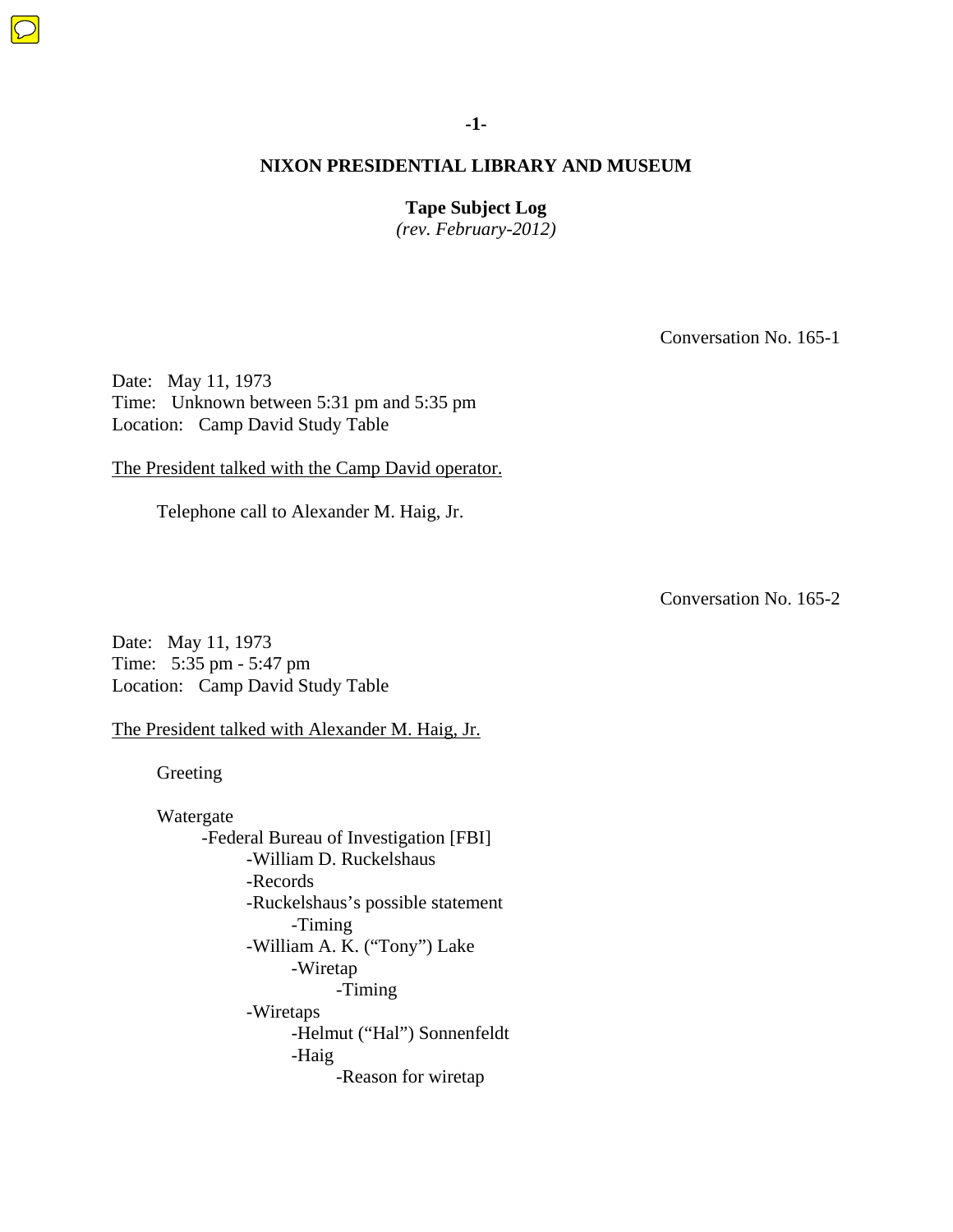**Tape Subject Log** 

*(rev. February-2012)* 

Conversation No. 165-1

Date: May 11, 1973 Time: Unknown between 5:31 pm and 5:35 pm Location: Camp David Study Table

The President talked with the Camp David operator.

Telephone call to Alexander M. Haig, Jr.

Conversation No. 165-2

Date: May 11, 1973 Time: 5:35 pm - 5:47 pm Location: Camp David Study Table

The President talked with Alexander M. Haig, Jr.

Greeting

 Watergate -Federal Bureau of Investigation [FBI] -William D. Ruckelshaus -Records -Ruckelshaus's possible statement -Timing -William A. K. ("Tony") Lake -Wiretap -Timing -Wiretaps -Helmut ("Hal") Sonnenfeldt -Haig -Reason for wiretap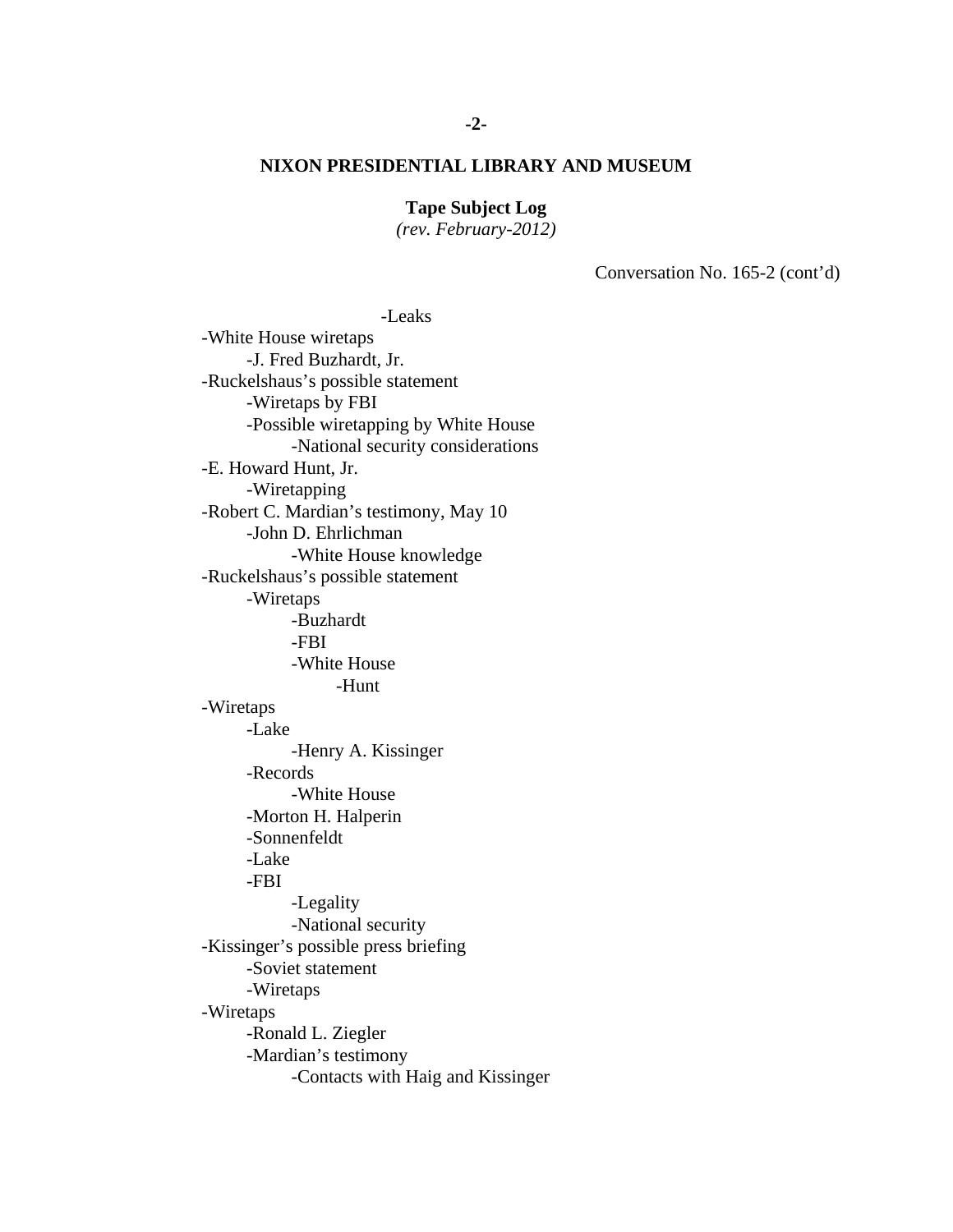# **Tape Subject Log**

*(rev. February-2012)* 

Conversation No. 165-2 (cont'd)

 -Leaks -White House wiretaps -J. Fred Buzhardt, Jr. -Ruckelshaus's possible statement -Wiretaps by FBI -Possible wiretapping by White House -National security considerations -E. Howard Hunt, Jr. -Wiretapping -Robert C. Mardian's testimony, May 10 -John D. Ehrlichman -White House knowledge -Ruckelshaus's possible statement -Wiretaps -Buzhardt -FBI -White House -Hunt -Wiretaps -Lake -Henry A. Kissinger -Records -White House -Morton H. Halperin -Sonnenfeldt -Lake -FBI -Legality -National security -Kissinger's possible press briefing -Soviet statement -Wiretaps -Wiretaps -Ronald L. Ziegler -Mardian's testimony -Contacts with Haig and Kissinger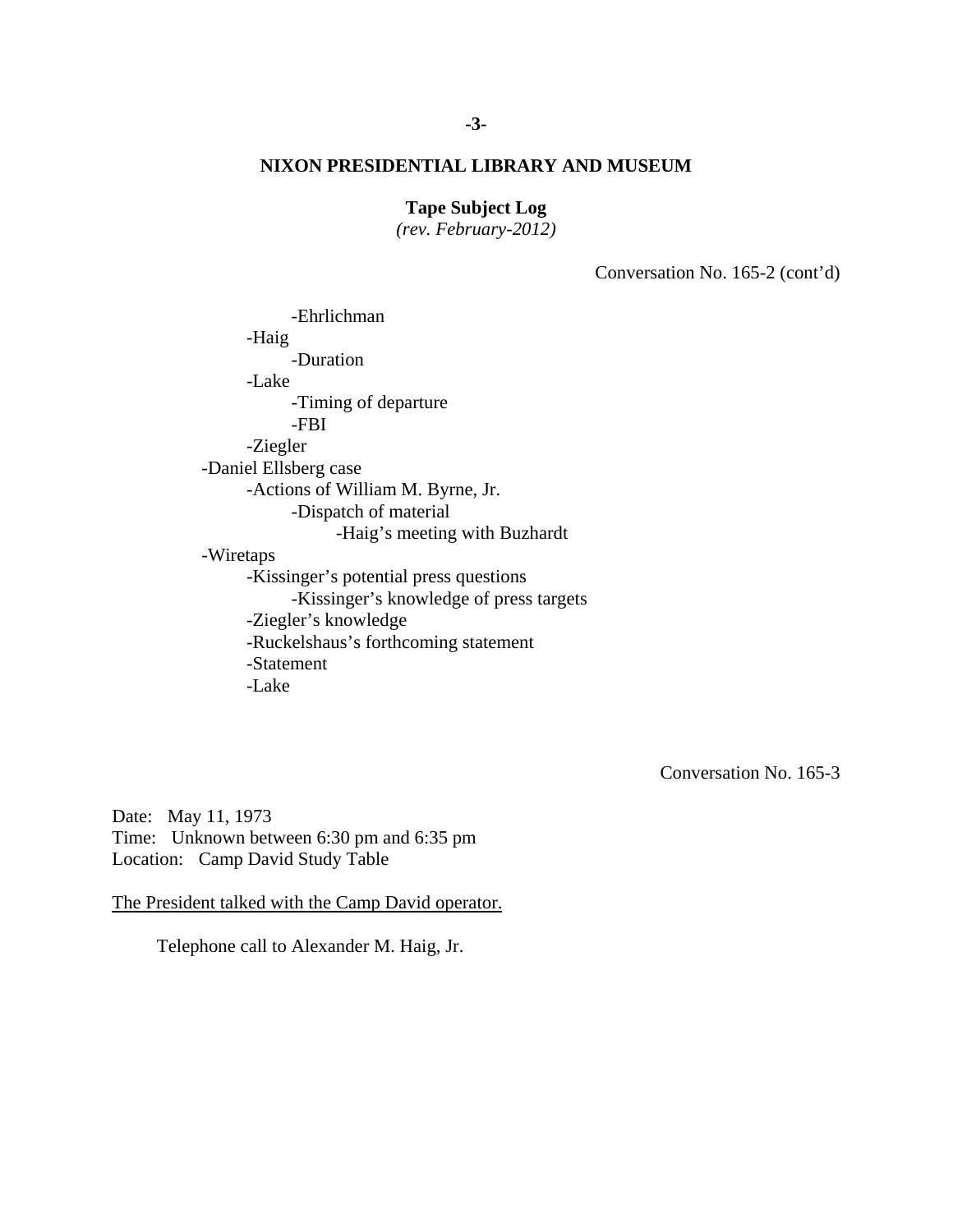# **Tape Subject Log**

*(rev. February-2012)* 

Conversation No. 165-2 (cont'd)

 -Ehrlichman -Haig -Duration -Lake -Timing of departure -FBI -Ziegler -Daniel Ellsberg case -Actions of William M. Byrne, Jr. -Dispatch of material -Haig's meeting with Buzhardt -Wiretaps -Kissinger's potential press questions -Kissinger's knowledge of press targets -Ziegler's knowledge -Ruckelshaus's forthcoming statement -Statement -Lake

Conversation No. 165-3

Date: May 11, 1973 Time: Unknown between 6:30 pm and 6:35 pm Location: Camp David Study Table

The President talked with the Camp David operator.

Telephone call to Alexander M. Haig, Jr.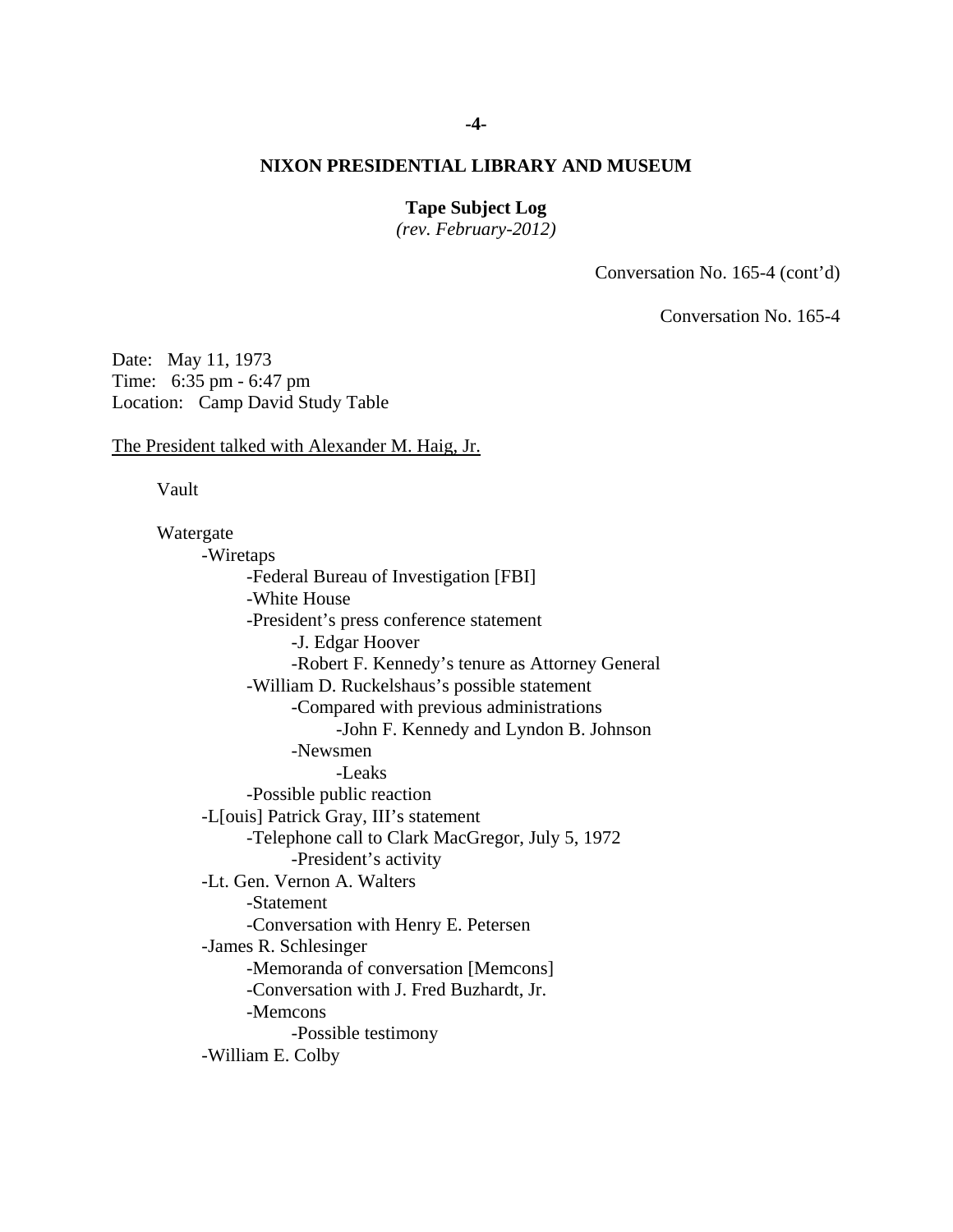### **-4-**

# **NIXON PRESIDENTIAL LIBRARY AND MUSEUM**

# **Tape Subject Log**

*(rev. February-2012)* 

Conversation No. 165-4 (cont'd)

Conversation No. 165-4

Date: May 11, 1973 Time: 6:35 pm - 6:47 pm Location: Camp David Study Table

The President talked with Alexander M. Haig, Jr.

Vault

 Watergate -Wiretaps -Federal Bureau of Investigation [FBI] -White House -President's press conference statement -J. Edgar Hoover -Robert F. Kennedy's tenure as Attorney General -William D. Ruckelshaus's possible statement -Compared with previous administrations -John F. Kennedy and Lyndon B. Johnson -Newsmen -Leaks -Possible public reaction -L[ouis] Patrick Gray, III's statement -Telephone call to Clark MacGregor, July 5, 1972 -President's activity -Lt. Gen. Vernon A. Walters -Statement -Conversation with Henry E. Petersen -James R. Schlesinger -Memoranda of conversation [Memcons] -Conversation with J. Fred Buzhardt, Jr. -Memcons -Possible testimony -William E. Colby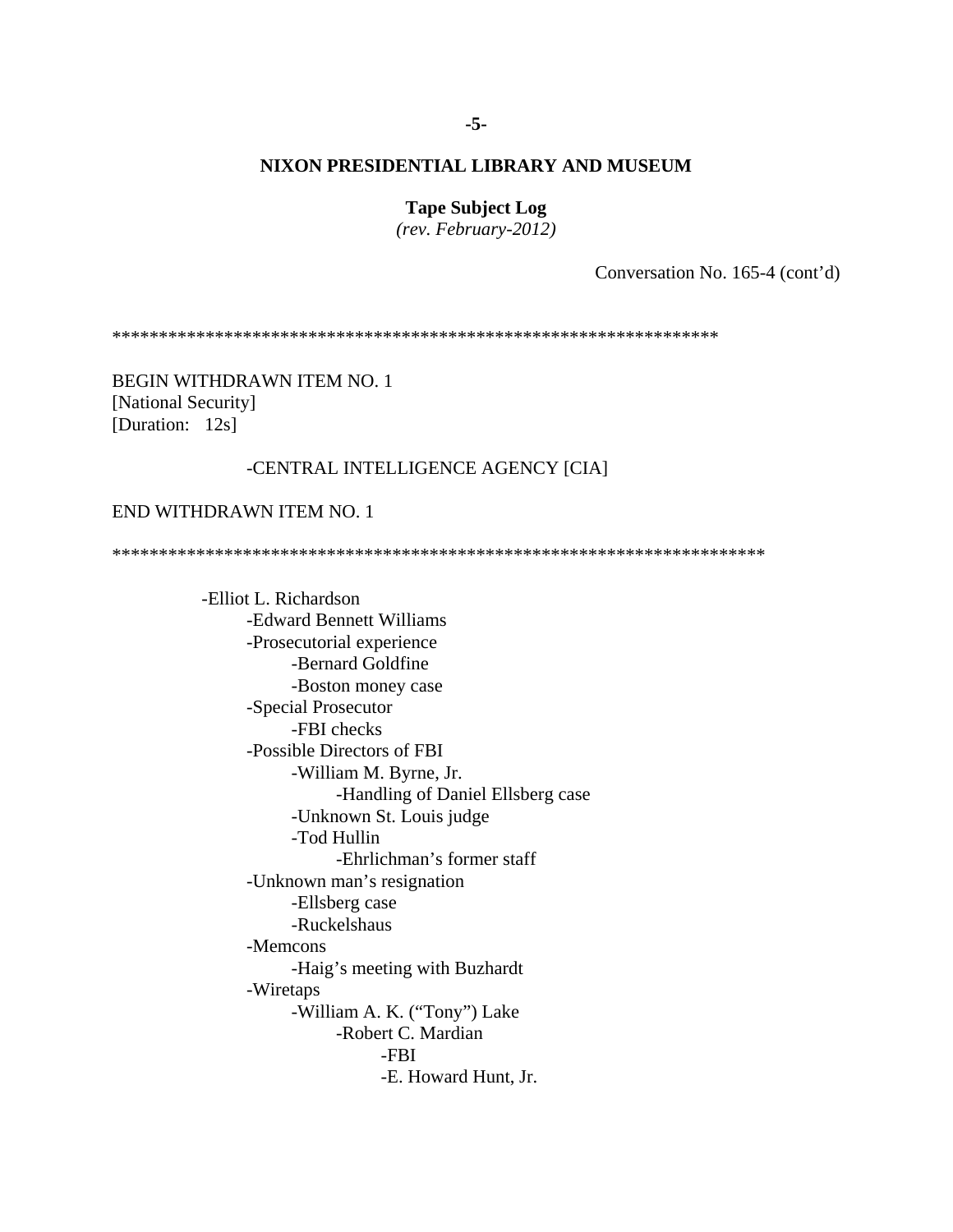**Tape Subject Log** 

*(rev. February-2012)* 

Conversation No. 165-4 (cont'd)

\*\*\*\*\*\*\*\*\*\*\*\*\*\*\*\*\*\*\*\*\*\*\*\*\*\*\*\*\*\*\*\*\*\*\*\*\*\*\*\*\*\*\*\*\*\*\*\*\*\*\*\*\*\*\*\*\*\*\*\*\*\*\*\*\*

BEGIN WITHDRAWN ITEM NO. 1 [National Security] [Duration: 12s]

### -CENTRAL INTELLIGENCE AGENCY [CIA]

# END WITHDRAWN ITEM NO. 1

\*\*\*\*\*\*\*\*\*\*\*\*\*\*\*\*\*\*\*\*\*\*\*\*\*\*\*\*\*\*\*\*\*\*\*\*\*\*\*\*\*\*\*\*\*\*\*\*\*\*\*\*\*\*\*\*\*\*\*\*\*\*\*\*\*\*\*\*\*\*

 -Elliot L. Richardson -Edward Bennett Williams -Prosecutorial experience -Bernard Goldfine -Boston money case -Special Prosecutor -FBI checks -Possible Directors of FBI -William M. Byrne, Jr. -Handling of Daniel Ellsberg case -Unknown St. Louis judge -Tod Hullin -Ehrlichman's former staff -Unknown man's resignation -Ellsberg case -Ruckelshaus -Memcons -Haig's meeting with Buzhardt -Wiretaps -William A. K. ("Tony") Lake -Robert C. Mardian -FBI -E. Howard Hunt, Jr.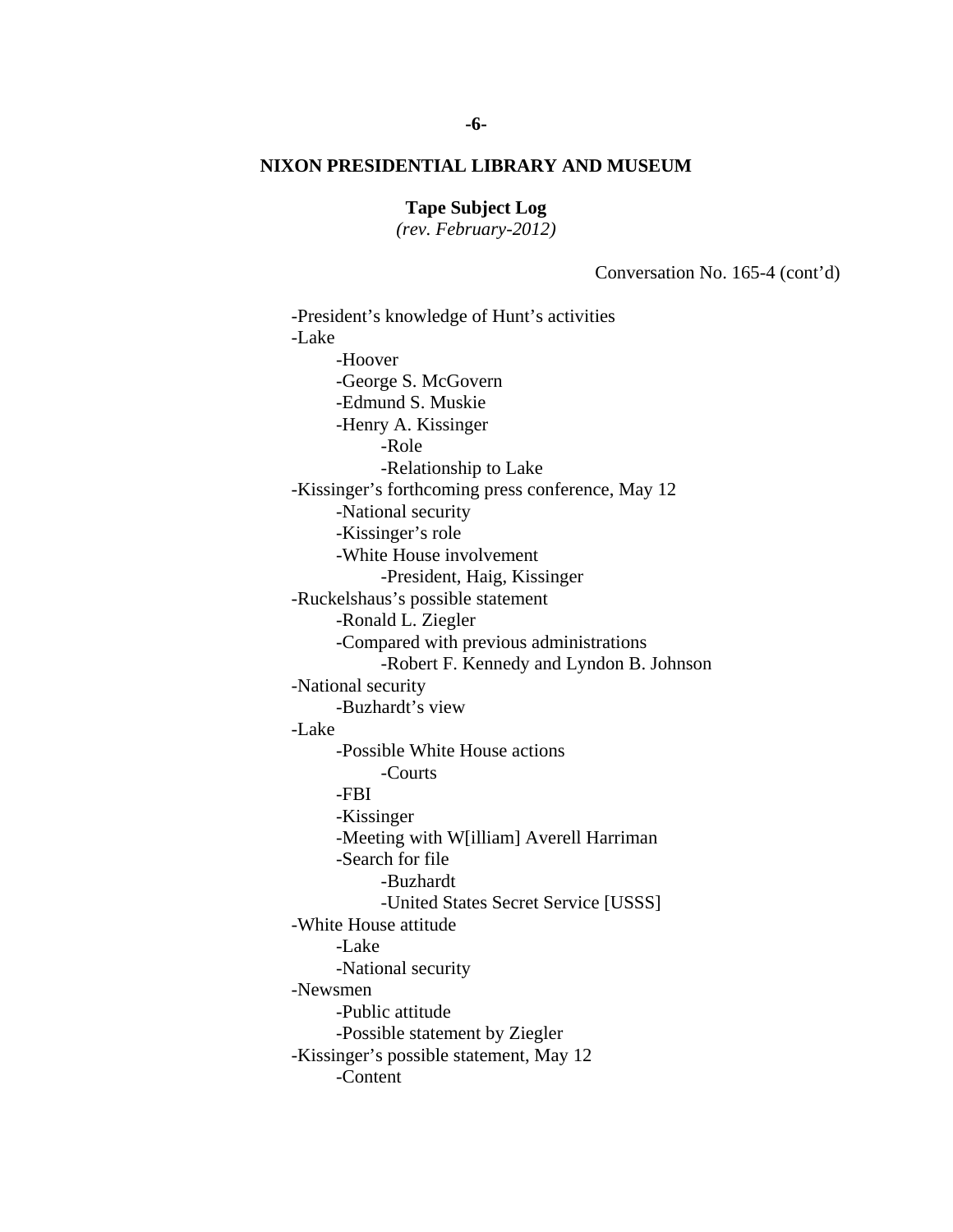**Tape Subject Log** 

*(rev. February-2012)* 

Conversation No. 165-4 (cont'd)

 -Ronald L. Ziegler -Search for file -President's knowledge of Hunt's activities -Lake -Hoover -George S. McGovern -Edmund S. Muskie -Henry A. Kissinger -Role -Relationship to Lake -Kissinger's forthcoming press conference, May 12 -National security -Kissinger's role -White House involvement -President, Haig, Kissinger -Ruckelshaus's possible statement -Compared with previous administrations -Robert F. Kennedy and Lyndon B. Johnson -National security -Buzhardt's view -Lake -Possible White House actions -Courts -FBI -Kissinger -Meeting with W[illiam] Averell Harriman -Buzhardt -United States Secret Service [USSS] -White House attitude -Lake -National security -Newsmen -Public attitude -Possible statement by Ziegler -Kissinger's possible statement, May 12 -Content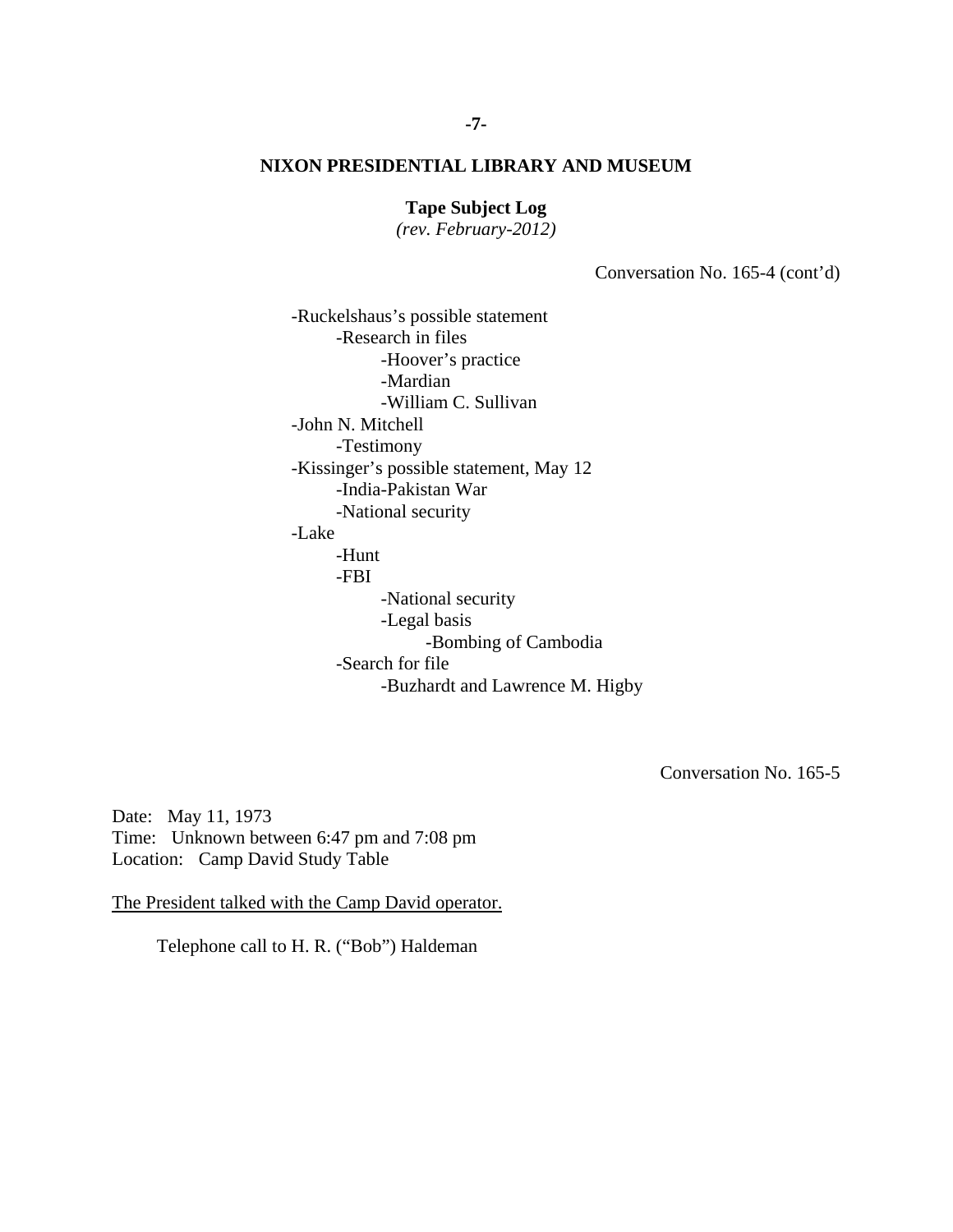# **Tape Subject Log**

*(rev. February-2012)* 

Conversation No. 165-4 (cont'd)

 -Legal basis -Search for file -Ruckelshaus's possible statement -Research in files -Hoover's practice -Mardian -William C. Sullivan -John N. Mitchell -Testimony -Kissinger's possible statement, May 12 -India-Pakistan War -National security -Lake -Hunt -FBI -National security -Bombing of Cambodia -Buzhardt and Lawrence M. Higby

Conversation No. 165-5

Date: May 11, 1973 Time: Unknown between 6:47 pm and 7:08 pm Location: Camp David Study Table

The President talked with the Camp David operator.

Telephone call to H. R. ("Bob") Haldeman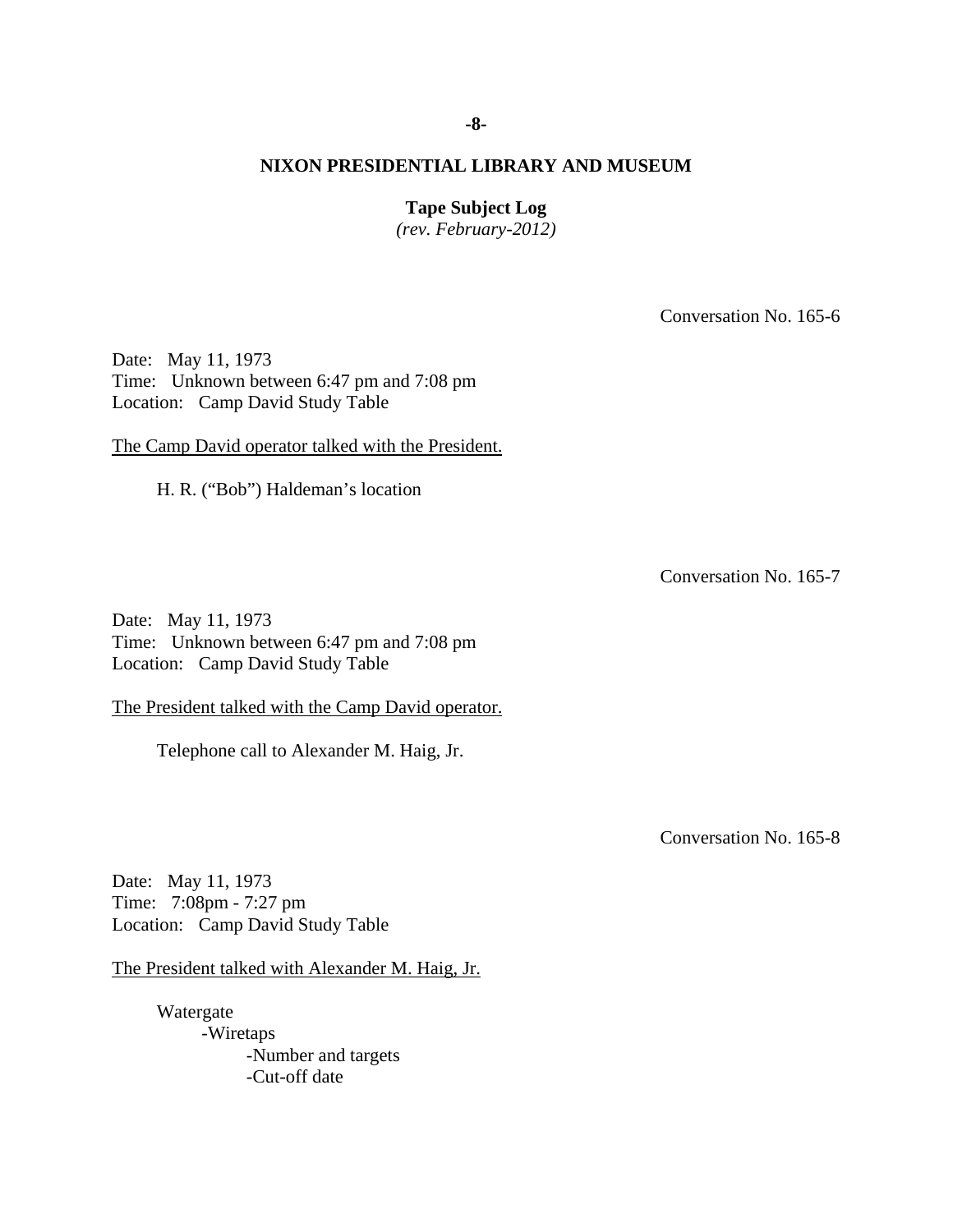**Tape Subject Log** 

*(rev. February-2012)* 

Conversation No. 165-6

Date: May 11, 1973 Time: Unknown between 6:47 pm and 7:08 pm Location: Camp David Study Table

The Camp David operator talked with the President.

H. R. ("Bob") Haldeman's location

Conversation No. 165-7

Date: May 11, 1973 Time: Unknown between 6:47 pm and 7:08 pm Location: Camp David Study Table

The President talked with the Camp David operator.

Telephone call to Alexander M. Haig, Jr.

Conversation No. 165-8

Date: May 11, 1973 Time: 7:08pm - 7:27 pm Location: Camp David Study Table

The President talked with Alexander M. Haig, Jr.

 Watergate -Wiretaps -Number and targets -Cut-off date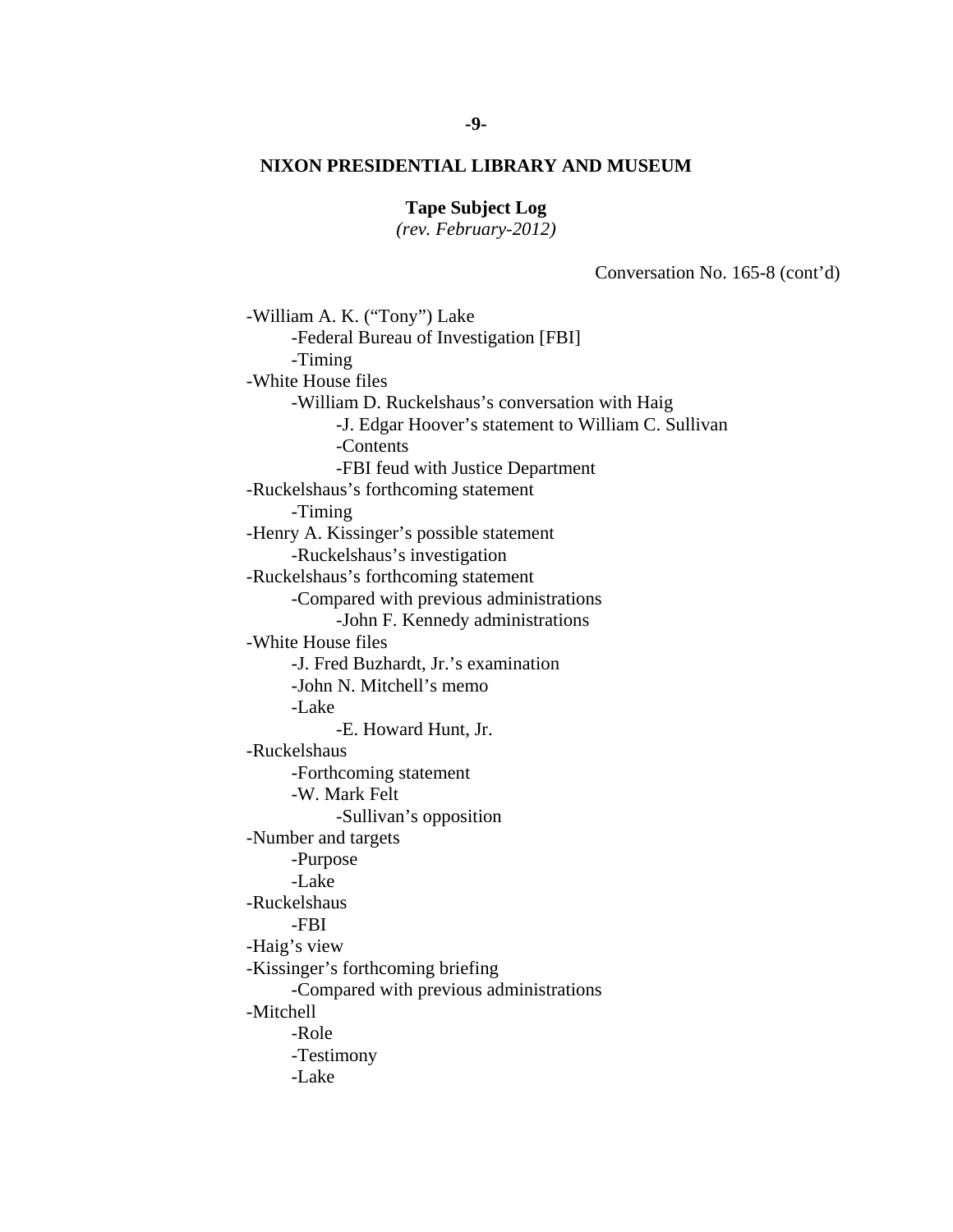# **Tape Subject Log**

*(rev. February-2012)* 

Conversation No. 165-8 (cont'd)

 -W. Mark Felt -William A. K. ("Tony") Lake -Federal Bureau of Investigation [FBI] -Timing -White House files -William D. Ruckelshaus's conversation with Haig -J. Edgar Hoover's statement to William C. Sullivan -Contents -FBI feud with Justice Department -Ruckelshaus's forthcoming statement -Timing -Henry A. Kissinger's possible statement -Ruckelshaus's investigation -Ruckelshaus's forthcoming statement -Compared with previous administrations -John F. Kennedy administrations -White House files -J. Fred Buzhardt, Jr.'s examination -John N. Mitchell's memo -Lake -E. Howard Hunt, Jr. -Ruckelshaus -Forthcoming statement -Sullivan's opposition -Number and targets -Purpose -Lake -Ruckelshaus -FBI -Haig's view -Kissinger's forthcoming briefing -Compared with previous administrations -Mitchell -Role -Testimony -Lake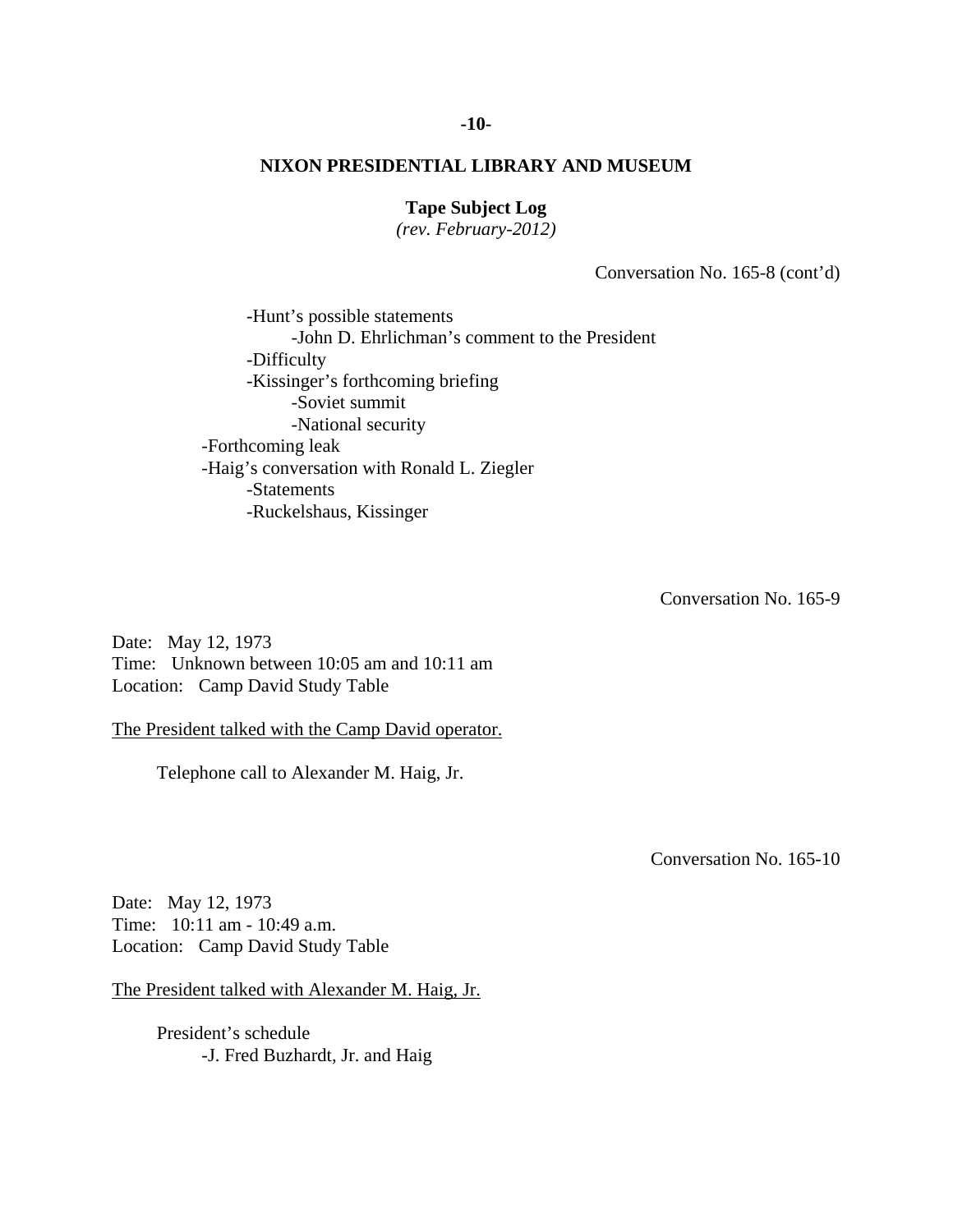# **Tape Subject Log**

*(rev. February-2012)* 

Conversation No. 165-8 (cont'd)

 -Soviet summit -Hunt's possible statements -John D. Ehrlichman's comment to the President -Difficulty -Kissinger's forthcoming briefing -National security -Forthcoming leak -Haig's conversation with Ronald L. Ziegler -Statements -Ruckelshaus, Kissinger

Conversation No. 165-9

Date: May 12, 1973 Time: Unknown between 10:05 am and 10:11 am Location: Camp David Study Table

The President talked with the Camp David operator.

Telephone call to Alexander M. Haig, Jr.

Conversation No. 165-10

Date: May 12, 1973 Time: 10:11 am - 10:49 a.m. Location: Camp David Study Table

The President talked with Alexander M. Haig, Jr.

 President's schedule -J. Fred Buzhardt, Jr. and Haig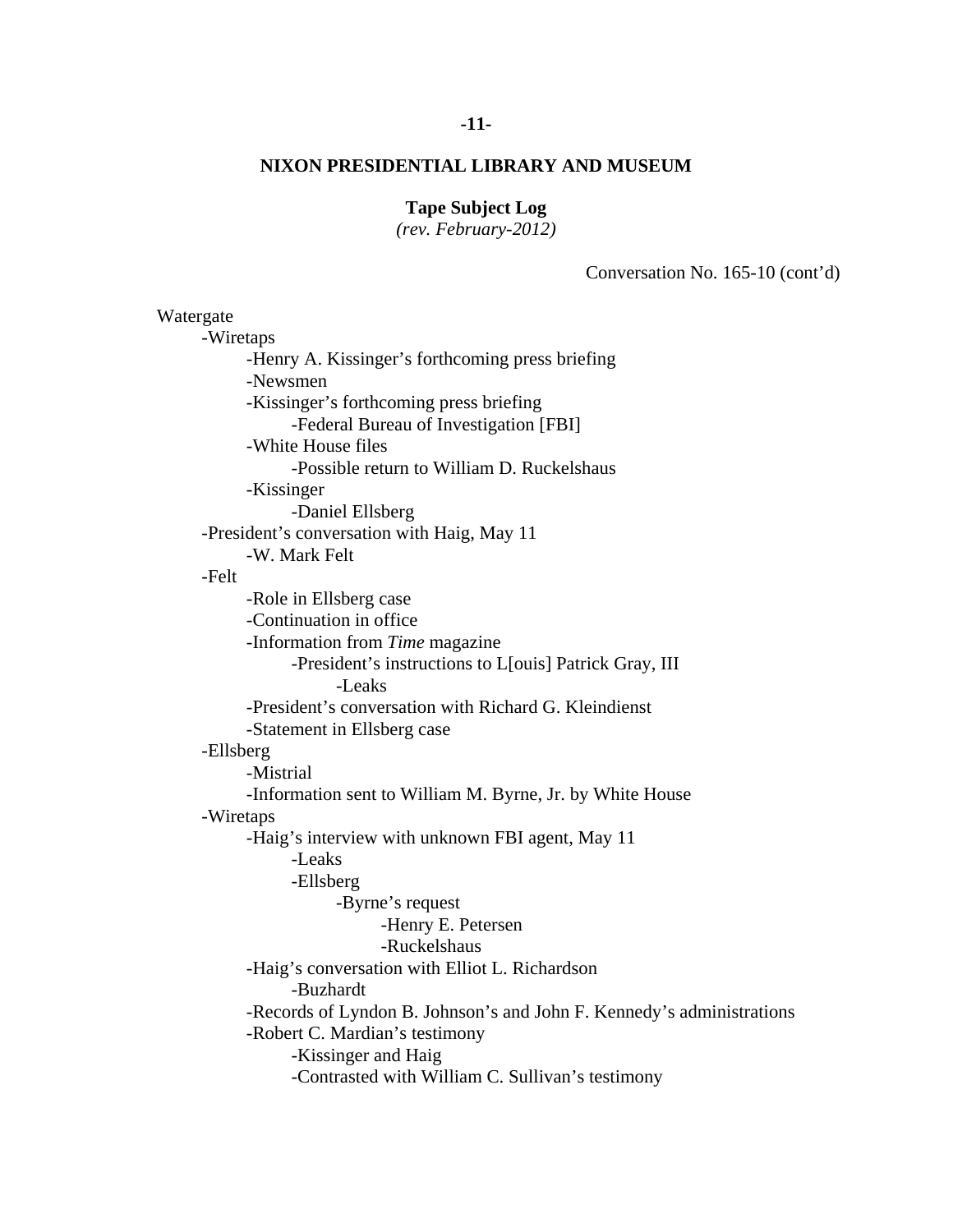# **-11-**

# **NIXON PRESIDENTIAL LIBRARY AND MUSEUM**

# **Tape Subject Log**

*(rev. February-2012)* 

Conversation No. 165-10 (cont'd)

| Watergate |                                                                       |
|-----------|-----------------------------------------------------------------------|
| -Wiretaps |                                                                       |
|           | -Henry A. Kissinger's forthcoming press briefing                      |
|           | -Newsmen                                                              |
|           | -Kissinger's forthcoming press briefing                               |
|           | -Federal Bureau of Investigation [FBI]                                |
|           | -White House files                                                    |
|           | -Possible return to William D. Ruckelshaus                            |
|           | -Kissinger                                                            |
|           | -Daniel Ellsberg                                                      |
|           | -President's conversation with Haig, May 11                           |
|           | -W. Mark Felt                                                         |
| -Felt     |                                                                       |
|           | -Role in Ellsberg case                                                |
|           | -Continuation in office                                               |
|           | -Information from Time magazine                                       |
|           | -President's instructions to L[ouis] Patrick Gray, III                |
|           | -Leaks                                                                |
|           | -President's conversation with Richard G. Kleindienst                 |
|           | -Statement in Ellsberg case                                           |
| -Ellsberg |                                                                       |
|           | -Mistrial                                                             |
|           | -Information sent to William M. Byrne, Jr. by White House             |
| -Wiretaps |                                                                       |
|           | -Haig's interview with unknown FBI agent, May 11                      |
|           | -Leaks                                                                |
|           | -Ellsberg                                                             |
|           | -Byrne's request                                                      |
|           | -Henry E. Petersen                                                    |
|           | -Ruckelshaus                                                          |
|           | -Haig's conversation with Elliot L. Richardson                        |
|           | -Buzhardt                                                             |
|           | -Records of Lyndon B. Johnson's and John F. Kennedy's administrations |
|           | -Robert C. Mardian's testimony                                        |
|           | -Kissinger and Haig                                                   |
|           | -Contrasted with William C. Sullivan's testimony                      |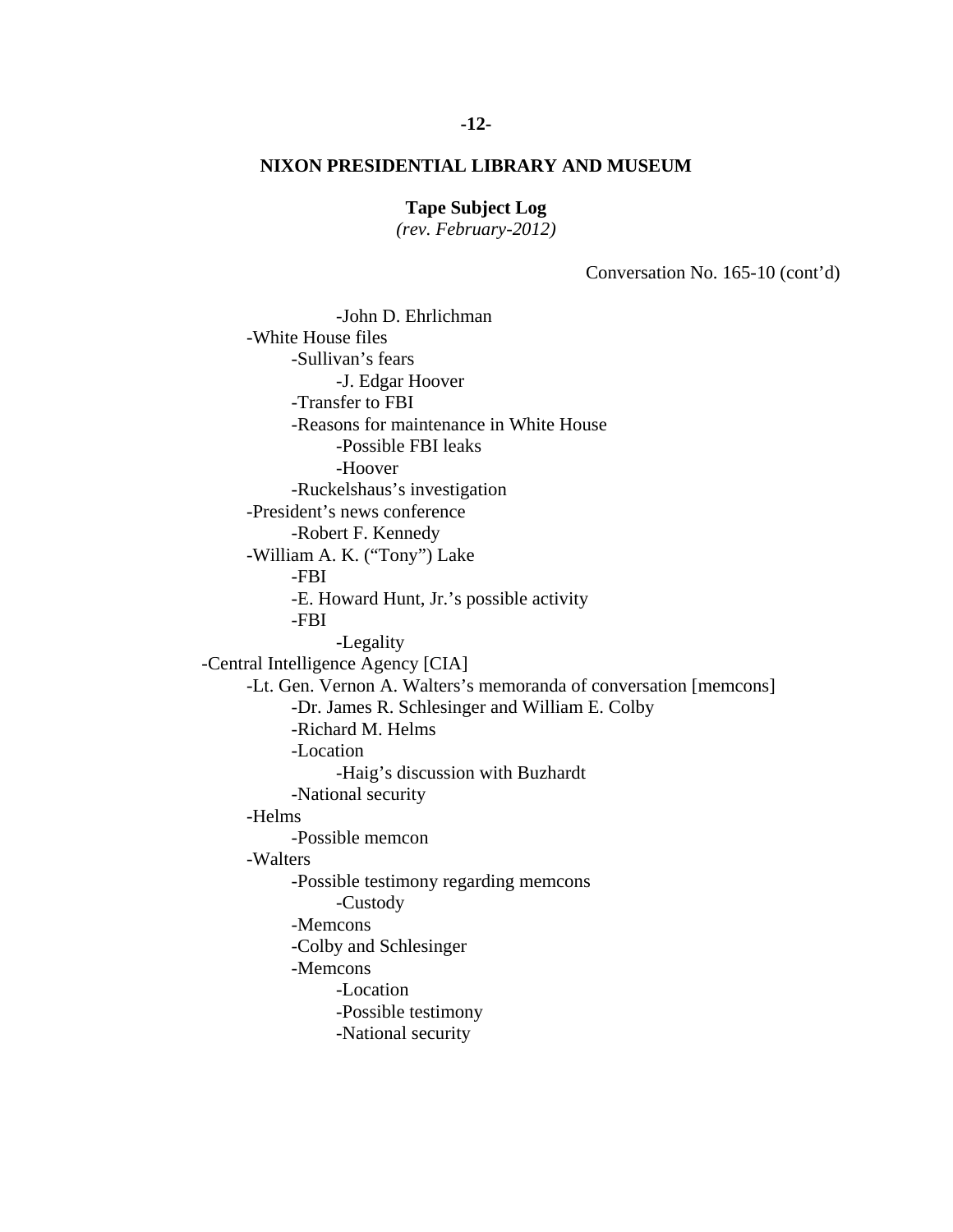# **Tape Subject Log**

*(rev. February-2012)* 

Conversation No. 165-10 (cont'd)

 -Possible FBI leaks -Richard M. Helms -John D. Ehrlichman -White House files -Sullivan's fears -J. Edgar Hoover -Transfer to FBI -Reasons for maintenance in White House -Hoover -Ruckelshaus's investigation -President's news conference -Robert F. Kennedy -William A. K. ("Tony") Lake -FBI -E. Howard Hunt, Jr.'s possible activity -FBI -Legality -Central Intelligence Agency [CIA] -Lt. Gen. Vernon A. Walters's memoranda of conversation [memcons] -Dr. James R. Schlesinger and William E. Colby -Location -Haig's discussion with Buzhardt -National security -Helms -Possible memcon -Walters -Possible testimony regarding memcons -Custody -Memcons -Colby and Schlesinger -Memcons -Location -Possible testimony -National security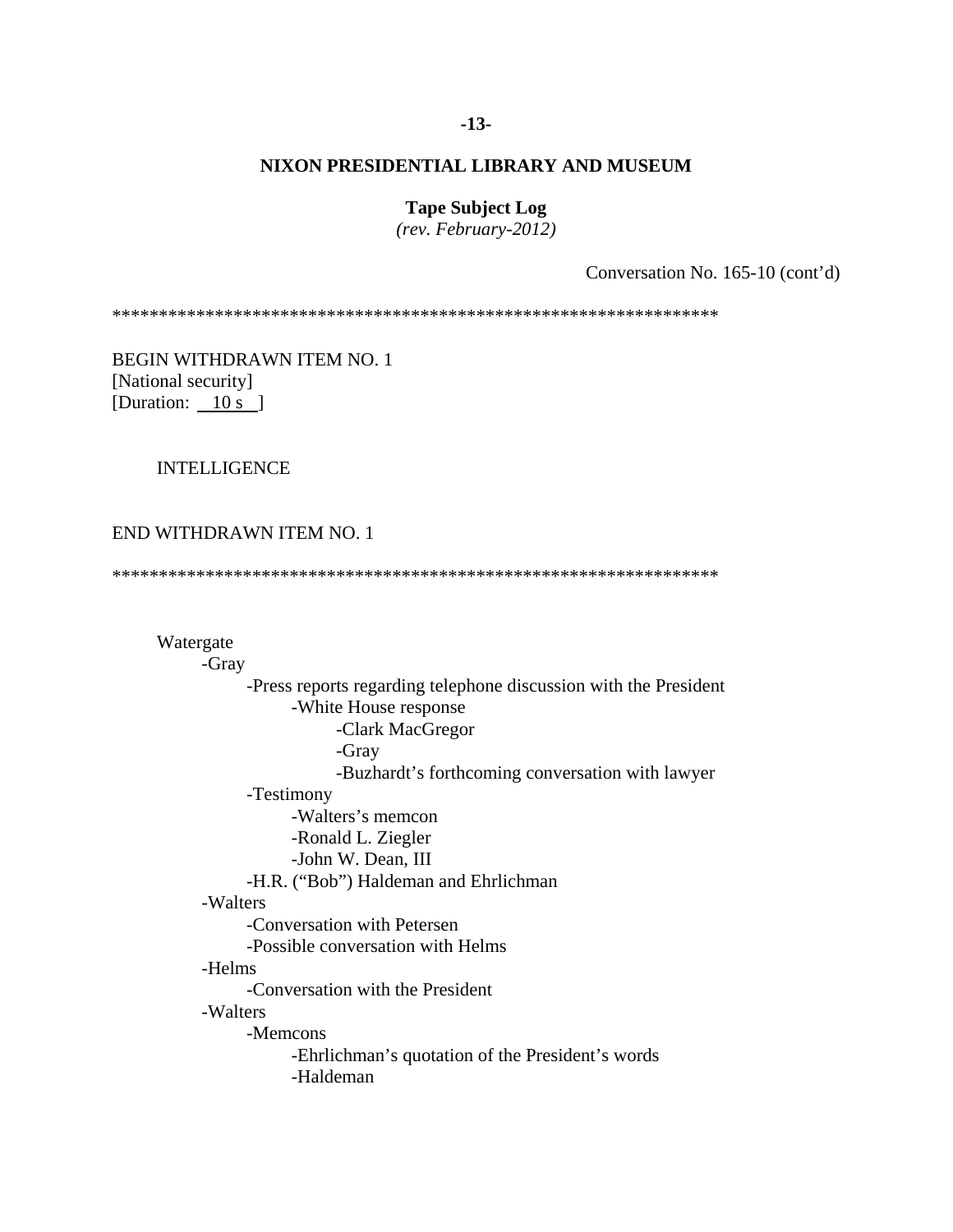### **-13-**

# **NIXON PRESIDENTIAL LIBRARY AND MUSEUM**

**Tape Subject Log** 

*(rev. February-2012)* 

Conversation No. 165-10 (cont'd)

\*\*\*\*\*\*\*\*\*\*\*\*\*\*\*\*\*\*\*\*\*\*\*\*\*\*\*\*\*\*\*\*\*\*\*\*\*\*\*\*\*\*\*\*\*\*\*\*\*\*\*\*\*\*\*\*\*\*\*\*\*\*\*\*\*

BEGIN WITHDRAWN ITEM NO. 1 [National security] [Duration:  $10 s$ ]

# INTELLIGENCE

# END WITHDRAWN ITEM NO. 1

\*\*\*\*\*\*\*\*\*\*\*\*\*\*\*\*\*\*\*\*\*\*\*\*\*\*\*\*\*\*\*\*\*\*\*\*\*\*\*\*\*\*\*\*\*\*\*\*\*\*\*\*\*\*\*\*\*\*\*\*\*\*\*\*\*

 Watergate -Gray -Press reports regarding telephone discussion with the President -White House response -Clark MacGregor -Gray -Buzhardt's forthcoming conversation with lawyer -Testimony -Walters's memcon -Ronald L. Ziegler -John W. Dean, III -H.R. ("Bob") Haldeman and Ehrlichman -Walters -Conversation with Petersen -Possible conversation with Helms -Helms -Conversation with the President -Walters -Memcons -Ehrlichman's quotation of the President's words -Haldeman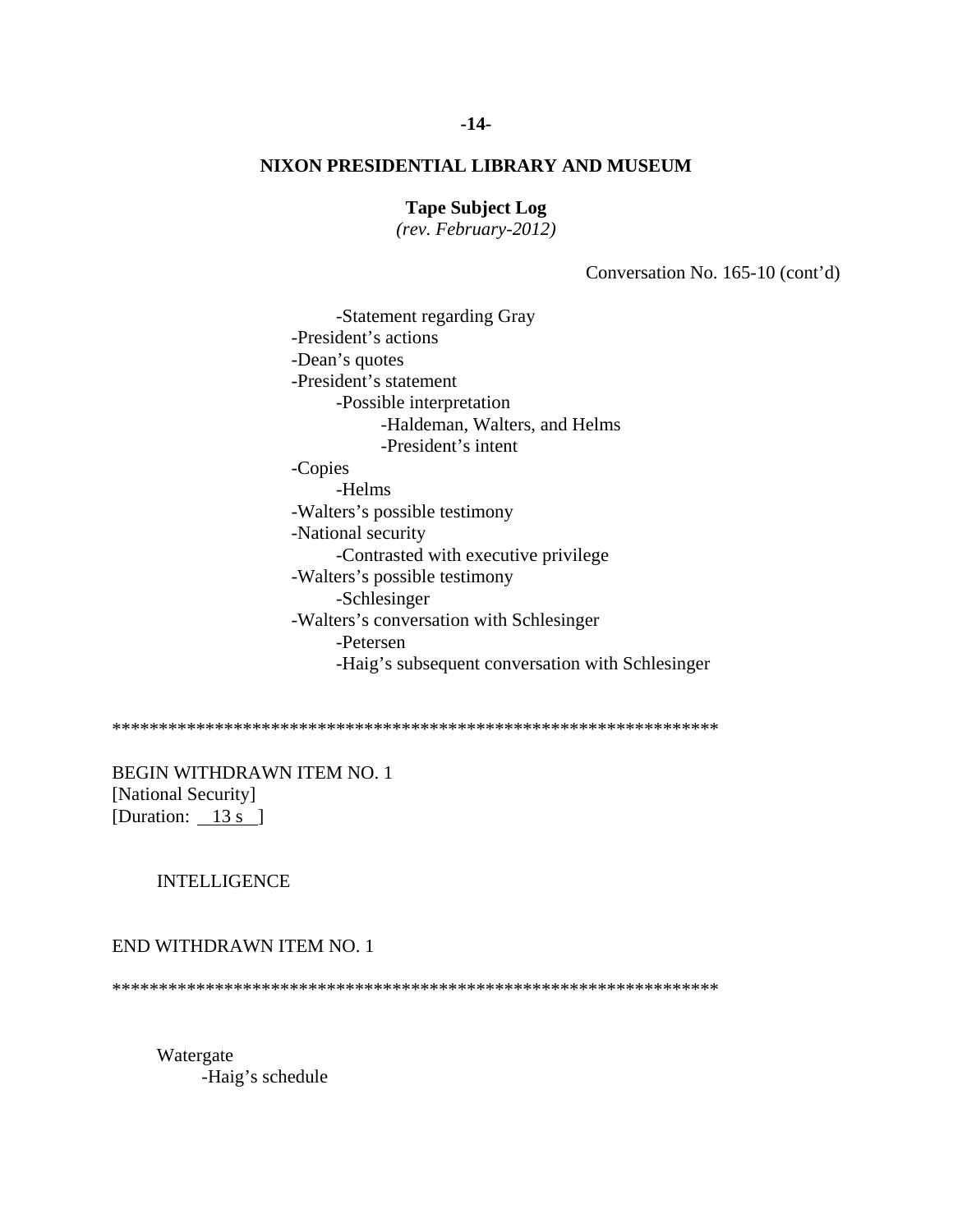# **Tape Subject Log**

*(rev. February-2012)* 

Conversation No. 165-10 (cont'd)

 -Statement regarding Gray -President's actions -Dean's quotes -President's statement -Possible interpretation -Haldeman, Walters, and Helms -President's intent -Copies -Helms -Walters's possible testimony -National security -Contrasted with executive privilege -Walters's possible testimony -Schlesinger -Walters's conversation with Schlesinger -Petersen -Haig's subsequent conversation with Schlesinger

\*\*\*\*\*\*\*\*\*\*\*\*\*\*\*\*\*\*\*\*\*\*\*\*\*\*\*\*\*\*\*\*\*\*\*\*\*\*\*\*\*\*\*\*\*\*\*\*\*\*\*\*\*\*\*\*\*\*\*\*\*\*\*\*\*

BEGIN WITHDRAWN ITEM NO. 1 [National Security] [Duration:  $13 s$ ]

# INTELLIGENCE

#### END WITHDRAWN ITEM NO. 1

\*\*\*\*\*\*\*\*\*\*\*\*\*\*\*\*\*\*\*\*\*\*\*\*\*\*\*\*\*\*\*\*\*\*\*\*\*\*\*\*\*\*\*\*\*\*\*\*\*\*\*\*\*\*\*\*\*\*\*\*\*\*\*\*\*

 Watergate -Haig's schedule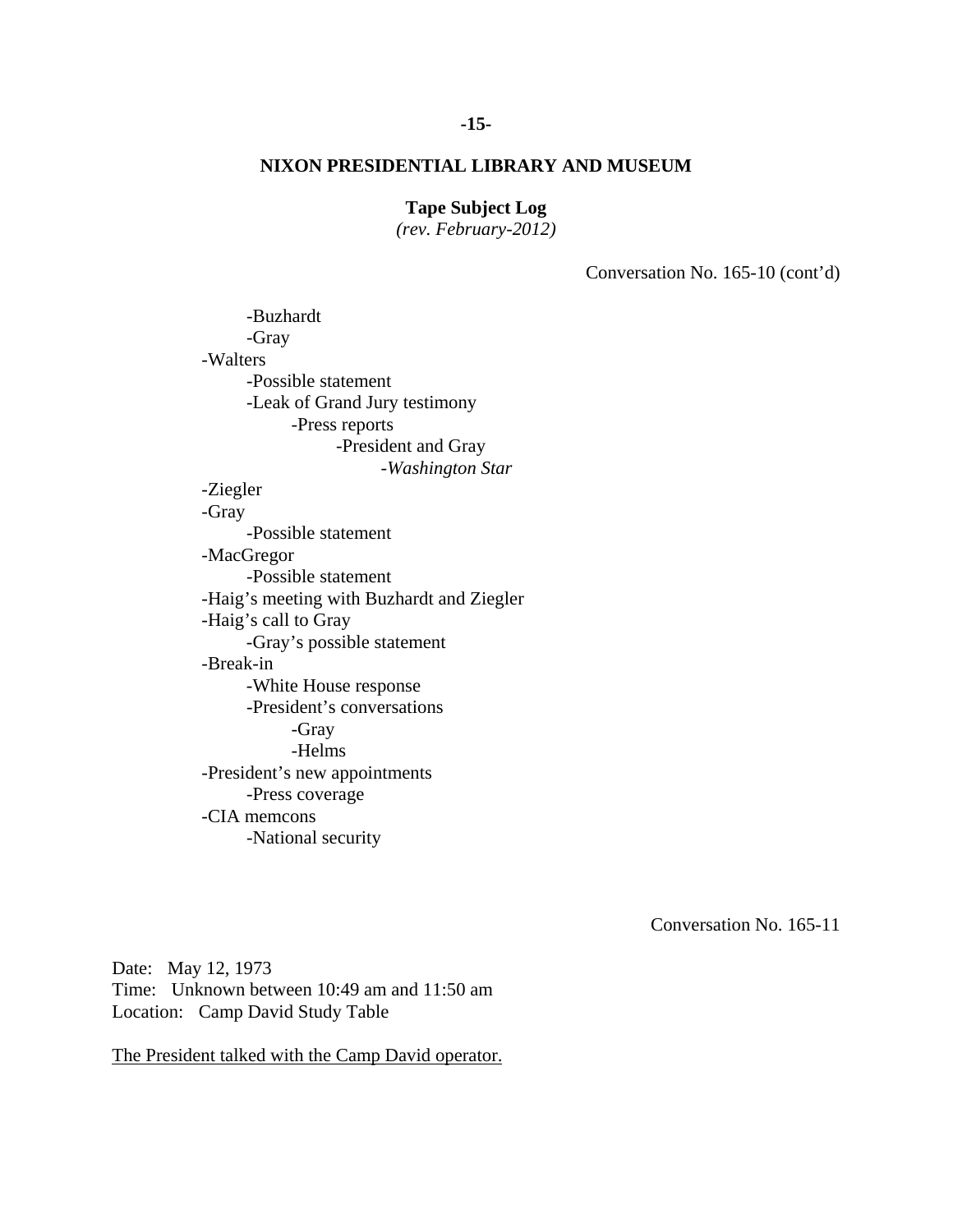# **Tape Subject Log**

*(rev. February-2012)* 

Conversation No. 165-10 (cont'd)

-Buzhardt -Gray -Walters -Possible statement -Leak of Grand Jury testimony -Press reports -President and Gray -*Washington Star* -Ziegler -Gray -Possible statement -MacGregor -Possible statement -Haig's meeting with Buzhardt and Ziegler -Haig's call to Gray -Gray's possible statement -Break-in -White House response -President's conversations -Gray -Helms -President's new appointments -Press coverage -CIA memcons -National security

Conversation No. 165-11

Date: May 12, 1973 Time: Unknown between 10:49 am and 11:50 am Location: Camp David Study Table

The President talked with the Camp David operator.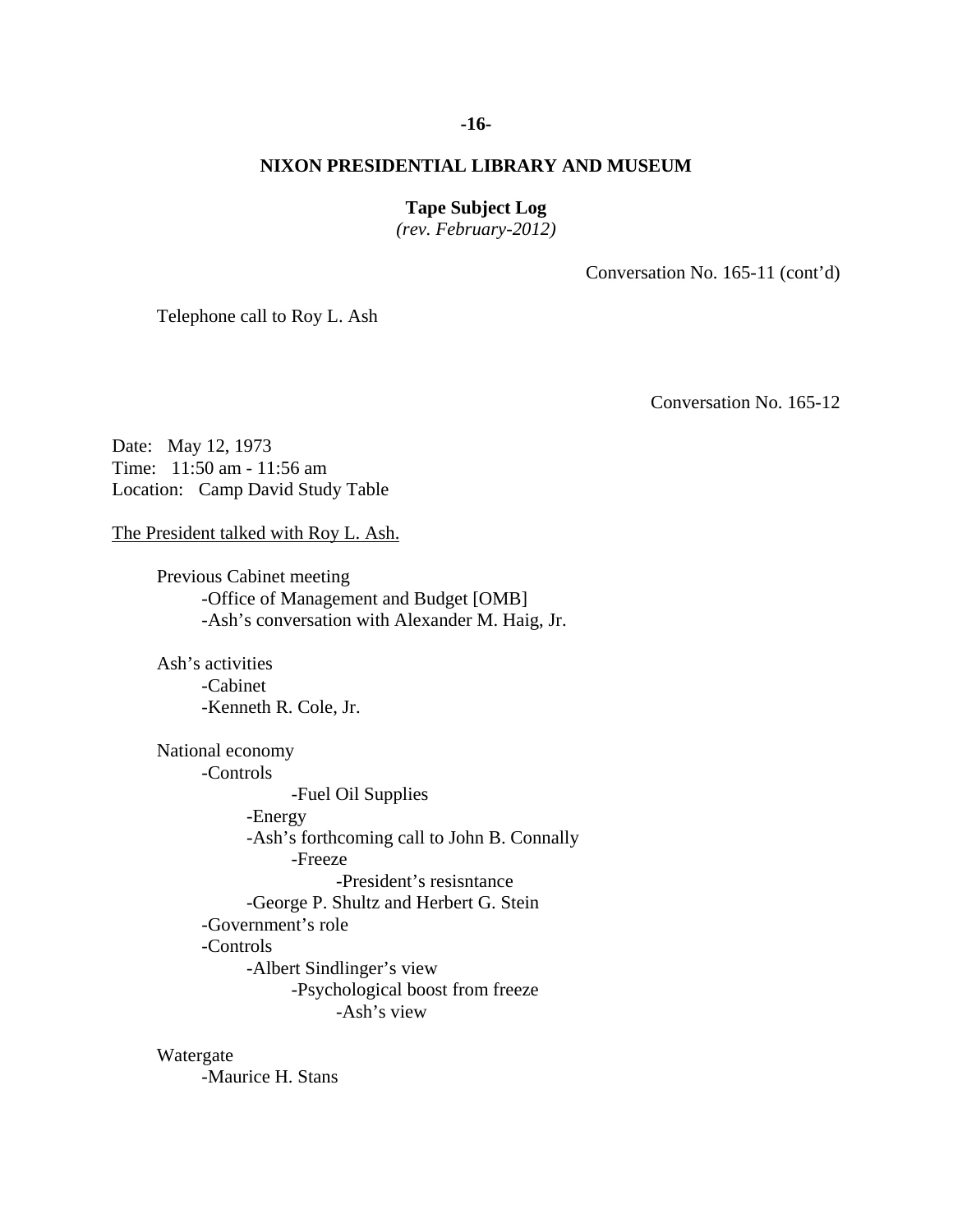### **-16-**

# **NIXON PRESIDENTIAL LIBRARY AND MUSEUM**

# **Tape Subject Log**

*(rev. February-2012)* 

Conversation No. 165-11 (cont'd)

Telephone call to Roy L. Ash

Conversation No. 165-12

Date: May 12, 1973 Time: 11:50 am - 11:56 am Location: Camp David Study Table

The President talked with Roy L. Ash.

Previous Cabinet meeting -Office of Management and Budget [OMB] -Ash's conversation with Alexander M. Haig, Jr.

 Ash's activities -Cabinet -Kenneth R. Cole, Jr.

 -Ash's view National economy -Controls -Fuel Oil Supplies -Energy -Ash's forthcoming call to John B. Connally -Freeze -President's resisntance -George P. Shultz and Herbert G. Stein -Government's role -Controls -Albert Sindlinger's view -Psychological boost from freeze

Watergate

-Maurice H. Stans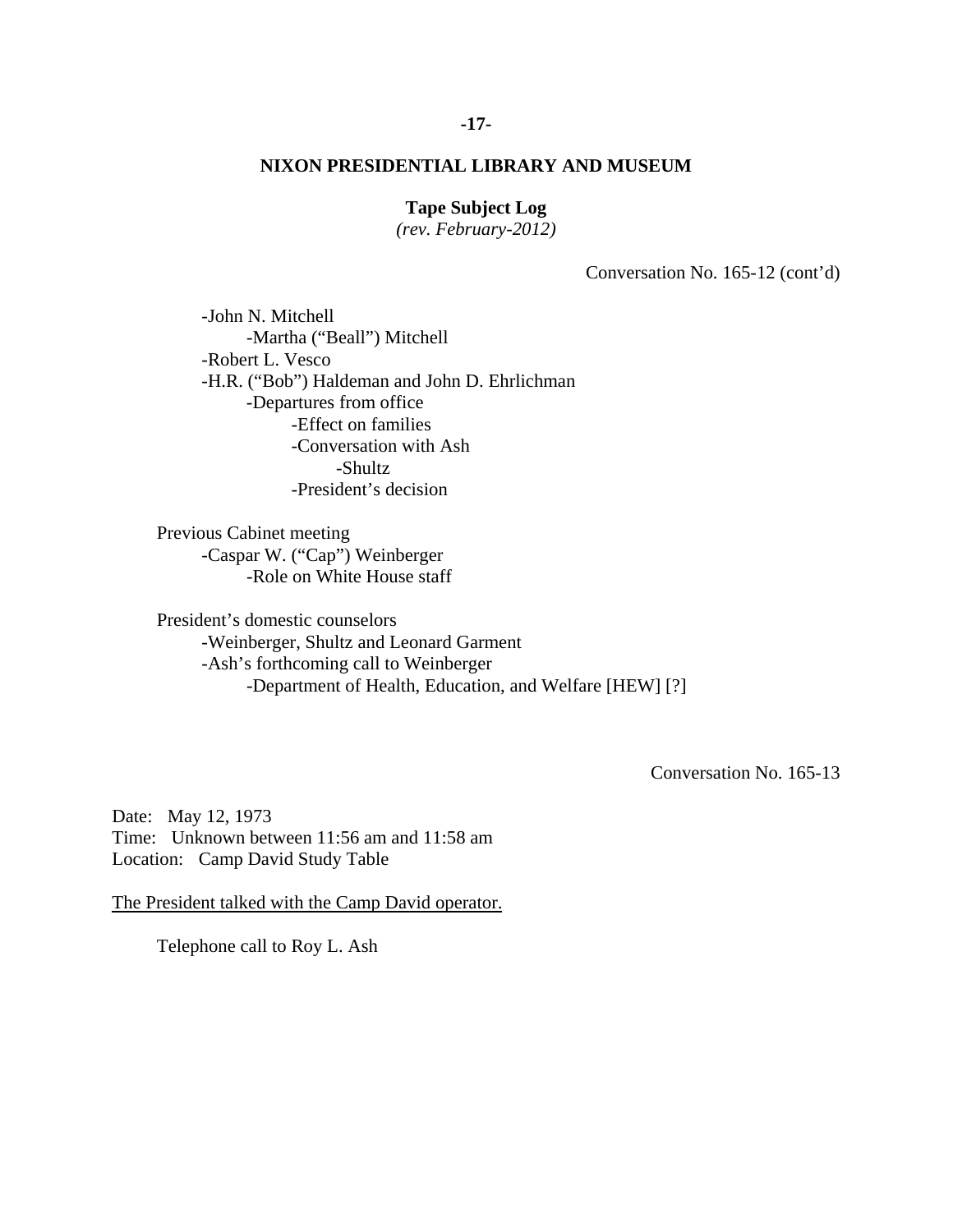# **Tape Subject Log**

*(rev. February-2012)* 

Conversation No. 165-12 (cont'd)

 -John N. Mitchell -Martha ("Beall") Mitchell -Robert L. Vesco -H.R. ("Bob") Haldeman and John D. Ehrlichman -Departures from office -Effect on families -Conversation with Ash -Shultz -President's decision

Previous Cabinet meeting -Caspar W. ("Cap") Weinberger -Role on White House staff

President's domestic counselors -Weinberger, Shultz and Leonard Garment -Ash's forthcoming call to Weinberger -Department of Health, Education, and Welfare [HEW] [?]

Conversation No. 165-13

Date: May 12, 1973 Time: Unknown between 11:56 am and 11:58 am Location: Camp David Study Table

The President talked with the Camp David operator.

Telephone call to Roy L. Ash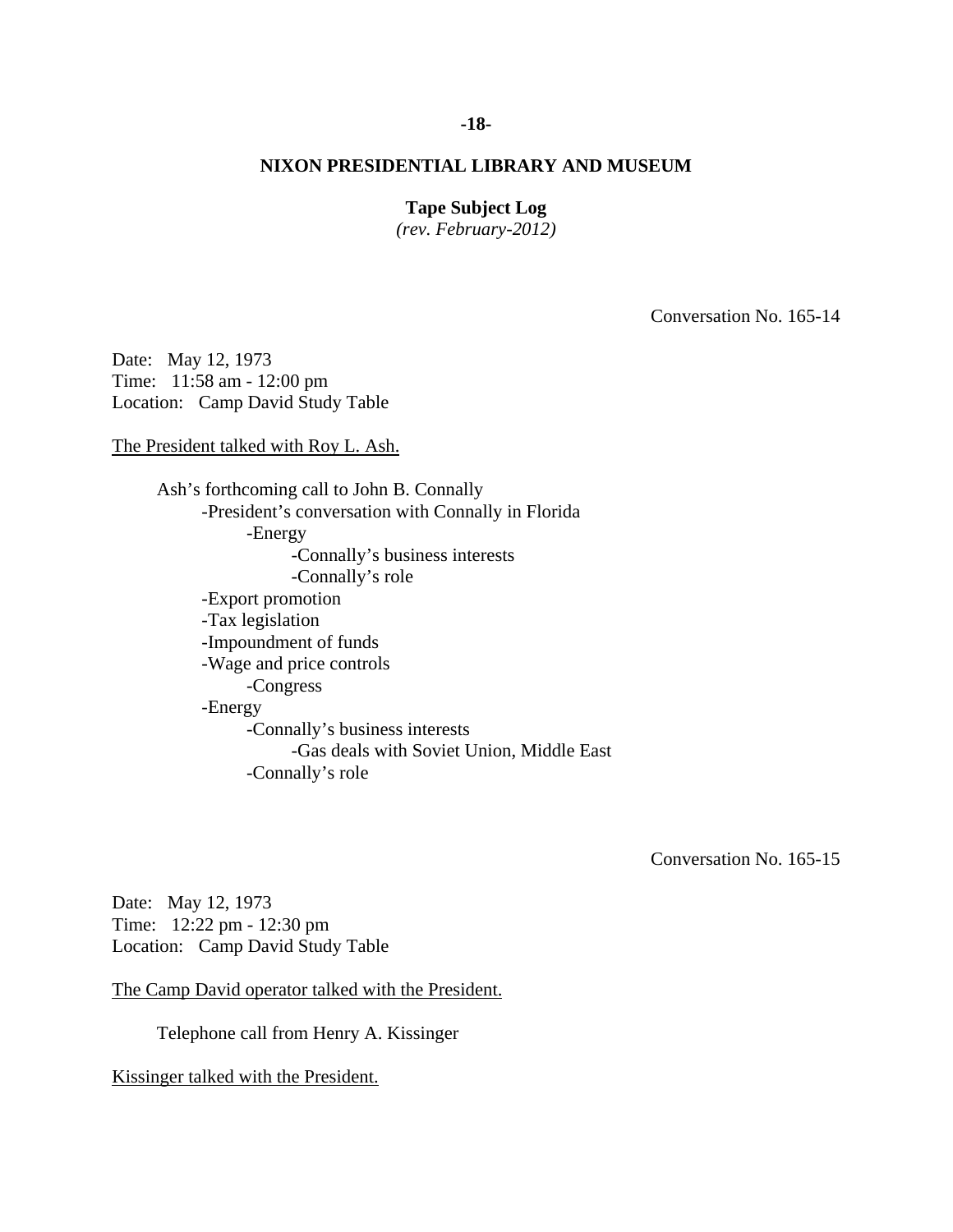### **-18-**

# **NIXON PRESIDENTIAL LIBRARY AND MUSEUM**

# **Tape Subject Log**

*(rev. February-2012)* 

Conversation No. 165-14

Date: May 12, 1973 Time: 11:58 am - 12:00 pm Location: Camp David Study Table

The President talked with Roy L. Ash.

Ash's forthcoming call to John B. Connally -President's conversation with Connally in Florida -Energy -Connally's business interests -Connally's role -Export promotion -Tax legislation -Impoundment of funds -Wage and price controls -Congress -Energy -Connally's business interests -Gas deals with Soviet Union, Middle East -Connally's role

Conversation No. 165-15

Date: May 12, 1973 Time: 12:22 pm - 12:30 pm Location: Camp David Study Table

The Camp David operator talked with the President.

Telephone call from Henry A. Kissinger

Kissinger talked with the President.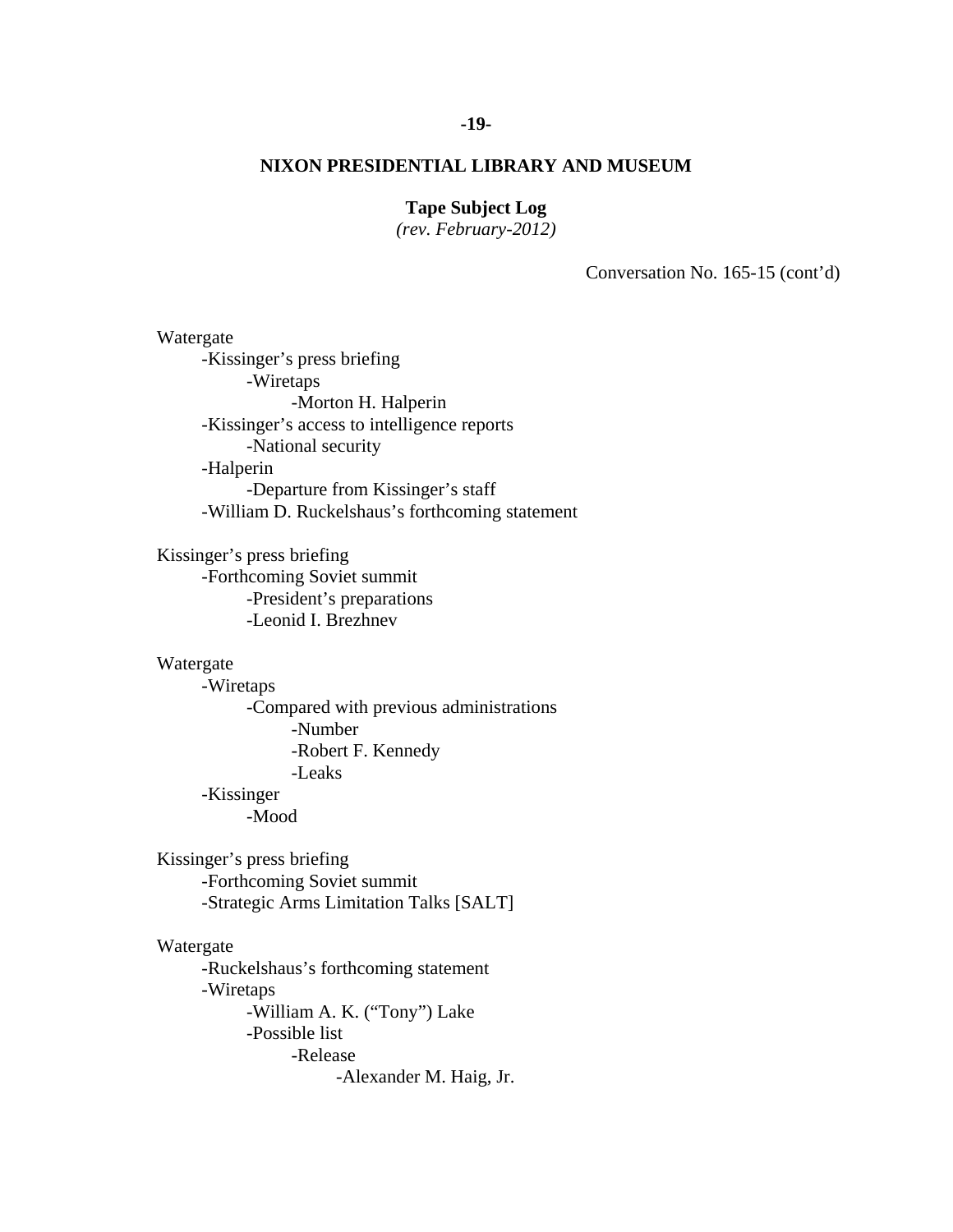### **-19-**

# **NIXON PRESIDENTIAL LIBRARY AND MUSEUM**

# **Tape Subject Log**

*(rev. February-2012)* 

Conversation No. 165-15 (cont'd)

 Watergate -Kissinger's press briefing -Wiretaps -Morton H. Halperin -Kissinger's access to intelligence reports -National security -Halperin -Departure from Kissinger's staff -William D. Ruckelshaus's forthcoming statement Kissinger's press briefing -Forthcoming Soviet summit -President's preparations -Leonid I. Brezhnev Watergate -Wiretaps -Compared with previous administrations -Number -Robert F. Kennedy -Leaks -Kissinger -Mood Kissinger's press briefing -Forthcoming Soviet summit -Strategic Arms Limitation Talks [SALT] Watergate -Ruckelshaus's forthcoming statement -Wiretaps -William A. K. ("Tony") Lake -Possible list -Release -Alexander M. Haig, Jr.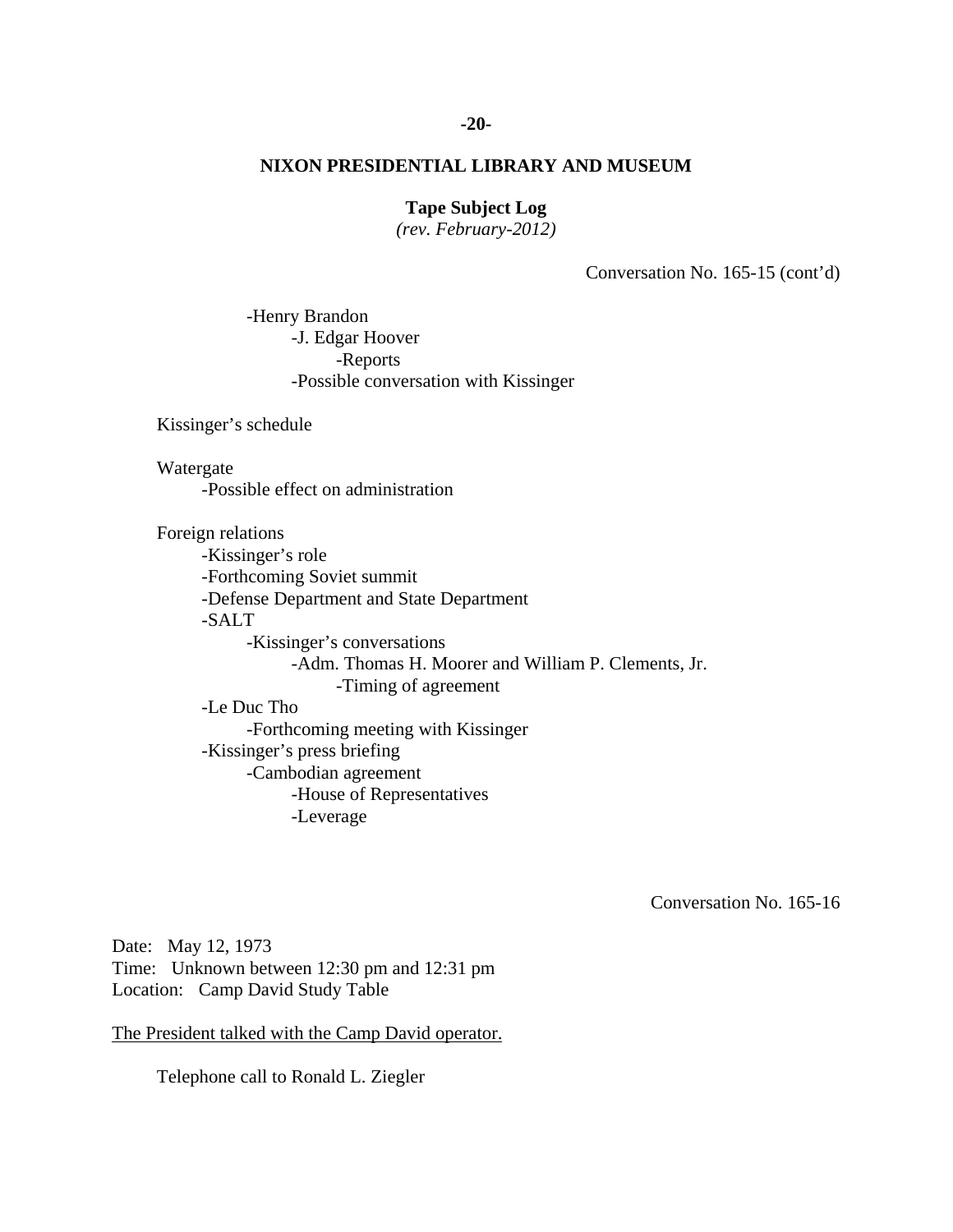### **-20-**

# **NIXON PRESIDENTIAL LIBRARY AND MUSEUM**

# **Tape Subject Log**

*(rev. February-2012)* 

Conversation No. 165-15 (cont'd)

 -Henry Brandon -J. Edgar Hoover -Reports -Possible conversation with Kissinger

Kissinger's schedule

Watergate

-Possible effect on administration

Foreign relations

 -Kissinger's role -Forthcoming Soviet summit -Defense Department and State Department -SALT -Kissinger's conversations -Adm. Thomas H. Moorer and William P. Clements, Jr. -Timing of agreement -Le Duc Tho

 -Forthcoming meeting with Kissinger -Kissinger's press briefing -Cambodian agreement -House of Representatives -Leverage

Conversation No. 165-16

Date: May 12, 1973 Time: Unknown between 12:30 pm and 12:31 pm Location: Camp David Study Table

The President talked with the Camp David operator.

Telephone call to Ronald L. Ziegler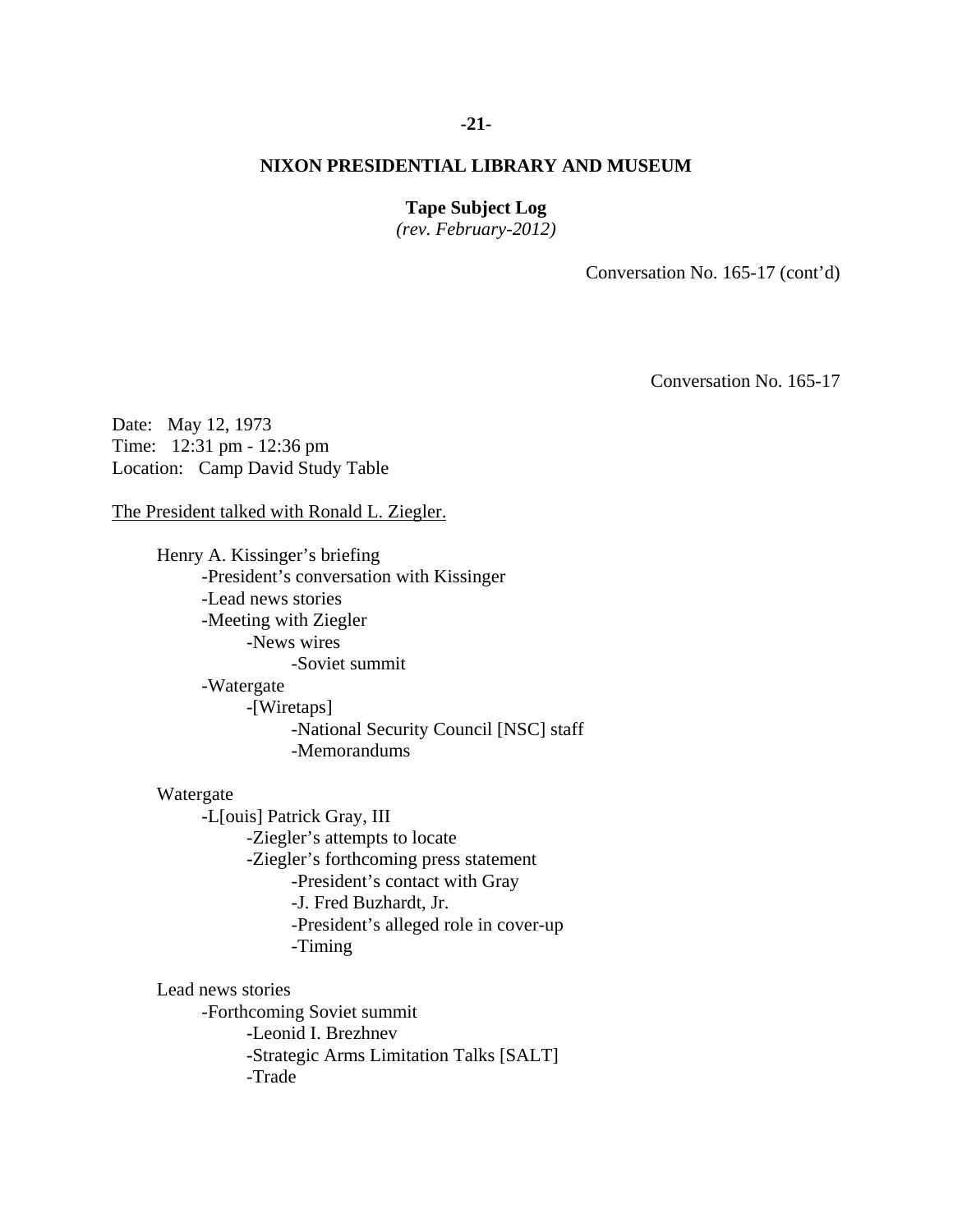### **-21-**

# **NIXON PRESIDENTIAL LIBRARY AND MUSEUM**

# **Tape Subject Log**

*(rev. February-2012)* 

Conversation No. 165-17 (cont'd)

Conversation No. 165-17

Date: May 12, 1973 Time: 12:31 pm - 12:36 pm Location: Camp David Study Table

The President talked with Ronald L. Ziegler.

 -Soviet summit Henry A. Kissinger's briefing -President's conversation with Kissinger -Lead news stories -Meeting with Ziegler -News wires -Watergate -[Wiretaps] -National Security Council [NSC] staff -Memorandums

Watergate

-L[ouis] Patrick Gray, III -Ziegler's attempts to locate -Ziegler's forthcoming press statement -President's contact with Gray -J. Fred Buzhardt, Jr. -President's alleged role in cover-up -Timing

Lead news stories -Forthcoming Soviet summit -Leonid I. Brezhnev -Strategic Arms Limitation Talks [SALT] -Trade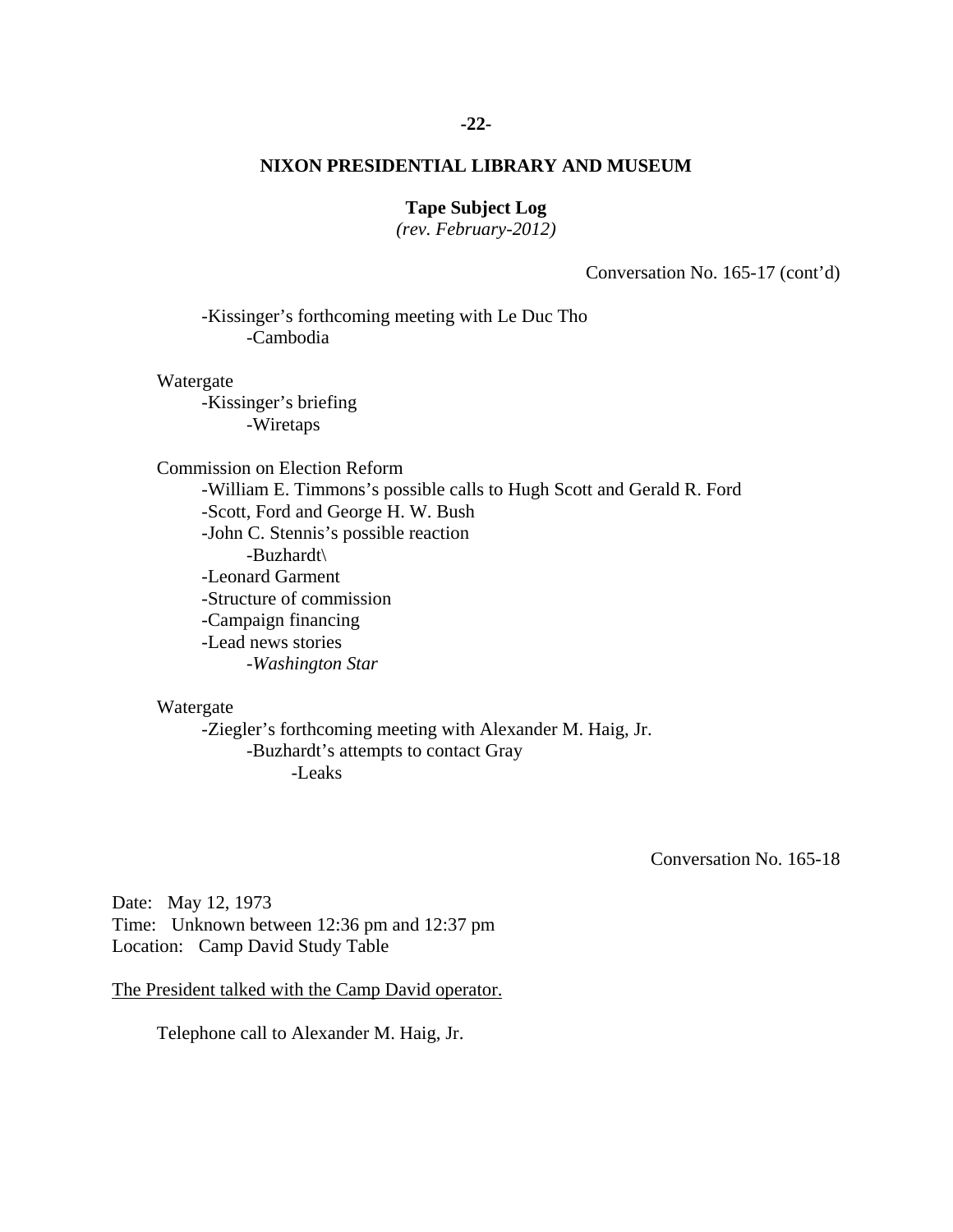# **-22-**

# **NIXON PRESIDENTIAL LIBRARY AND MUSEUM**

# **Tape Subject Log**

*(rev. February-2012)* 

Conversation No. 165-17 (cont'd)

-Kissinger's forthcoming meeting with Le Duc Tho -Cambodia

### Watergate

 -Kissinger's briefing -Wiretaps

Commission on Election Reform -William E. Timmons's possible calls to Hugh Scott and Gerald R. Ford -Scott, Ford and George H. W. Bush -John C. Stennis's possible reaction -Buzhardt\ -Leonard Garment -Structure of commission -Campaign financing -Lead news stories -*Washington Star* 

# Watergate

-Ziegler's forthcoming meeting with Alexander M. Haig, Jr. -Buzhardt's attempts to contact Gray -Leaks

Conversation No. 165-18

Date: May 12, 1973 Time: Unknown between 12:36 pm and 12:37 pm Location: Camp David Study Table

The President talked with the Camp David operator.

Telephone call to Alexander M. Haig, Jr.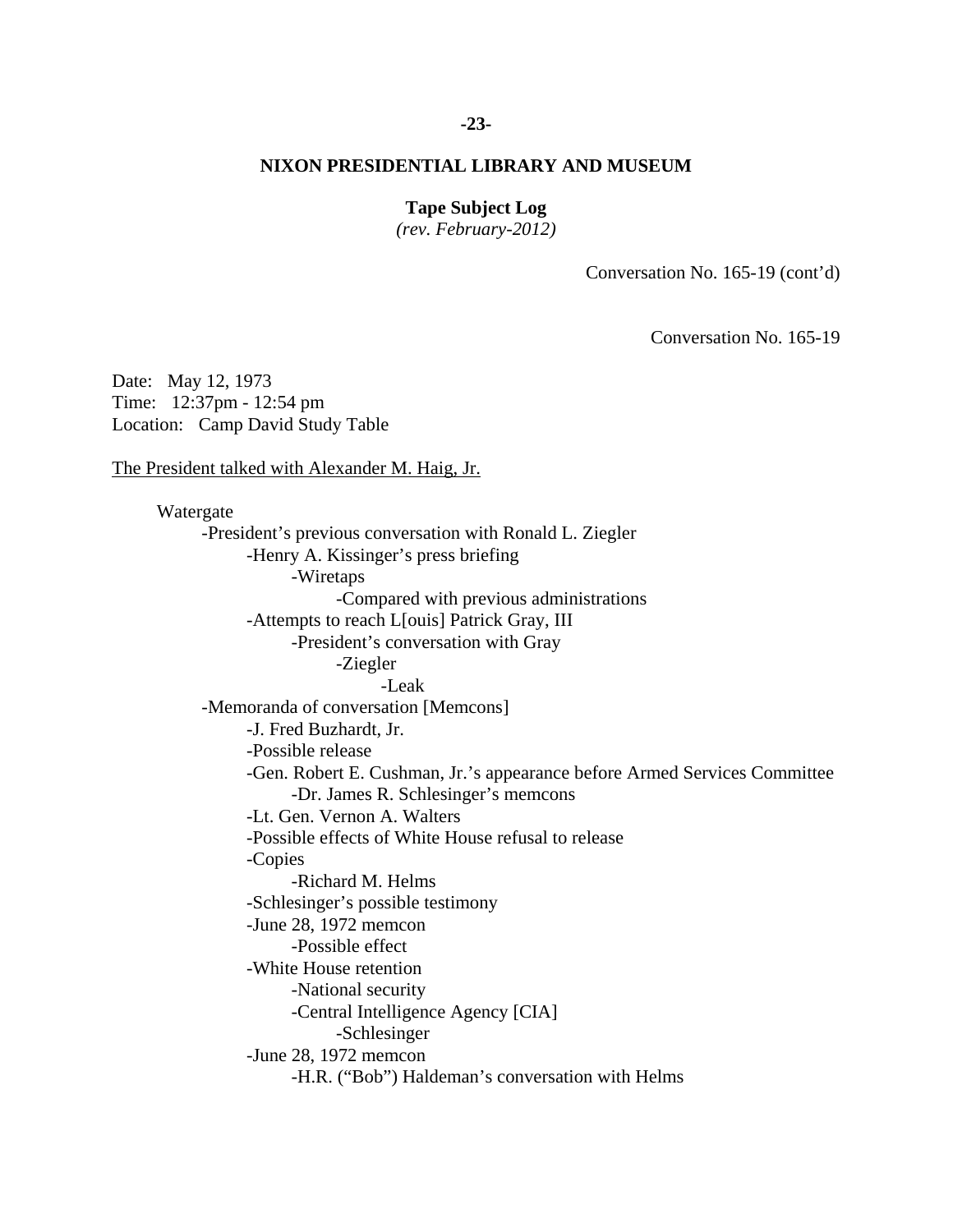### **-23-**

# **NIXON PRESIDENTIAL LIBRARY AND MUSEUM**

# **Tape Subject Log**

*(rev. February-2012)* 

Conversation No. 165-19 (cont'd)

Conversation No. 165-19

Date: May 12, 1973 Time: 12:37pm - 12:54 pm Location: Camp David Study Table

The President talked with Alexander M. Haig, Jr.

 -Richard M. Helms Watergate -President's previous conversation with Ronald L. Ziegler -Henry A. Kissinger's press briefing -Wiretaps -Compared with previous administrations -Attempts to reach L[ouis] Patrick Gray, III -President's conversation with Gray -Ziegler -Leak -Memoranda of conversation [Memcons] -J. Fred Buzhardt, Jr. -Possible release -Gen. Robert E. Cushman, Jr.'s appearance before Armed Services Committee -Dr. James R. Schlesinger's memcons -Lt. Gen. Vernon A. Walters -Possible effects of White House refusal to release -Copies -Schlesinger's possible testimony -June 28, 1972 memcon -Possible effect -White House retention -National security -Central Intelligence Agency [CIA] -Schlesinger -June 28, 1972 memcon -H.R. ("Bob") Haldeman's conversation with Helms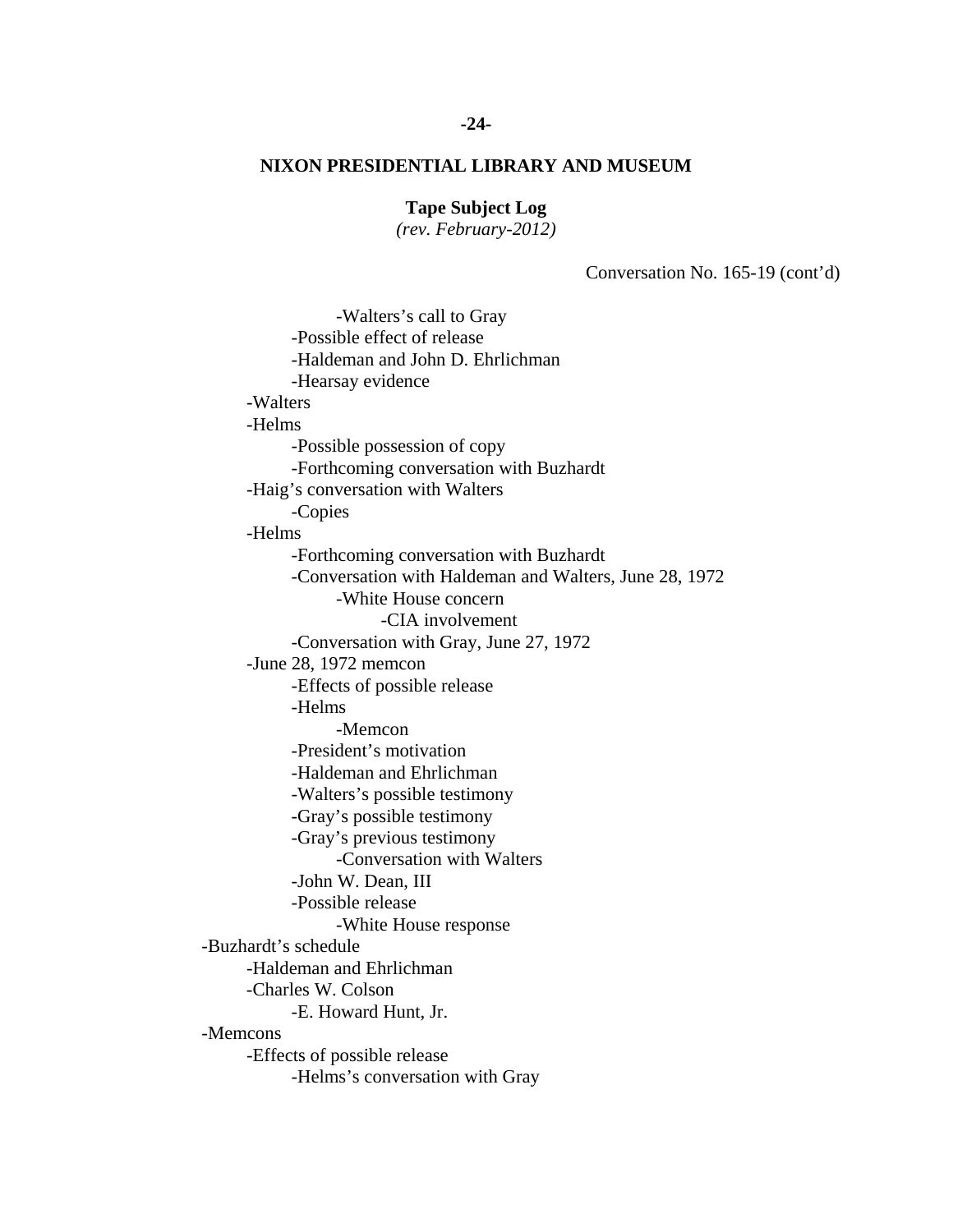# **Tape Subject Log**

*(rev. February-2012)* 

Conversation No. 165-19 (cont'd)

 -Walters's call to Gray -Possible effect of release -Haldeman and John D. Ehrlichman -Hearsay evidence -Walters -Helms -Possible possession of copy -Forthcoming conversation with Buzhardt -Haig's conversation with Walters -Copies -Helms -Forthcoming conversation with Buzhardt -Conversation with Haldeman and Walters, June 28, 1972 -White House concern -CIA involvement -Conversation with Gray, June 27, 1972 -June 28, 1972 memcon -Effects of possible release -Helms -Memcon -President's motivation -Haldeman and Ehrlichman -Walters's possible testimony -Gray's possible testimony -Gray's previous testimony -Conversation with Walters -John W. Dean, III -Possible release -White House response -Buzhardt's schedule -Haldeman and Ehrlichman -Charles W. Colson -E. Howard Hunt, Jr. -Memcons -Effects of possible release -Helms's conversation with Gray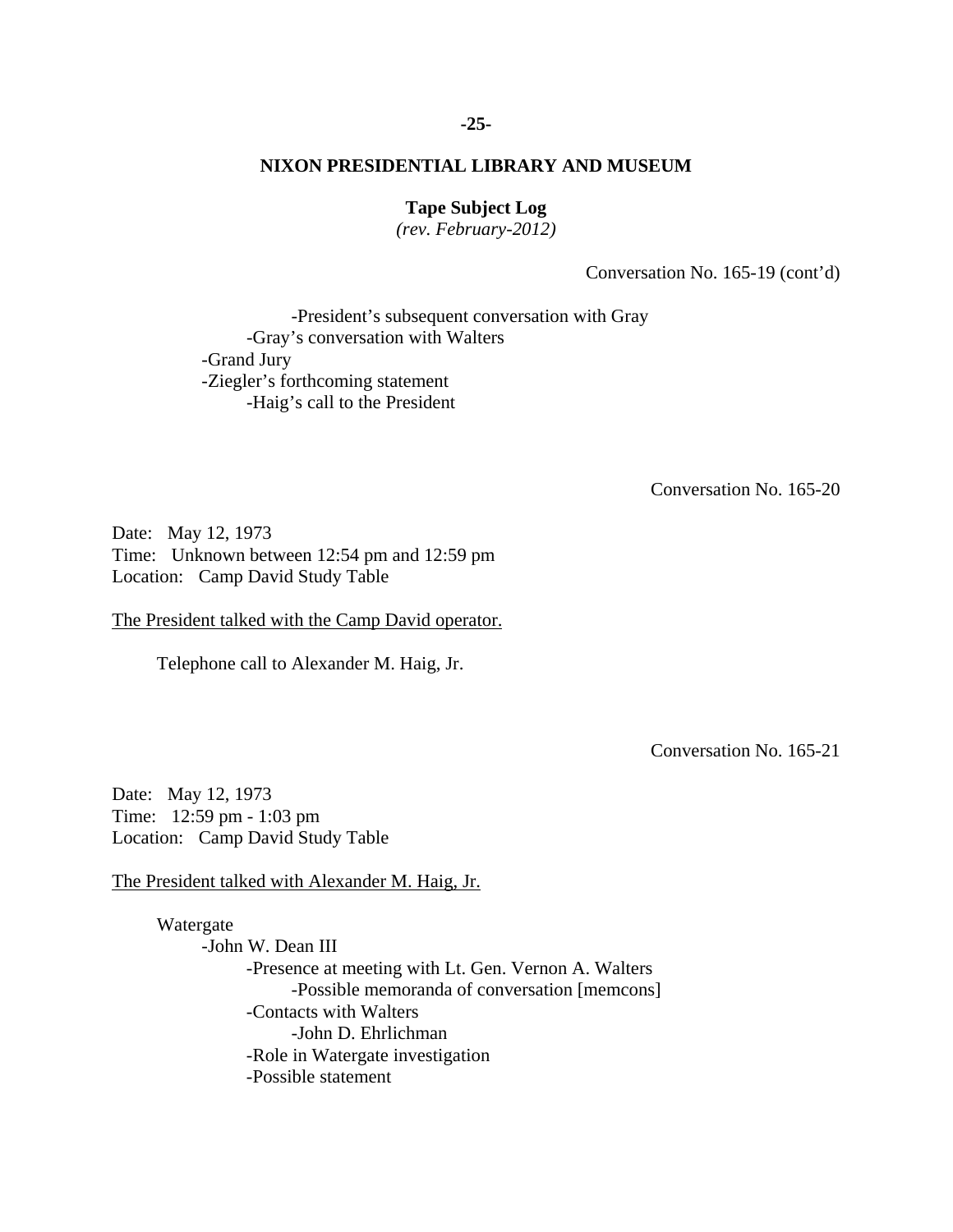### **-25-**

# **NIXON PRESIDENTIAL LIBRARY AND MUSEUM**

# **Tape Subject Log**

*(rev. February-2012)* 

Conversation No. 165-19 (cont'd)

 -President's subsequent conversation with Gray -Gray's conversation with Walters -Grand Jury -Ziegler's forthcoming statement -Haig's call to the President

Conversation No. 165-20

Date: May 12, 1973 Time: Unknown between 12:54 pm and 12:59 pm Location: Camp David Study Table

The President talked with the Camp David operator.

Telephone call to Alexander M. Haig, Jr.

Conversation No. 165-21

Date: May 12, 1973 Time: 12:59 pm - 1:03 pm Location: Camp David Study Table

The President talked with Alexander M. Haig, Jr.

 Watergate -John W. Dean III -Presence at meeting with Lt. Gen. Vernon A. Walters -Possible memoranda of conversation [memcons] -Contacts with Walters -John D. Ehrlichman -Role in Watergate investigation -Possible statement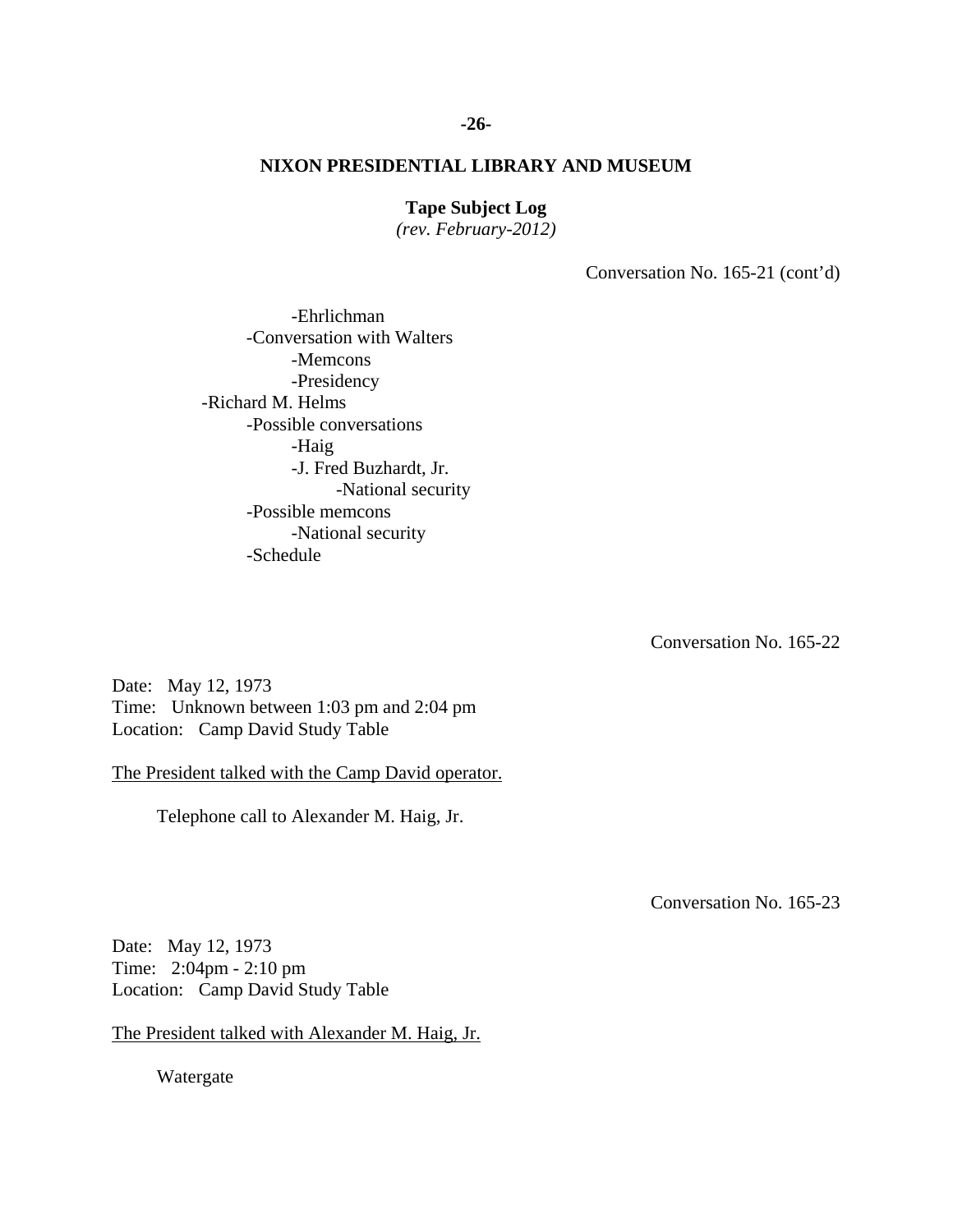# **Tape Subject Log**

*(rev. February-2012)* 

Conversation No. 165-21 (cont'd)

 -Ehrlichman -Conversation with Walters -Memcons -Presidency -Richard M. Helms -Possible conversations -Haig -J. Fred Buzhardt, Jr. -National security -Possible memcons -National security -Schedule

Conversation No. 165-22

Date: May 12, 1973 Time: Unknown between 1:03 pm and 2:04 pm Location: Camp David Study Table

The President talked with the Camp David operator.

Telephone call to Alexander M. Haig, Jr.

Conversation No. 165-23

Date: May 12, 1973 Time: 2:04pm - 2:10 pm Location: Camp David Study Table

The President talked with Alexander M. Haig, Jr.

Watergate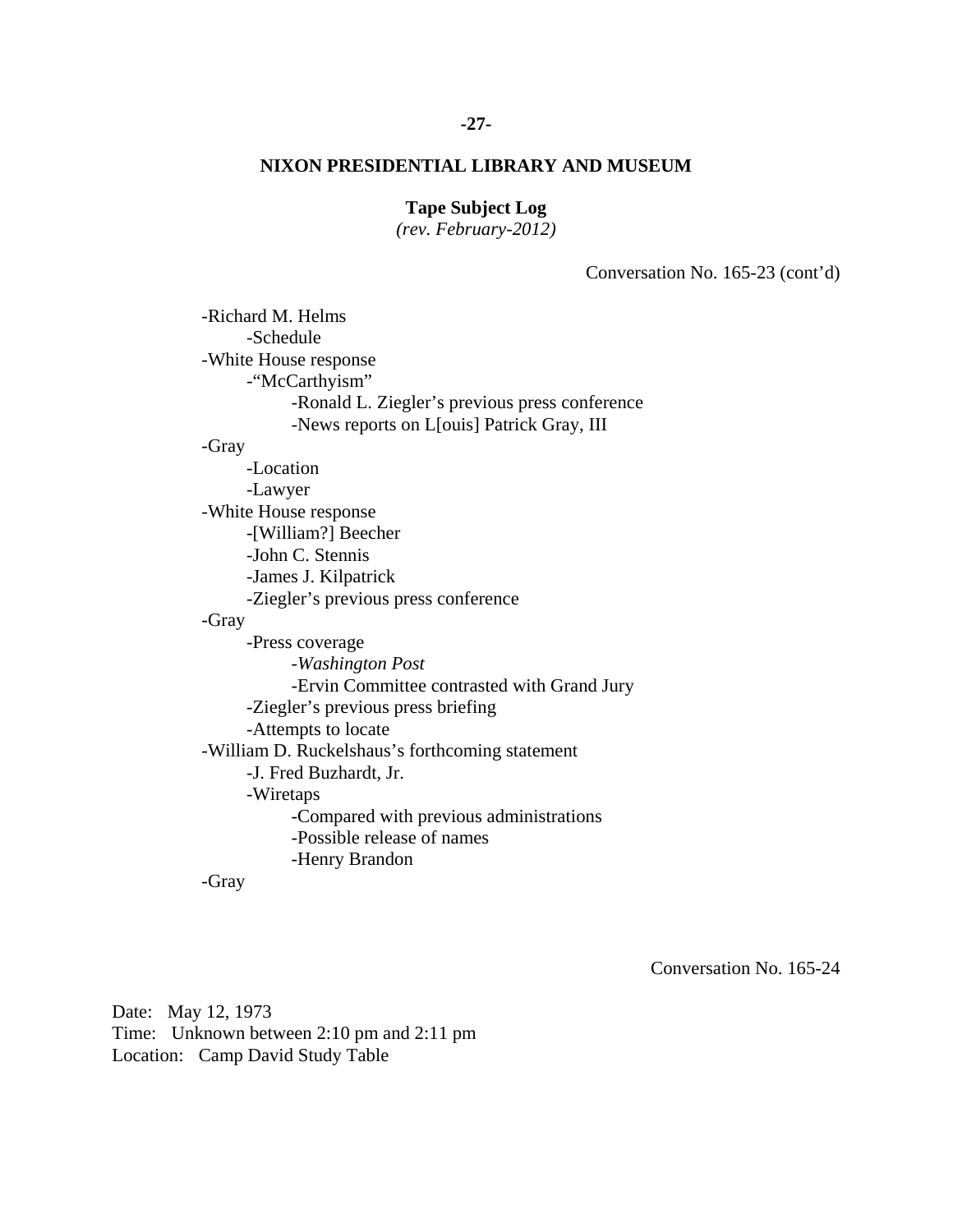# **-27-**

# **NIXON PRESIDENTIAL LIBRARY AND MUSEUM**

# **Tape Subject Log**

*(rev. February-2012)* 

Conversation No. 165-23 (cont'd)

| -Richard M. Helms                               |
|-------------------------------------------------|
| -Schedule                                       |
| -White House response                           |
| -"McCarthyism"                                  |
| -Ronald L. Ziegler's previous press conference  |
| -News reports on L[ouis] Patrick Gray, III      |
| -Gray                                           |
| -Location                                       |
| -Lawyer                                         |
| -White House response                           |
| -[William?] Beecher                             |
| -John C. Stennis                                |
| -James J. Kilpatrick                            |
| -Ziegler's previous press conference            |
| -Gray                                           |
| -Press coverage                                 |
| -Washington Post                                |
| -Ervin Committee contrasted with Grand Jury     |
| -Ziegler's previous press briefing              |
| -Attempts to locate                             |
| -William D. Ruckelshaus's forthcoming statement |
| -J. Fred Buzhardt, Jr.                          |
| -Wiretaps                                       |
| -Compared with previous administrations         |
| -Possible release of names                      |
| -Henry Brandon                                  |
| -Gray                                           |

Conversation No. 165-24

Date: May 12, 1973 Time: Unknown between 2:10 pm and 2:11 pm Location: Camp David Study Table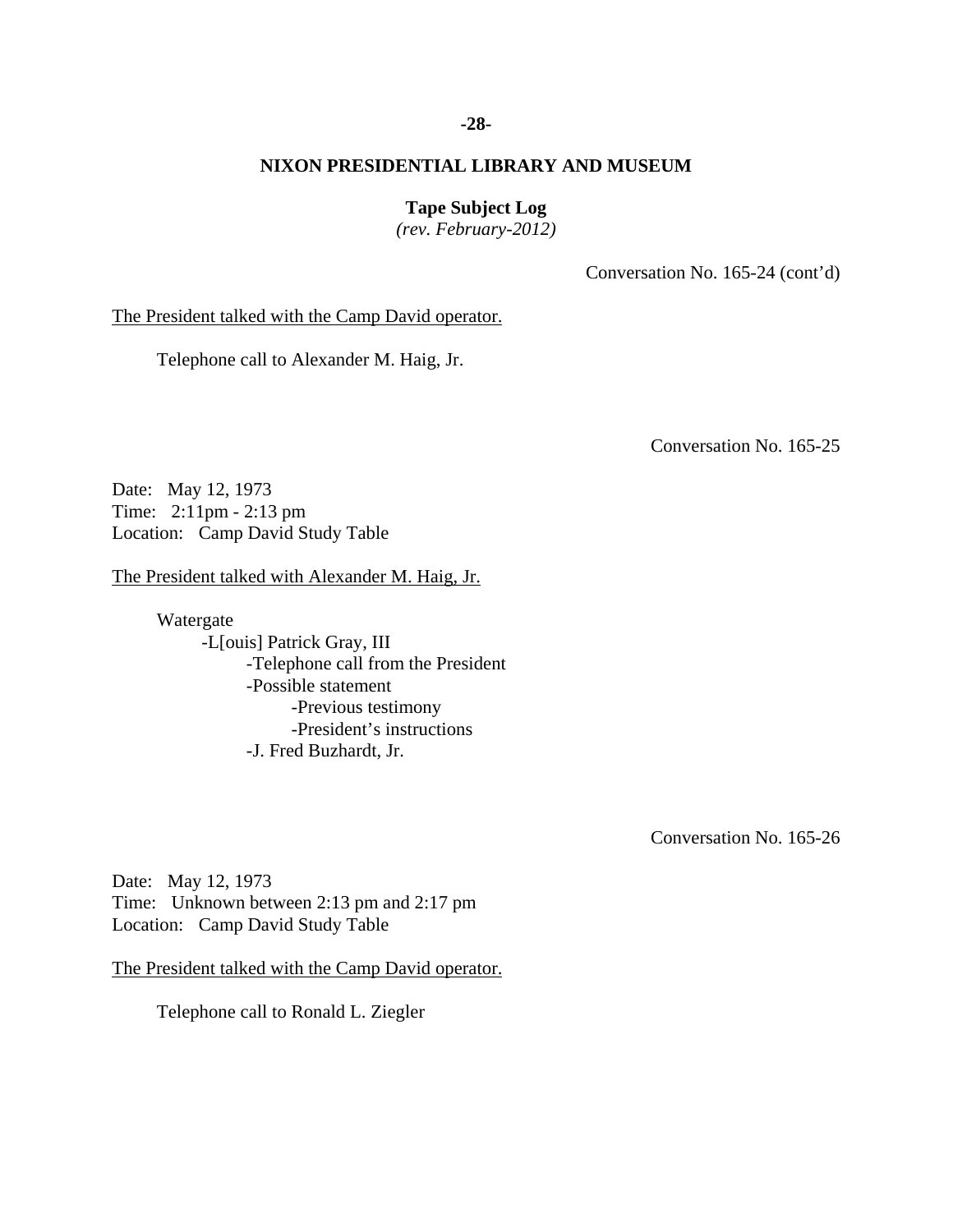# **-28-**

# **NIXON PRESIDENTIAL LIBRARY AND MUSEUM**

**Tape Subject Log** 

*(rev. February-2012)* 

Conversation No. 165-24 (cont'd)

The President talked with the Camp David operator.

Telephone call to Alexander M. Haig, Jr.

Conversation No. 165-25

Date: May 12, 1973 Time: 2:11pm - 2:13 pm Location: Camp David Study Table

The President talked with Alexander M. Haig, Jr.

 Watergate -L[ouis] Patrick Gray, III -Telephone call from the President -Possible statement -Previous testimony -President's instructions -J. Fred Buzhardt, Jr.

Conversation No. 165-26

Date: May 12, 1973 Time: Unknown between 2:13 pm and 2:17 pm Location: Camp David Study Table

The President talked with the Camp David operator.

Telephone call to Ronald L. Ziegler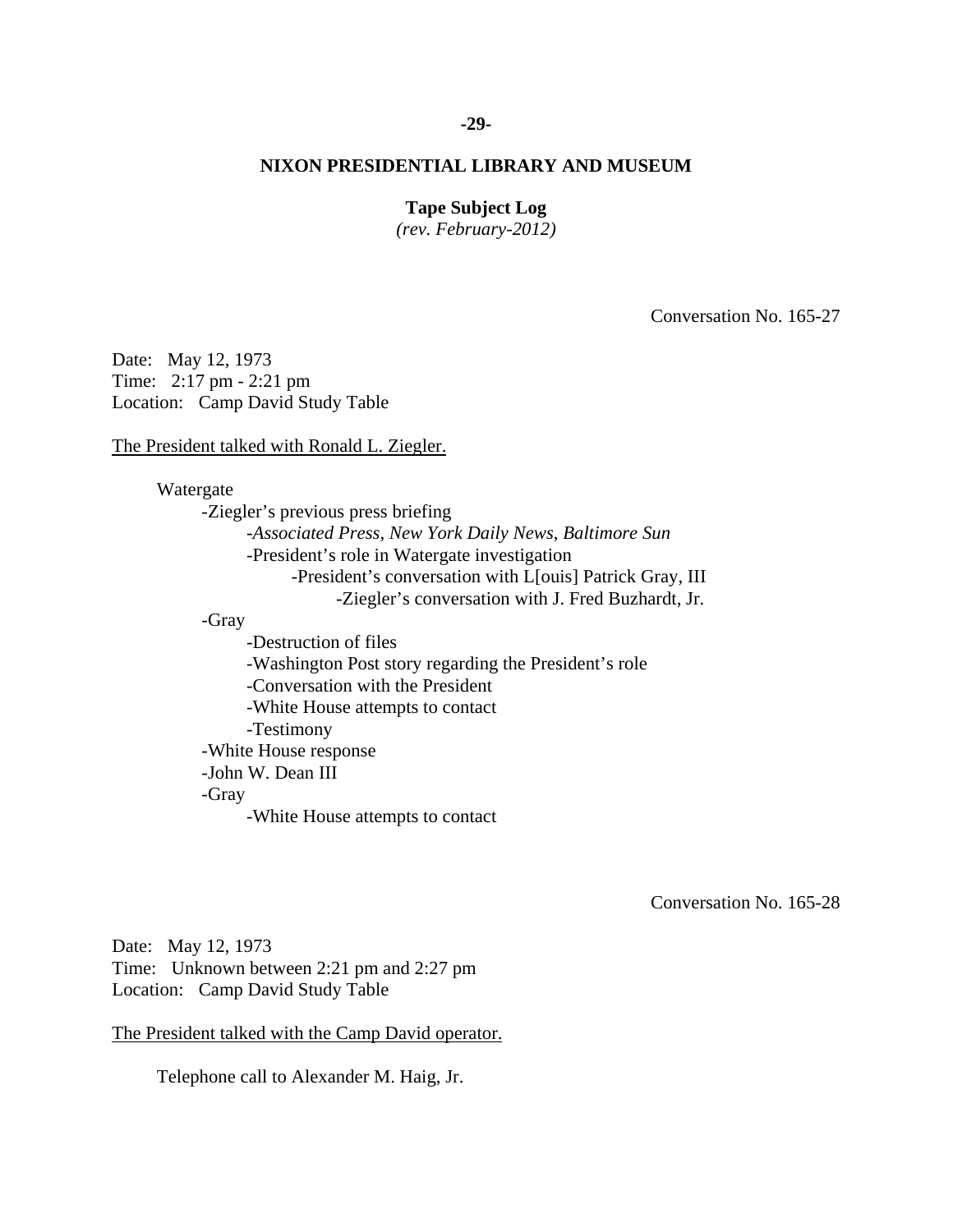### **-29-**

# **NIXON PRESIDENTIAL LIBRARY AND MUSEUM**

# **Tape Subject Log**

*(rev. February-2012)* 

Conversation No. 165-27

Date: May 12, 1973 Time: 2:17 pm - 2:21 pm Location: Camp David Study Table

The President talked with Ronald L. Ziegler.

Watergate

-Ziegler's previous press briefing -*Associated Press*, *New York Daily News*, *Baltimore Sun*  -President's role in Watergate investigation -President's conversation with L[ouis] Patrick Gray, III -Ziegler's conversation with J. Fred Buzhardt, Jr. -Gray -Destruction of files -Washington Post story regarding the President's role -Conversation with the President -White House attempts to contact

-Testimony

 -White House response -John W. Dean III

# -Gray

-White House attempts to contact

Conversation No. 165-28

Date: May 12, 1973 Time: Unknown between 2:21 pm and 2:27 pm Location: Camp David Study Table

The President talked with the Camp David operator.

Telephone call to Alexander M. Haig, Jr.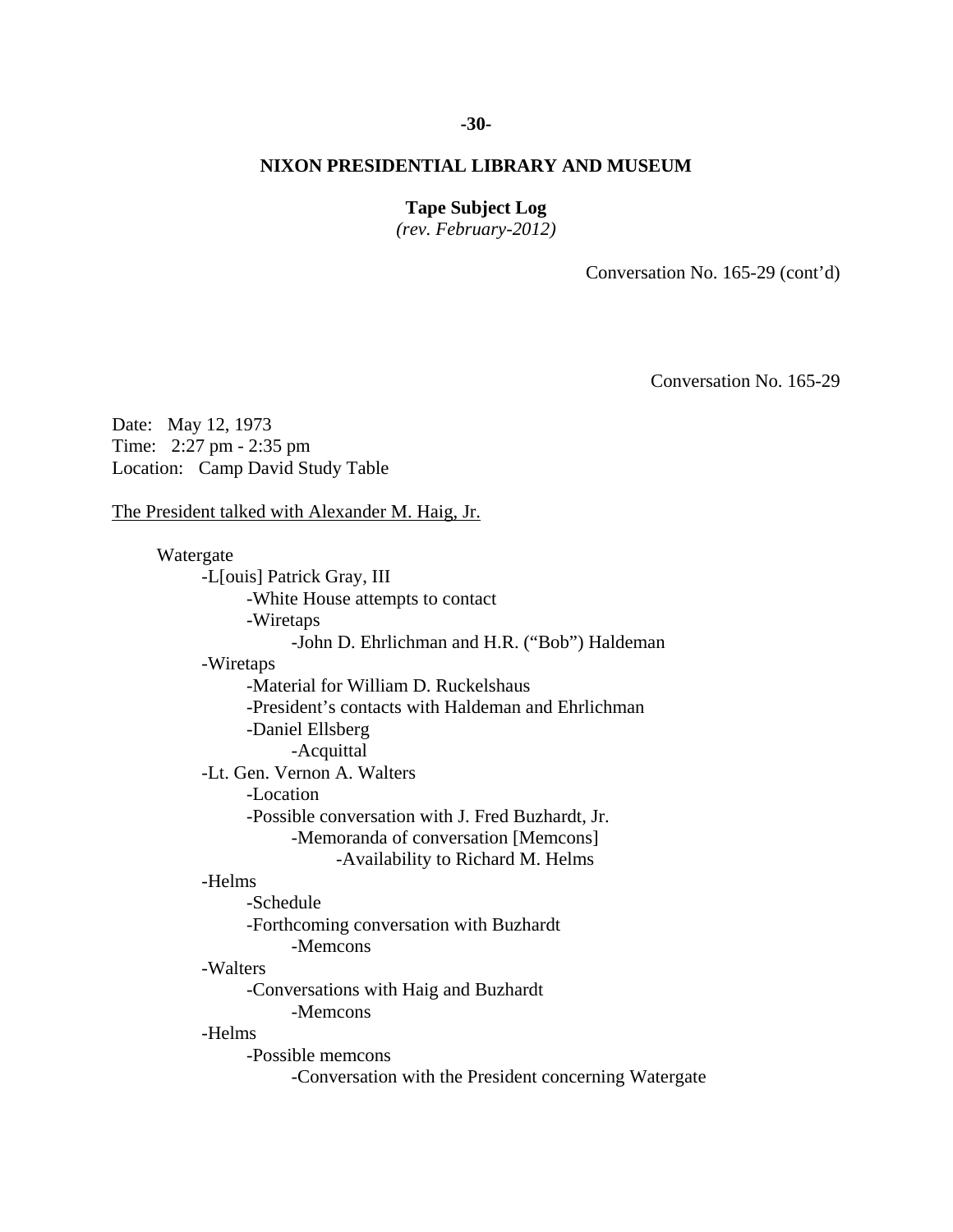### **-30-**

# **NIXON PRESIDENTIAL LIBRARY AND MUSEUM**

# **Tape Subject Log**

*(rev. February-2012)* 

Conversation No. 165-29 (cont'd)

Conversation No. 165-29

Date: May 12, 1973 Time: 2:27 pm - 2:35 pm Location: Camp David Study Table

### The President talked with Alexander M. Haig, Jr.

# Watergate -L[ouis] Patrick Gray, III -White House attempts to contact -Wiretaps -John D. Ehrlichman and H.R. ("Bob") Haldeman -Wiretaps -Material for William D. Ruckelshaus -President's contacts with Haldeman and Ehrlichman -Daniel Ellsberg -Acquittal -Lt. Gen. Vernon A. Walters -Location -Possible conversation with J. Fred Buzhardt, Jr. -Memoranda of conversation [Memcons] -Availability to Richard M. Helms -Helms -Schedule -Forthcoming conversation with Buzhardt -Memcons -Walters -Conversations with Haig and Buzhardt -Memcons -Helms -Possible memcons -Conversation with the President concerning Watergate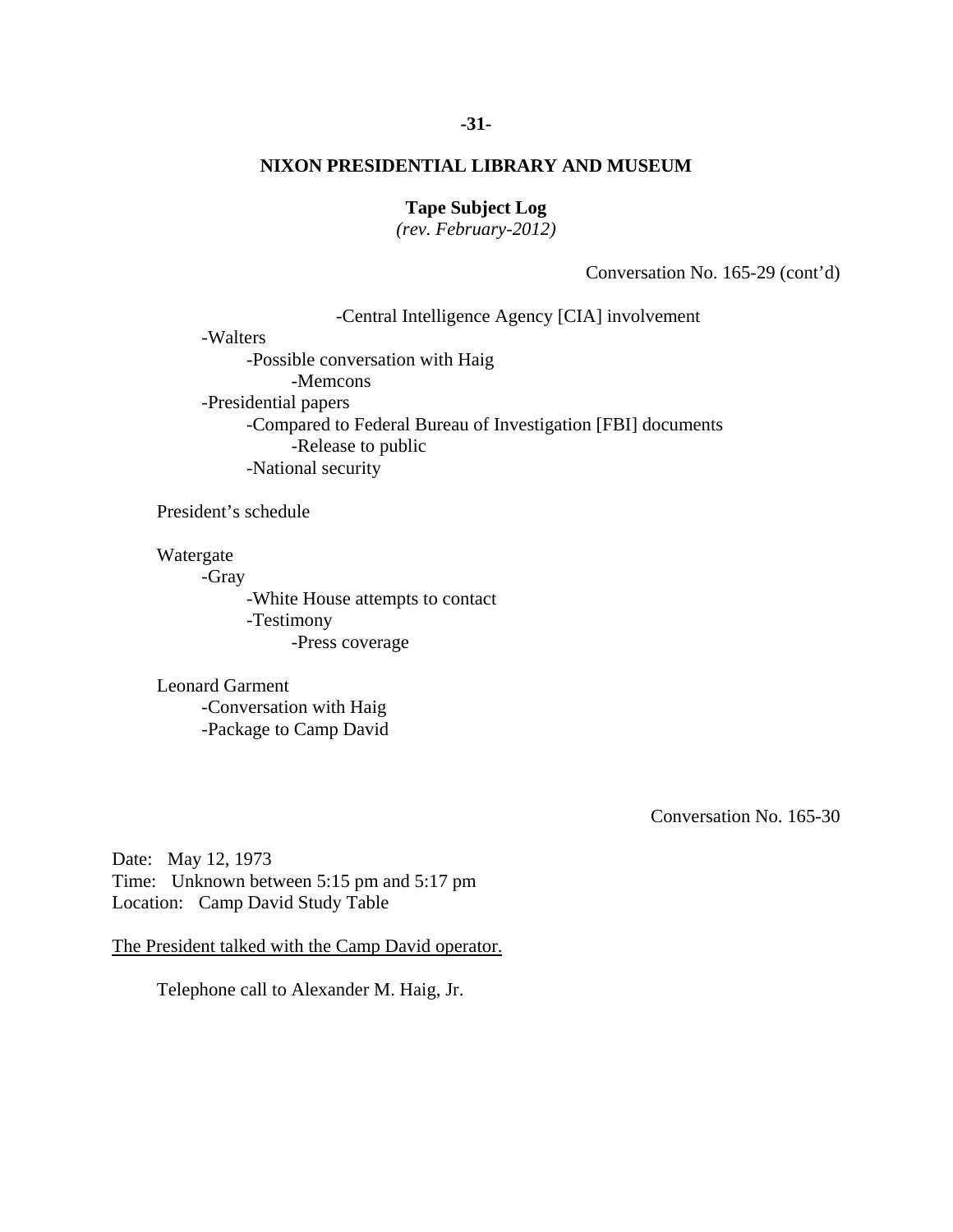### **-31-**

# **NIXON PRESIDENTIAL LIBRARY AND MUSEUM**

# **Tape Subject Log**

*(rev. February-2012)* 

Conversation No. 165-29 (cont'd)

-Central Intelligence Agency [CIA] involvement

-Walters

 -Possible conversation with Haig -Memcons -Presidential papers -Compared to Federal Bureau of Investigation [FBI] documents -Release to public -National security

President's schedule

Watergate

-Gray

-White House attempts to contact -Testimony -Press coverage

 Leonard Garment -Conversation with Haig -Package to Camp David

Conversation No. 165-30

Date: May 12, 1973 Time: Unknown between 5:15 pm and 5:17 pm Location: Camp David Study Table

The President talked with the Camp David operator.

Telephone call to Alexander M. Haig, Jr.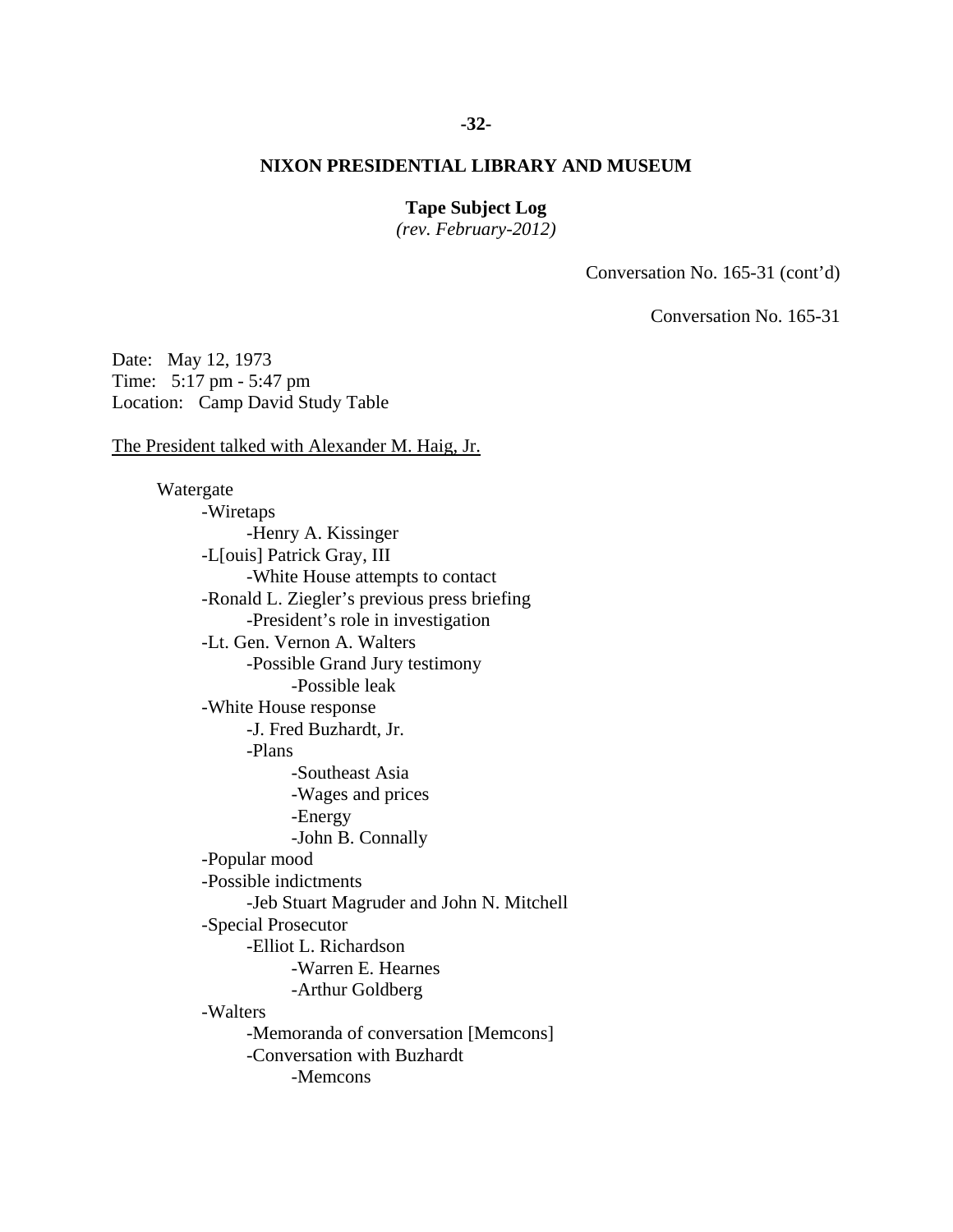# **-32-**

# **NIXON PRESIDENTIAL LIBRARY AND MUSEUM**

# **Tape Subject Log**

*(rev. February-2012)* 

Conversation No. 165-31 (cont'd)

Conversation No. 165-31

Date: May 12, 1973 Time: 5:17 pm - 5:47 pm Location: Camp David Study Table

The President talked with Alexander M. Haig, Jr.

 Watergate -Wiretaps -Henry A. Kissinger -L[ouis] Patrick Gray, III -White House attempts to contact -Ronald L. Ziegler's previous press briefing -President's role in investigation -Lt. Gen. Vernon A. Walters -Possible Grand Jury testimony -Possible leak -White House response -J. Fred Buzhardt, Jr. -Plans -Southeast Asia -Wages and prices -Energy -John B. Connally -Popular mood -Possible indictments -Jeb Stuart Magruder and John N. Mitchell -Special Prosecutor -Elliot L. Richardson -Warren E. Hearnes -Arthur Goldberg -Walters -Memoranda of conversation [Memcons] -Conversation with Buzhardt -Memcons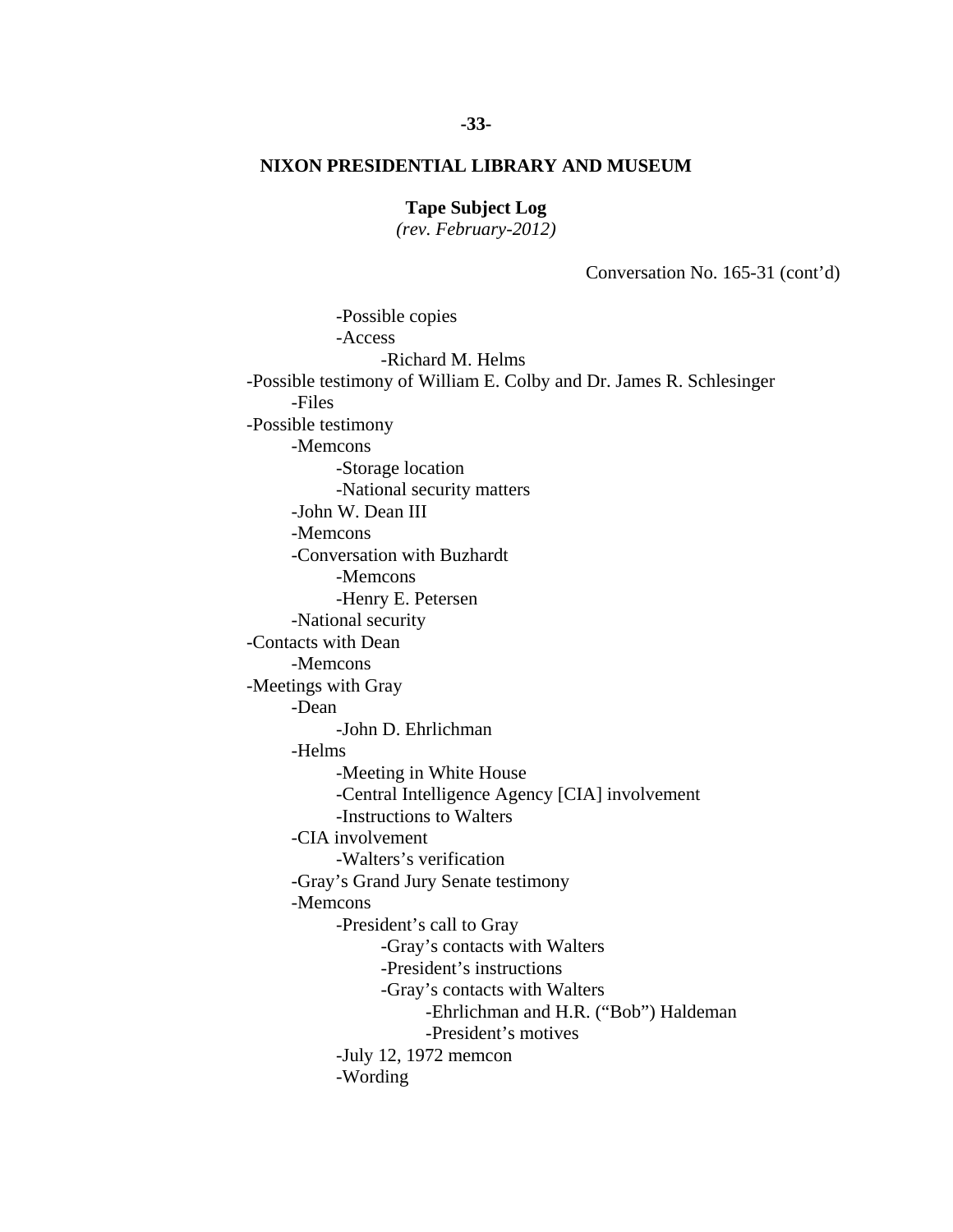**Tape Subject Log** 

*(rev. February-2012)* 

Conversation No. 165-31 (cont'd)

 -Richard M. Helms -President's motives -Possible copies -Access -Possible testimony of William E. Colby and Dr. James R. Schlesinger -Files -Possible testimony -Memcons -Storage location -National security matters -John W. Dean III -Memcons -Conversation with Buzhardt -Memcons -Henry E. Petersen -National security -Contacts with Dean -Memcons -Meetings with Gray -Dean -John D. Ehrlichman -Helms -Meeting in White House -Central Intelligence Agency [CIA] involvement -Instructions to Walters -CIA involvement -Walters's verification -Gray's Grand Jury Senate testimony -Memcons -President's call to Gray -Gray's contacts with Walters -President's instructions -Gray's contacts with Walters -Ehrlichman and H.R. ("Bob") Haldeman -July 12, 1972 memcon -Wording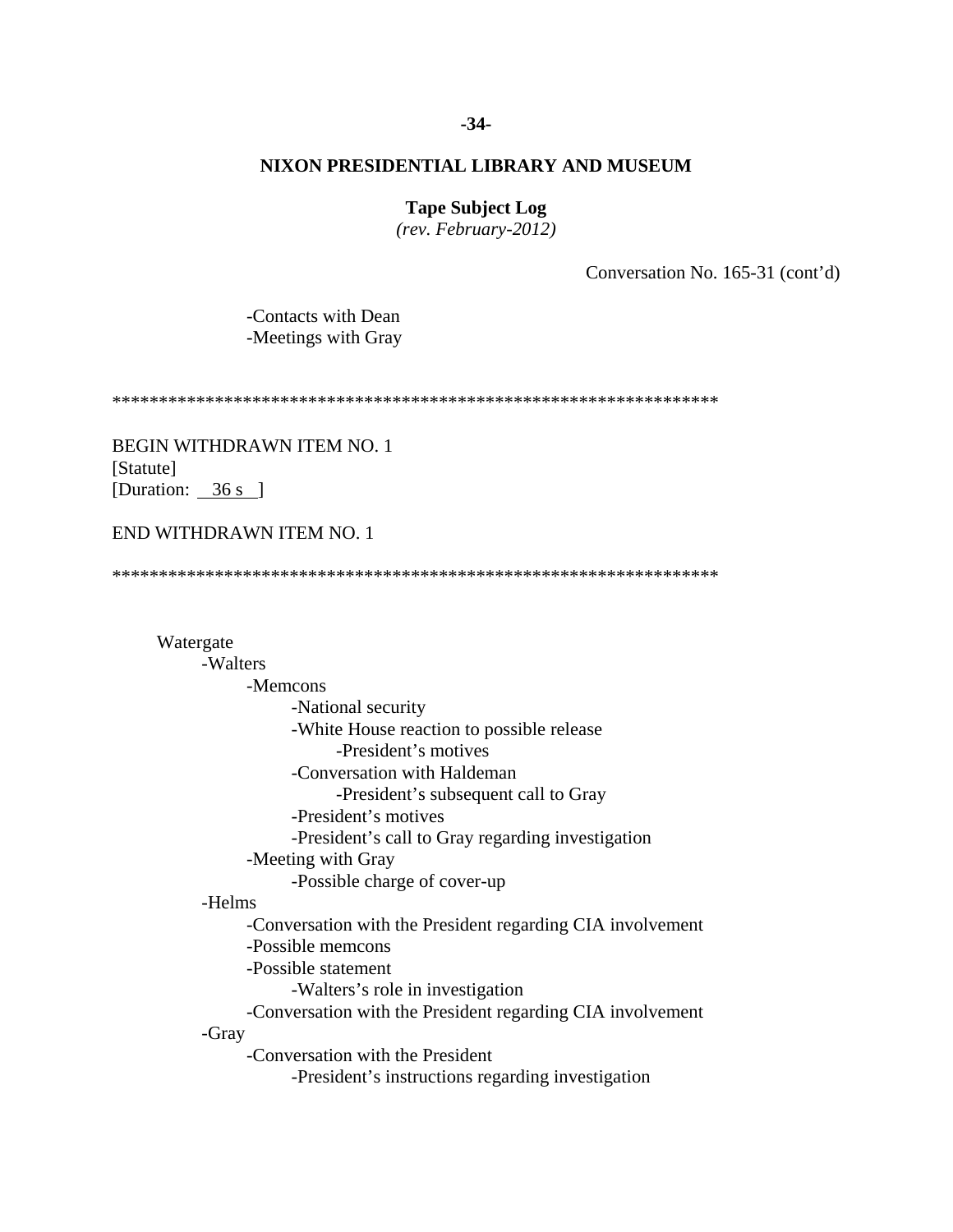### **-34-**

# **NIXON PRESIDENTIAL LIBRARY AND MUSEUM**

# **Tape Subject Log**

*(rev. February-2012)* 

Conversation No. 165-31 (cont'd)

 -Contacts with Dean -Meetings with Gray

\*\*\*\*\*\*\*\*\*\*\*\*\*\*\*\*\*\*\*\*\*\*\*\*\*\*\*\*\*\*\*\*\*\*\*\*\*\*\*\*\*\*\*\*\*\*\*\*\*\*\*\*\*\*\*\*\*\*\*\*\*\*\*\*\*

BEGIN WITHDRAWN ITEM NO. 1 [Statute] [Duration: 36 s ]

# END WITHDRAWN ITEM NO. 1

\*\*\*\*\*\*\*\*\*\*\*\*\*\*\*\*\*\*\*\*\*\*\*\*\*\*\*\*\*\*\*\*\*\*\*\*\*\*\*\*\*\*\*\*\*\*\*\*\*\*\*\*\*\*\*\*\*\*\*\*\*\*\*\*\*

 Watergate -Walters -Memcons -National security -White House reaction to possible release -President's motives -Conversation with Haldeman -President's subsequent call to Gray -President's motives -President's call to Gray regarding investigation -Meeting with Gray -Possible charge of cover-up -Helms -Conversation with the President regarding CIA involvement -Possible memcons -Possible statement -Walters's role in investigation -Conversation with the President regarding CIA involvement -Gray -Conversation with the President -President's instructions regarding investigation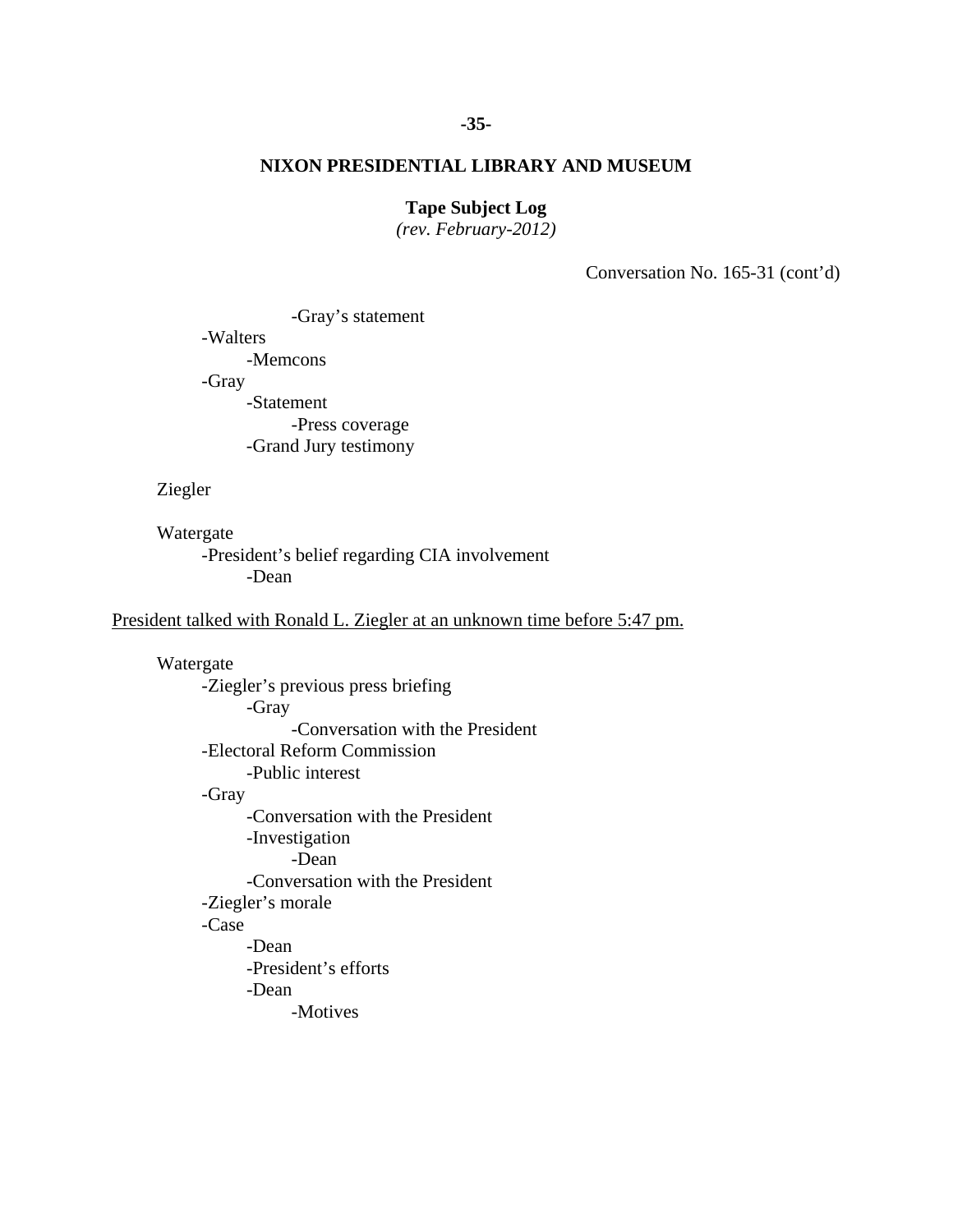# **-35-**

# **NIXON PRESIDENTIAL LIBRARY AND MUSEUM**

# **Tape Subject Log**

*(rev. February-2012)* 

Conversation No. 165-31 (cont'd)

 -Gray's statement -Walters -Memcons -Gray -Statement -Press coverage -Grand Jury testimony

### Ziegler

Watergate

-President's belief regarding CIA involvement -Dean

President talked with Ronald L. Ziegler at an unknown time before 5:47 pm.

 Watergate -Ziegler's previous press briefing -Gray -Conversation with the President -Electoral Reform Commission -Public interest -Gray -Conversation with the President -Investigation -Dean -Conversation with the President -Ziegler's morale -Case -Dean -President's efforts -Dean -Motives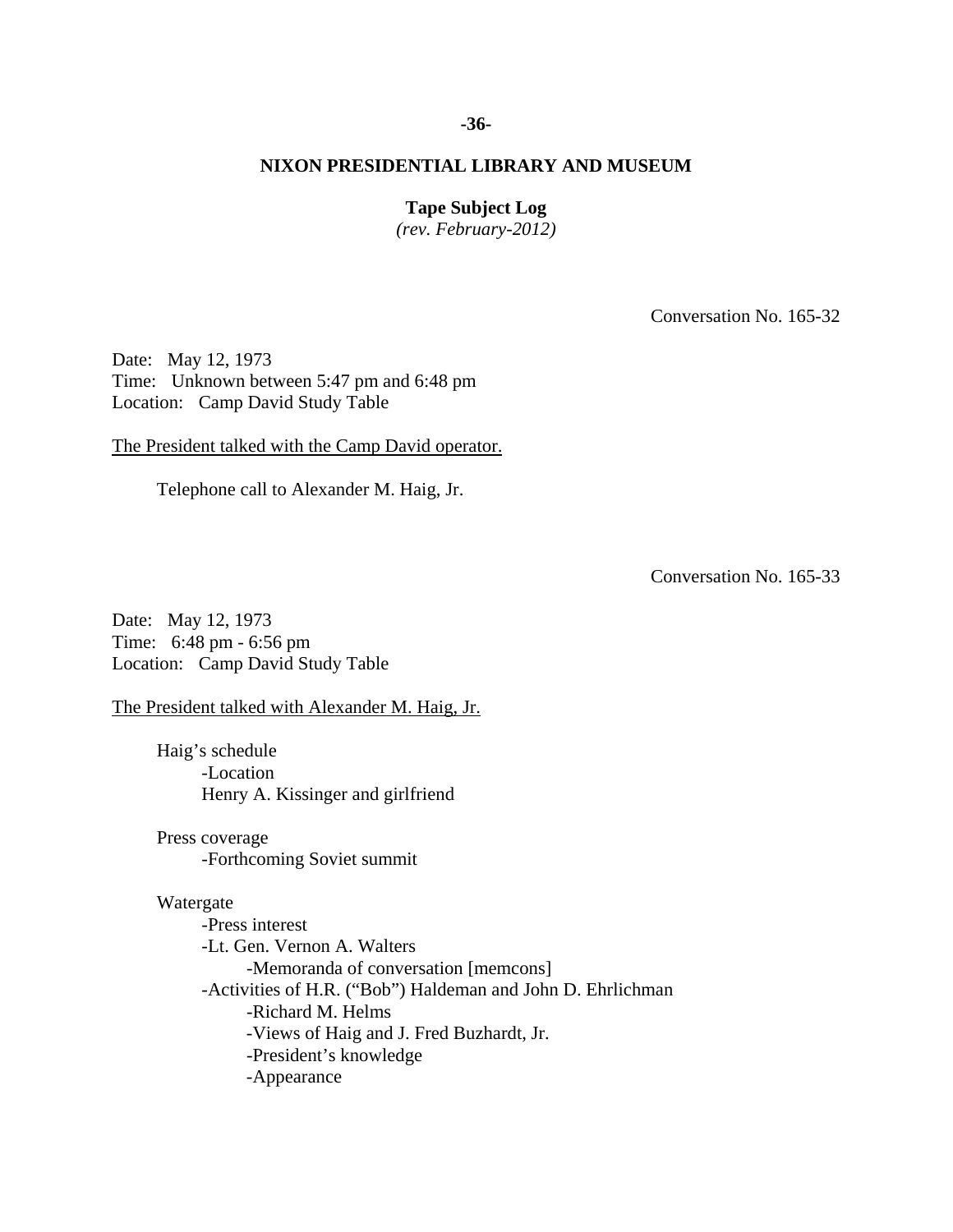### **-36-**

# **NIXON PRESIDENTIAL LIBRARY AND MUSEUM**

# **Tape Subject Log**

*(rev. February-2012)* 

Conversation No. 165-32

Date: May 12, 1973 Time: Unknown between 5:47 pm and 6:48 pm Location: Camp David Study Table

The President talked with the Camp David operator.

Telephone call to Alexander M. Haig, Jr.

Conversation No. 165-33

Date: May 12, 1973 Time: 6:48 pm - 6:56 pm Location: Camp David Study Table

The President talked with Alexander M. Haig, Jr.

 Haig's schedule -Location Henry A. Kissinger and girlfriend

 Press coverage -Forthcoming Soviet summit

# Watergate

 -Press interest -Lt. Gen. Vernon A. Walters -Memoranda of conversation [memcons] -Activities of H.R. ("Bob") Haldeman and John D. Ehrlichman -Richard M. Helms -Views of Haig and J. Fred Buzhardt, Jr. -President's knowledge -Appearance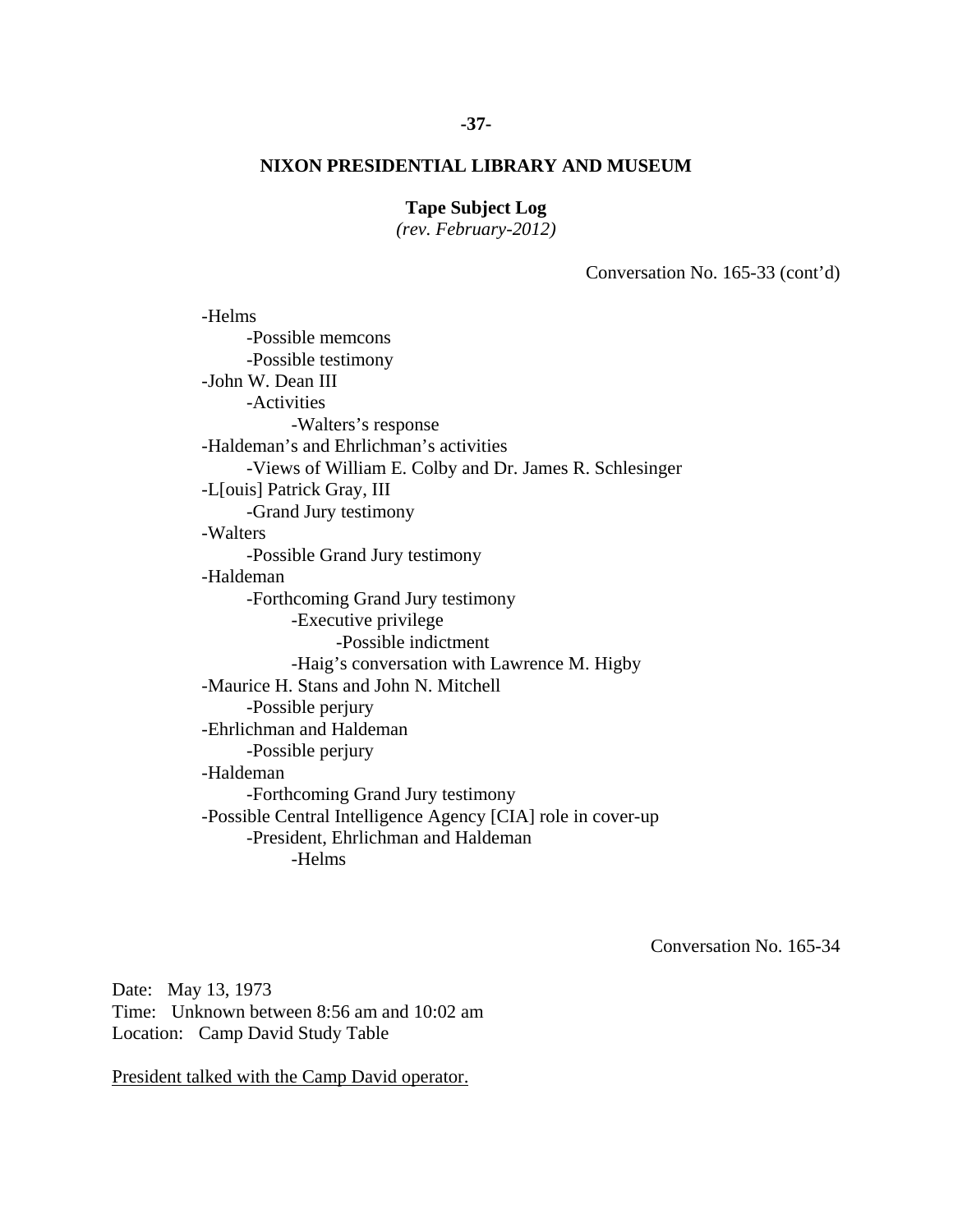# **-37-**

# **NIXON PRESIDENTIAL LIBRARY AND MUSEUM**

# **Tape Subject Log**

*(rev. February-2012)* 

Conversation No. 165-33 (cont'd)

 -Helms -Possible memcons -Possible testimony -John W. Dean III -Activities -Walters's response -Haldeman's and Ehrlichman's activities -Views of William E. Colby and Dr. James R. Schlesinger -L[ouis] Patrick Gray, III -Grand Jury testimony -Walters -Possible Grand Jury testimony -Haldeman -Forthcoming Grand Jury testimony -Executive privilege -Possible indictment -Haig's conversation with Lawrence M. Higby -Maurice H. Stans and John N. Mitchell -Possible perjury -Ehrlichman and Haldeman -Possible perjury -Haldeman -Forthcoming Grand Jury testimony -Possible Central Intelligence Agency [CIA] role in cover-up -President, Ehrlichman and Haldeman -Helms

Conversation No. 165-34

Date: May 13, 1973 Time: Unknown between 8:56 am and 10:02 am Location: Camp David Study Table

President talked with the Camp David operator.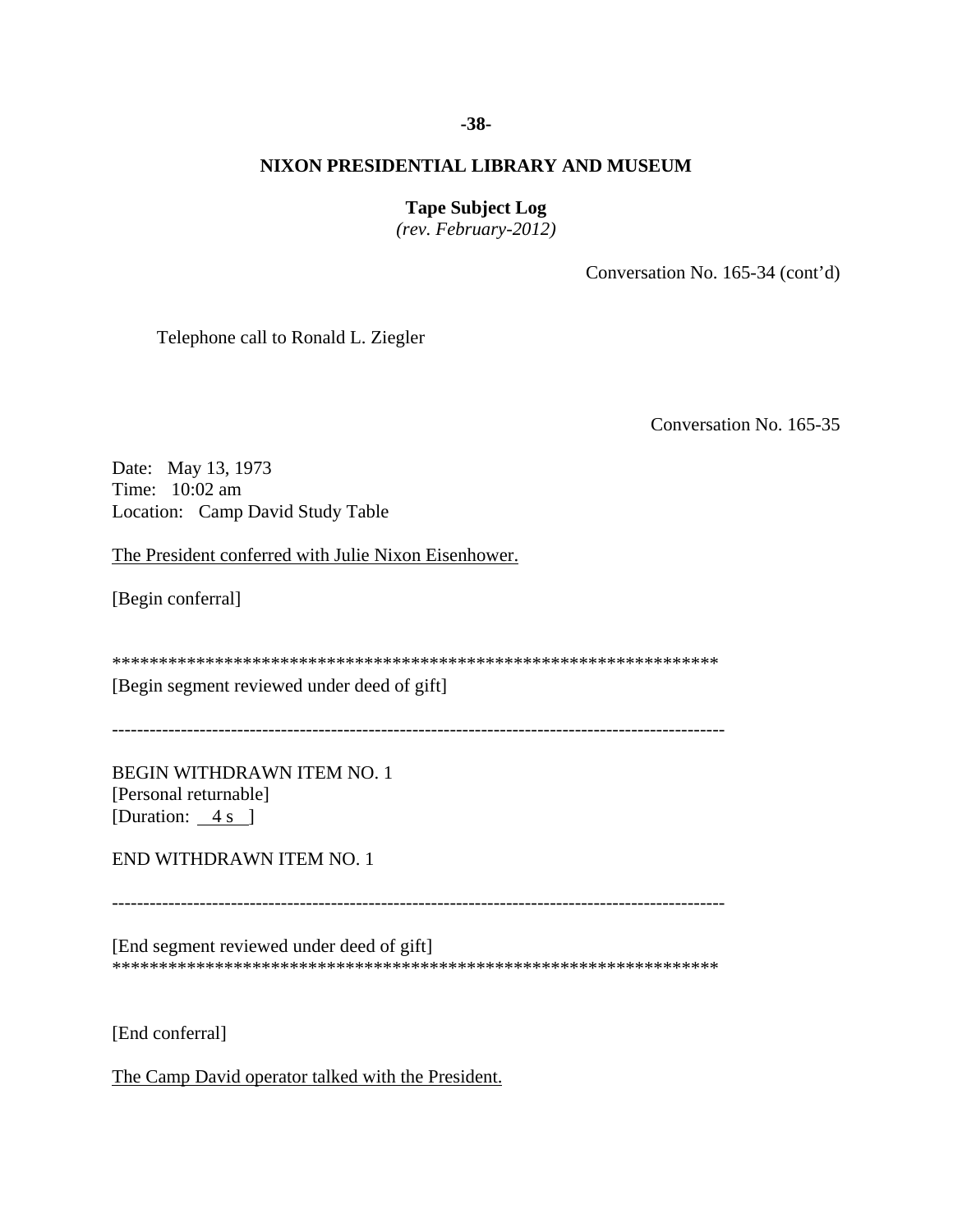# **-38-**

# **NIXON PRESIDENTIAL LIBRARY AND MUSEUM**

# **Tape Subject Log**

*(rev. February-2012)* 

Conversation No. 165-34 (cont'd)

Telephone call to Ronald L. Ziegler

Conversation No. 165-35

Date: May 13, 1973 Time: 10:02 am Location: Camp David Study Table

The President conferred with Julie Nixon Eisenhower.

[Begin conferral]

\*\*\*\*\*\*\*\*\*\*\*\*\*\*\*\*\*\*\*\*\*\*\*\*\*\*\*\*\*\*\*\*\*\*\*\*\*\*\*\*\*\*\*\*\*\*\*\*\*\*\*\*\*\*\*\*\*\*\*\*\*\*\*\*\*

[Begin segment reviewed under deed of gift]

--------------------------------------------------------------------------------------------------

BEGIN WITHDRAWN ITEM NO. 1 [Personal returnable] [Duration:  $4 s$ ]

END WITHDRAWN ITEM NO. 1

--------------------------------------------------------------------------------------------------

[End segment reviewed under deed of gift] \*\*\*\*\*\*\*\*\*\*\*\*\*\*\*\*\*\*\*\*\*\*\*\*\*\*\*\*\*\*\*\*\*\*\*\*\*\*\*\*\*\*\*\*\*\*\*\*\*\*\*\*\*\*\*\*\*\*\*\*\*\*\*\*\*

[End conferral]

The Camp David operator talked with the President.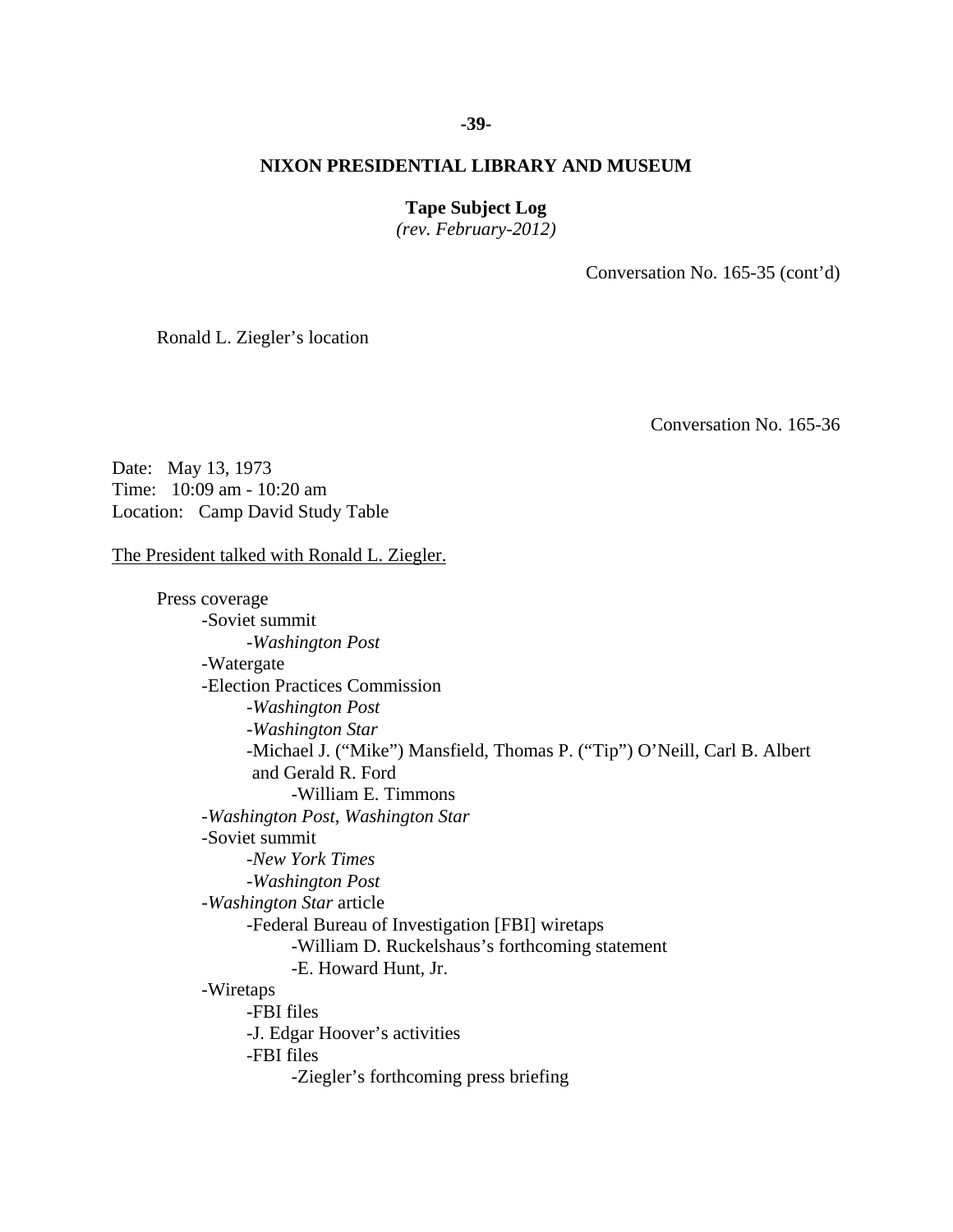### **-39-**

# **NIXON PRESIDENTIAL LIBRARY AND MUSEUM**

# **Tape Subject Log**

*(rev. February-2012)* 

Conversation No. 165-35 (cont'd)

Ronald L. Ziegler's location

Conversation No. 165-36

Date: May 13, 1973 Time: 10:09 am - 10:20 am Location: Camp David Study Table

### The President talked with Ronald L. Ziegler.

 -FBI files -FBI files Press coverage -Soviet summit -*Washington Post* -Watergate -Election Practices Commission -*Washington Post* -*Washington Star*  -Michael J. ("Mike") Mansfield, Thomas P. ("Tip") O'Neill, Carl B. Albert and Gerald R. Ford -William E. Timmons -*Washington Post*, *Washington Star* -Soviet summit -*New York Times* -*Washington Post* -*Washington Star* article -Federal Bureau of Investigation [FBI] wiretaps -William D. Ruckelshaus's forthcoming statement -E. Howard Hunt, Jr. -Wiretaps -J. Edgar Hoover's activities -Ziegler's forthcoming press briefing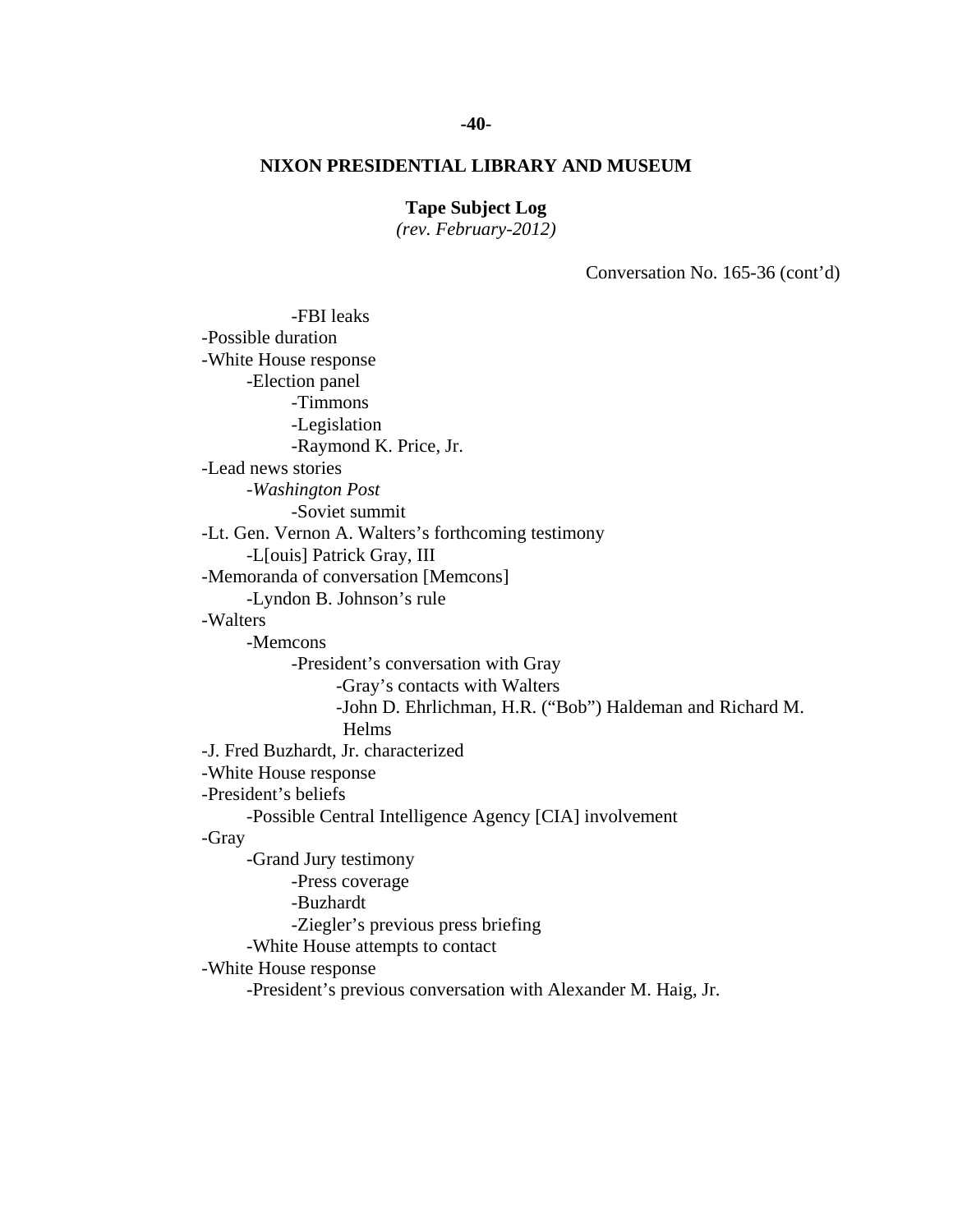# **-40-**

# **NIXON PRESIDENTIAL LIBRARY AND MUSEUM**

# **Tape Subject Log**

*(rev. February-2012)* 

Conversation No. 165-36 (cont'd)

 -FBI leaks -Soviet summit -Possible duration -White House response -Election panel -Timmons -Legislation -Raymond K. Price, Jr. -Lead news stories -*Washington Post* -Lt. Gen. Vernon A. Walters's forthcoming testimony -L[ouis] Patrick Gray, III -Memoranda of conversation [Memcons] -Lyndon B. Johnson's rule -Walters -Memcons -President's conversation with Gray -Gray's contacts with Walters -John D. Ehrlichman, H.R. ("Bob") Haldeman and Richard M. Helms -J. Fred Buzhardt, Jr. characterized -White House response -President's beliefs -Possible Central Intelligence Agency [CIA] involvement -Gray -Grand Jury testimony -Press coverage -Buzhardt -Ziegler's previous press briefing -White House attempts to contact -White House response -President's previous conversation with Alexander M. Haig, Jr.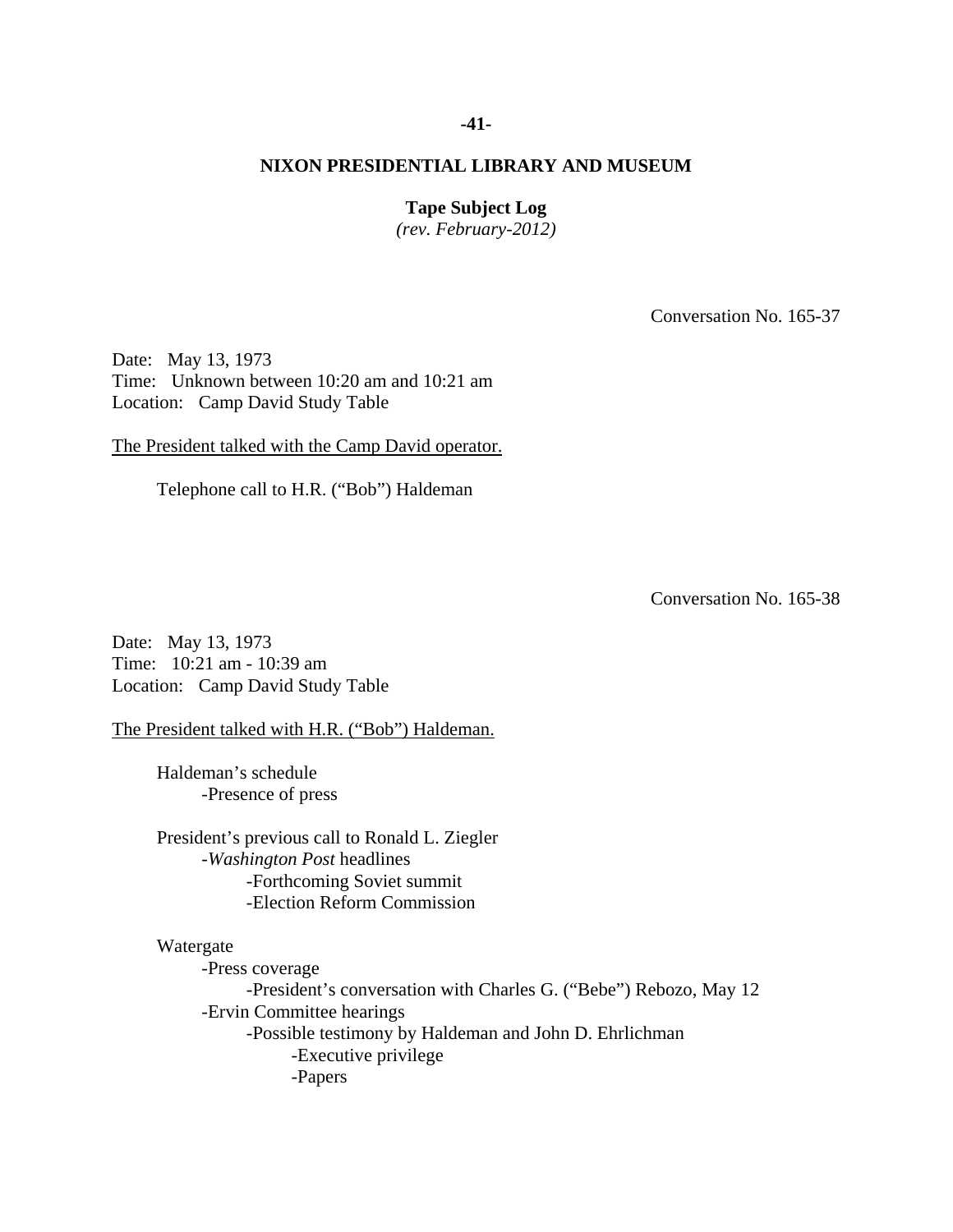### **-41-**

# **NIXON PRESIDENTIAL LIBRARY AND MUSEUM**

# **Tape Subject Log**

*(rev. February-2012)* 

Conversation No. 165-37

Date: May 13, 1973 Time: Unknown between 10:20 am and 10:21 am Location: Camp David Study Table

The President talked with the Camp David operator.

Telephone call to H.R. ("Bob") Haldeman

Conversation No. 165-38

Date: May 13, 1973 Time: 10:21 am - 10:39 am Location: Camp David Study Table

The President talked with H.R. ("Bob") Haldeman.

 Haldeman's schedule -Presence of press

President's previous call to Ronald L. Ziegler -*Washington Post* headlines -Forthcoming Soviet summit -Election Reform Commission

#### Watergate

 -Press coverage -President's conversation with Charles G. ("Bebe") Rebozo, May 12 -Ervin Committee hearings -Possible testimony by Haldeman and John D. Ehrlichman -Executive privilege -Papers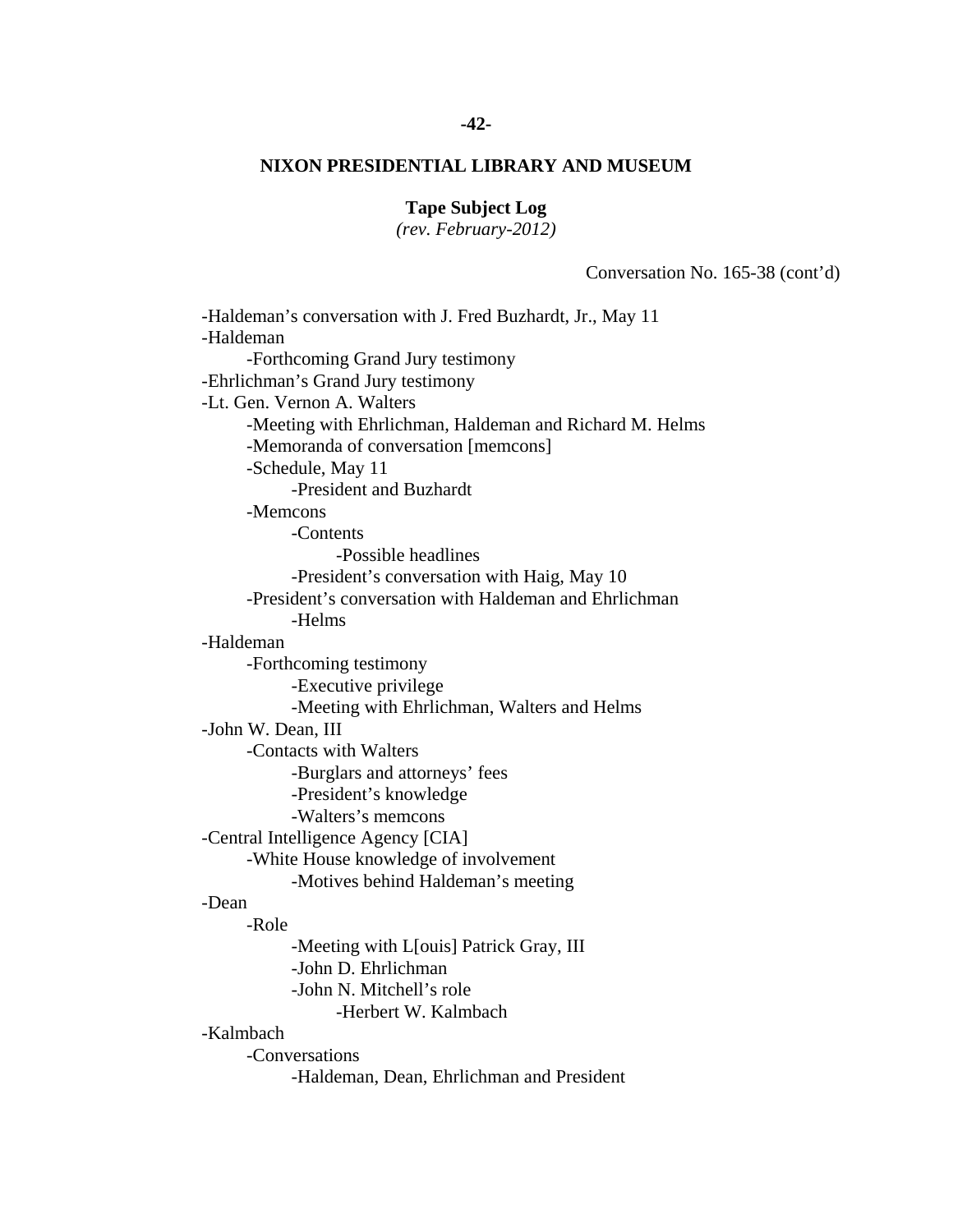### **-42-**

# **NIXON PRESIDENTIAL LIBRARY AND MUSEUM**

# **Tape Subject Log**

*(rev. February-2012)* 

Conversation No. 165-38 (cont'd)

-Haldeman's conversation with J. Fred Buzhardt, Jr., May 11 -Haldeman -Forthcoming Grand Jury testimony -Ehrlichman's Grand Jury testimony -Lt. Gen. Vernon A. Walters -Meeting with Ehrlichman, Haldeman and Richard M. Helms -Memoranda of conversation [memcons] -Schedule, May 11 -President and Buzhardt -Memcons -Contents -Possible headlines -President's conversation with Haig, May 10 -President's conversation with Haldeman and Ehrlichman -Helms -Haldeman -Forthcoming testimony -Executive privilege -Meeting with Ehrlichman, Walters and Helms -John W. Dean, III -Contacts with Walters -Burglars and attorneys' fees -President's knowledge -Walters's memcons -Central Intelligence Agency [CIA] -White House knowledge of involvement -Motives behind Haldeman's meeting -Dean -Role -Meeting with L[ouis] Patrick Gray, III -John D. Ehrlichman -John N. Mitchell's role -Herbert W. Kalmbach -Kalmbach -Conversations -Haldeman, Dean, Ehrlichman and President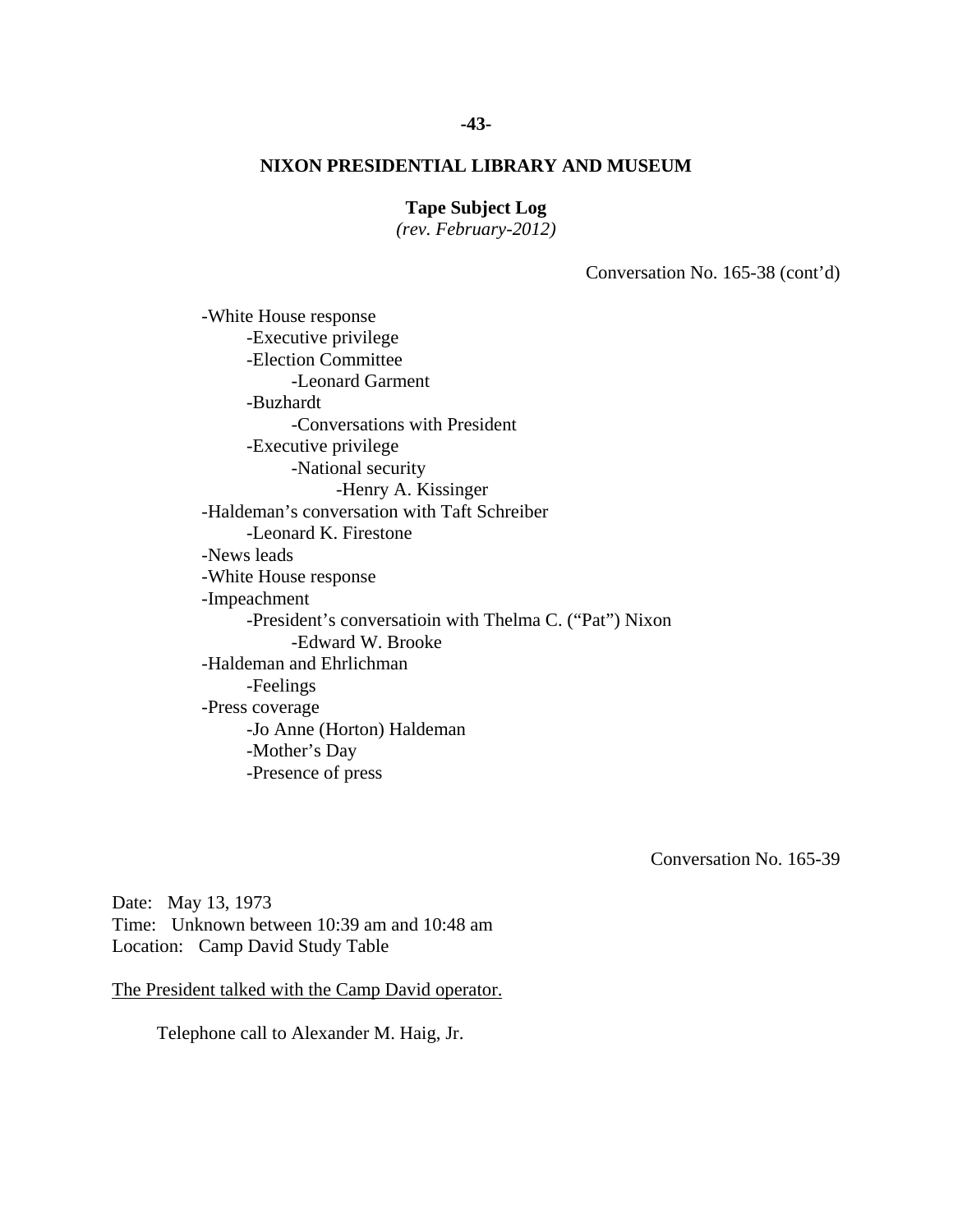# **Tape Subject Log**

*(rev. February-2012)* 

Conversation No. 165-38 (cont'd)

 -White House response -Executive privilege -Election Committee -Leonard Garment -Buzhardt -Conversations with President -Executive privilege -National security -Henry A. Kissinger -Haldeman's conversation with Taft Schreiber -Leonard K. Firestone -News leads -White House response -Impeachment -President's conversatioin with Thelma C. ("Pat") Nixon -Edward W. Brooke -Haldeman and Ehrlichman -Feelings -Press coverage -Jo Anne (Horton) Haldeman -Mother's Day -Presence of press

Conversation No. 165-39

Date: May 13, 1973 Time: Unknown between 10:39 am and 10:48 am Location: Camp David Study Table

The President talked with the Camp David operator.

Telephone call to Alexander M. Haig, Jr.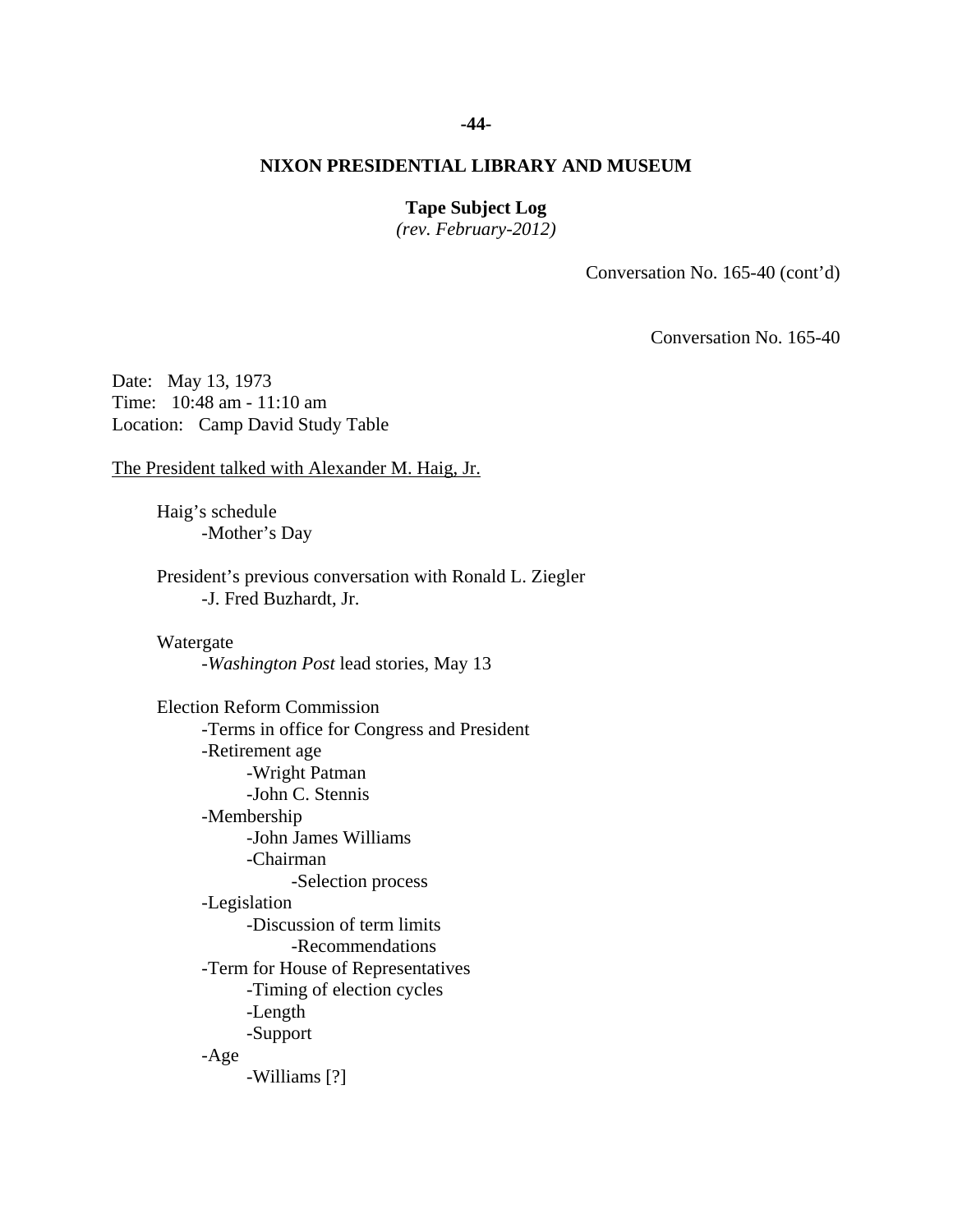### **-44-**

# **NIXON PRESIDENTIAL LIBRARY AND MUSEUM**

# **Tape Subject Log**

*(rev. February-2012)* 

Conversation No. 165-40 (cont'd)

Conversation No. 165-40

Date: May 13, 1973 Time: 10:48 am - 11:10 am Location: Camp David Study Table

The President talked with Alexander M. Haig, Jr.

 Haig's schedule -Mother's Day

President's previous conversation with Ronald L. Ziegler -J. Fred Buzhardt, Jr.

 Watergate -*Washington Post* lead stories, May 13

 -Discussion of term limits -Williams [?] Election Reform Commission -Terms in office for Congress and President -Retirement age -Wright Patman -John C. Stennis -Membership -John James Williams -Chairman -Selection process -Legislation -Recommendations -Term for House of Representatives -Timing of election cycles -Length -Support -Age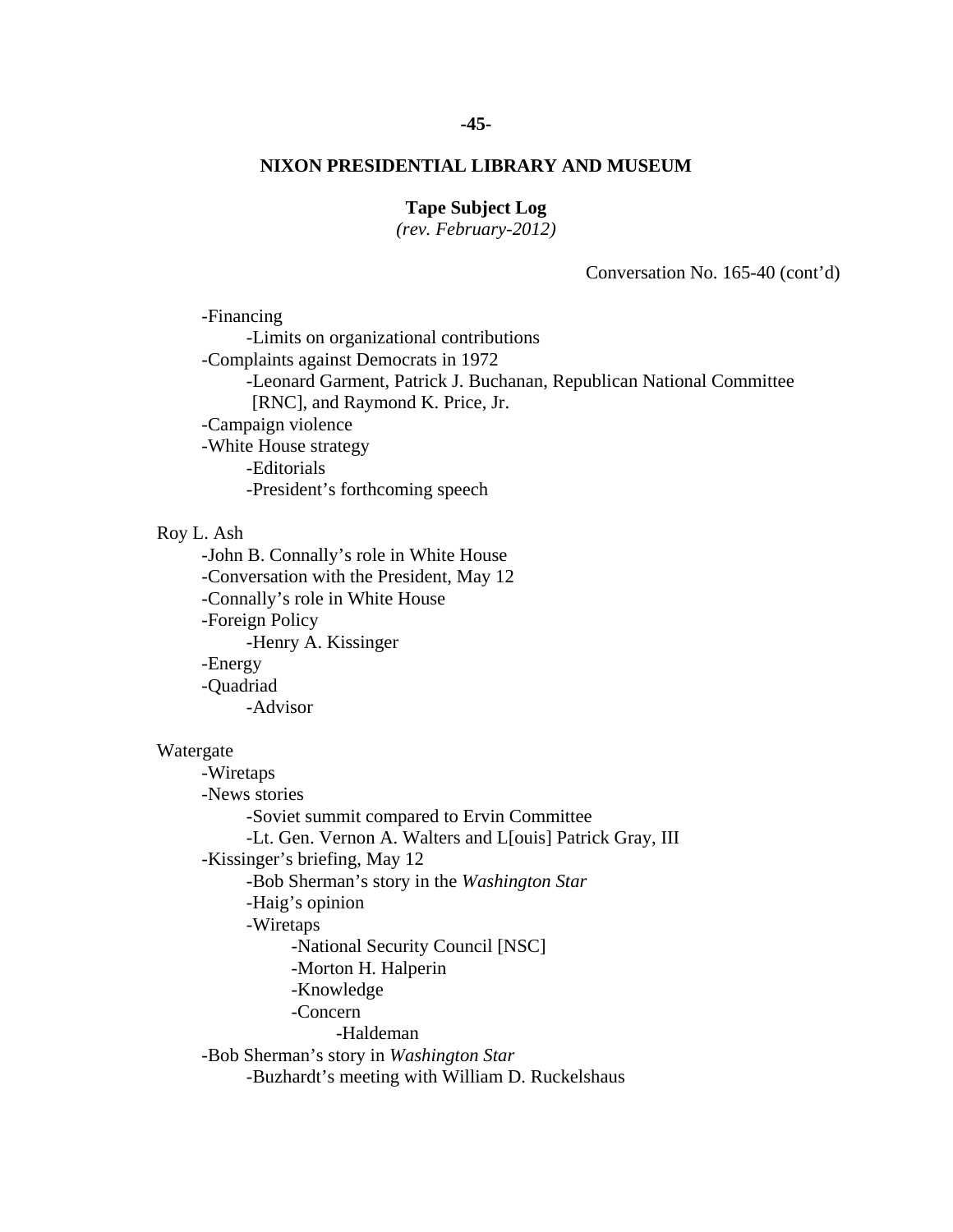### **-45-**

### **NIXON PRESIDENTIAL LIBRARY AND MUSEUM**

# **Tape Subject Log**

*(rev. February-2012)* 

Conversation No. 165-40 (cont'd)

-Financing -Limits on organizational contributions -Complaints against Democrats in 1972 -Leonard Garment, Patrick J. Buchanan, Republican National Committee [RNC], and Raymond K. Price, Jr. -Campaign violence -White House strategy -Editorials -President's forthcoming speech

# Roy L. Ash

-John B. Connally's role in White House -Conversation with the President, May 12 -Connally's role in White House -Foreign Policy -Henry A. Kissinger -Energy -Quadriad -Advisor

# Watergate

 -Wiretaps -News stories -Soviet summit compared to Ervin Committee -Lt. Gen. Vernon A. Walters and L[ouis] Patrick Gray, III -Kissinger's briefing, May 12 -Bob Sherman's story in the *Washington Star*  -Haig's opinion -Wiretaps -National Security Council [NSC] -Morton H. Halperin -Knowledge -Concern -Haldeman -Bob Sherman's story in *Washington Star* -Buzhardt's meeting with William D. Ruckelshaus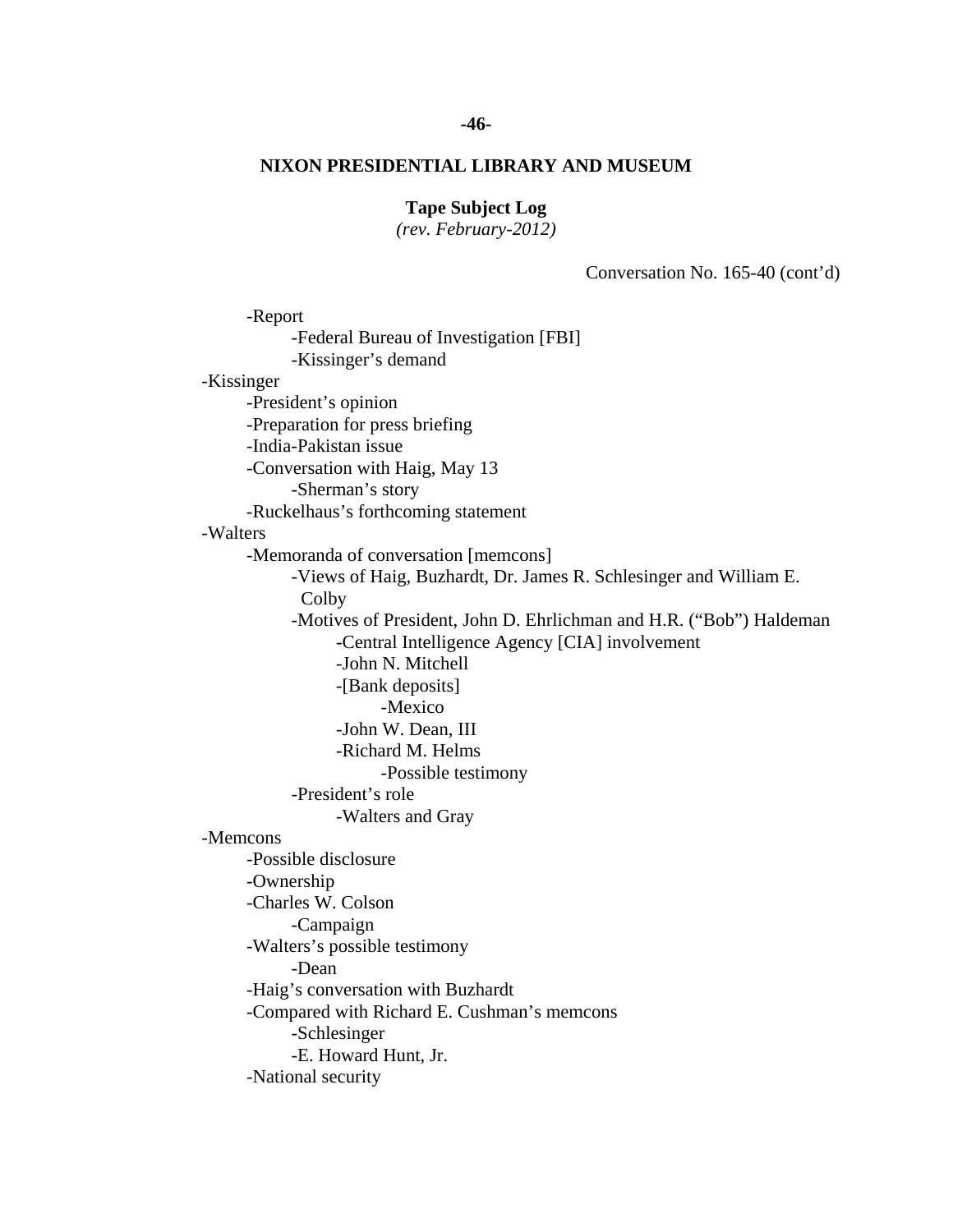### **-46-**

# **NIXON PRESIDENTIAL LIBRARY AND MUSEUM**

# **Tape Subject Log**

*(rev. February-2012)* 

Conversation No. 165-40 (cont'd)

 -Richard M. Helms -Walters and Gray -Report -Federal Bureau of Investigation [FBI] -Kissinger's demand -Kissinger -President's opinion -Preparation for press briefing -India-Pakistan issue -Conversation with Haig, May 13 -Sherman's story -Ruckelhaus's forthcoming statement -Walters -Memoranda of conversation [memcons] -Views of Haig, Buzhardt, Dr. James R. Schlesinger and William E. Colby -Motives of President, John D. Ehrlichman and H.R. ("Bob") Haldeman -Central Intelligence Agency [CIA] involvement -John N. Mitchell -[Bank deposits] -Mexico -John W. Dean, III -Possible testimony -President's role -Memcons -Possible disclosure -Ownership -Charles W. Colson -Campaign -Walters's possible testimony -Dean -Haig's conversation with Buzhardt -Compared with Richard E. Cushman's memcons -Schlesinger -E. Howard Hunt, Jr. -National security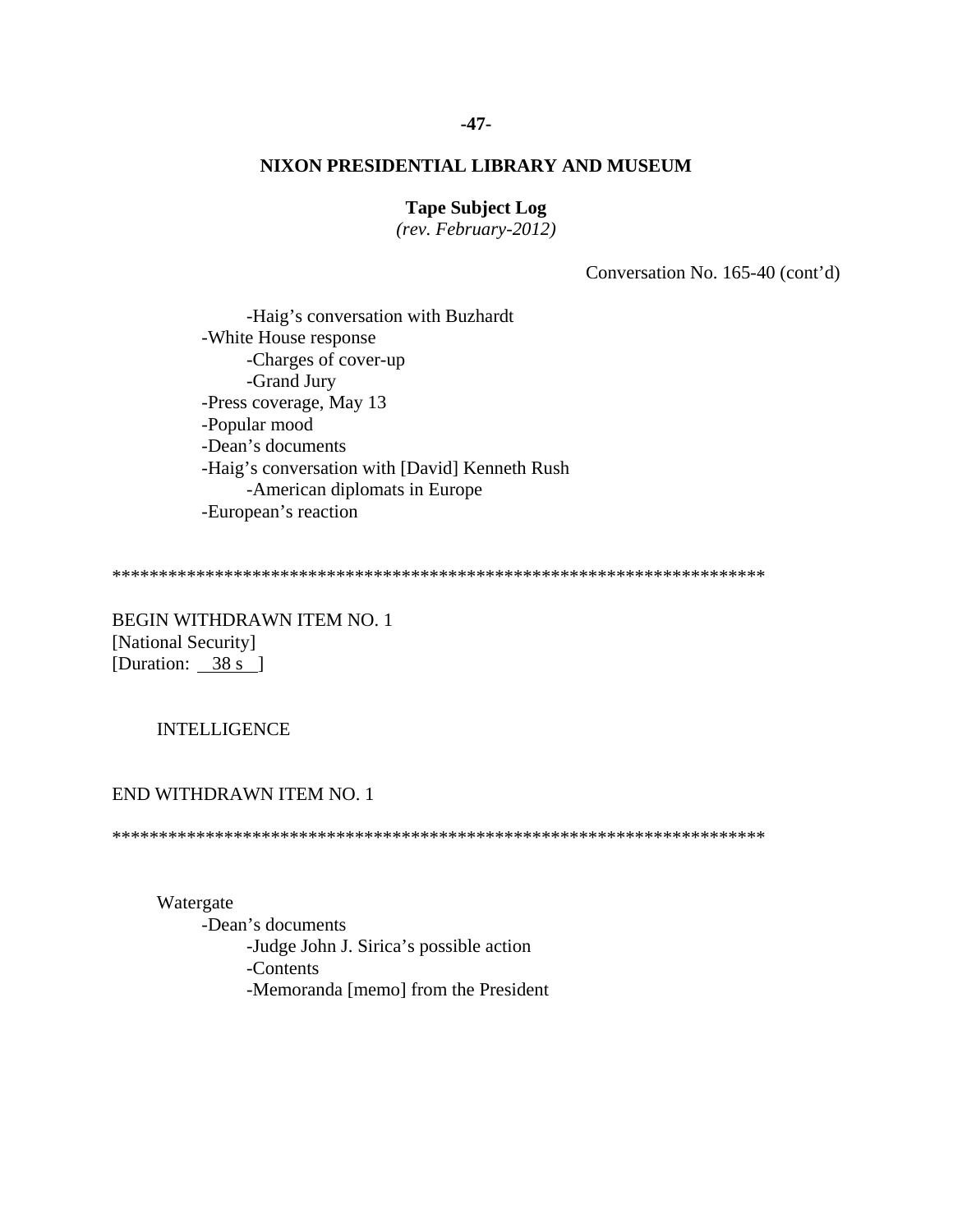# **Tape Subject Log**

*(rev. February-2012)* 

Conversation No. 165-40 (cont'd)

 -Haig's conversation with Buzhardt -White House response -Charges of cover-up -Grand Jury -Press coverage, May 13 -Popular mood -Dean's documents -Haig's conversation with [David] Kenneth Rush -American diplomats in Europe -European's reaction

\*\*\*\*\*\*\*\*\*\*\*\*\*\*\*\*\*\*\*\*\*\*\*\*\*\*\*\*\*\*\*\*\*\*\*\*\*\*\*\*\*\*\*\*\*\*\*\*\*\*\*\*\*\*\*\*\*\*\*\*\*\*\*\*\*\*\*\*\*\*

BEGIN WITHDRAWN ITEM NO. 1 [National Security] [Duration: 38 s ]

# INTELLIGENCE

#### END WITHDRAWN ITEM NO. 1

\*\*\*\*\*\*\*\*\*\*\*\*\*\*\*\*\*\*\*\*\*\*\*\*\*\*\*\*\*\*\*\*\*\*\*\*\*\*\*\*\*\*\*\*\*\*\*\*\*\*\*\*\*\*\*\*\*\*\*\*\*\*\*\*\*\*\*\*\*\*

Watergate

 -Dean's documents -Judge John J. Sirica's possible action -Contents -Memoranda [memo] from the President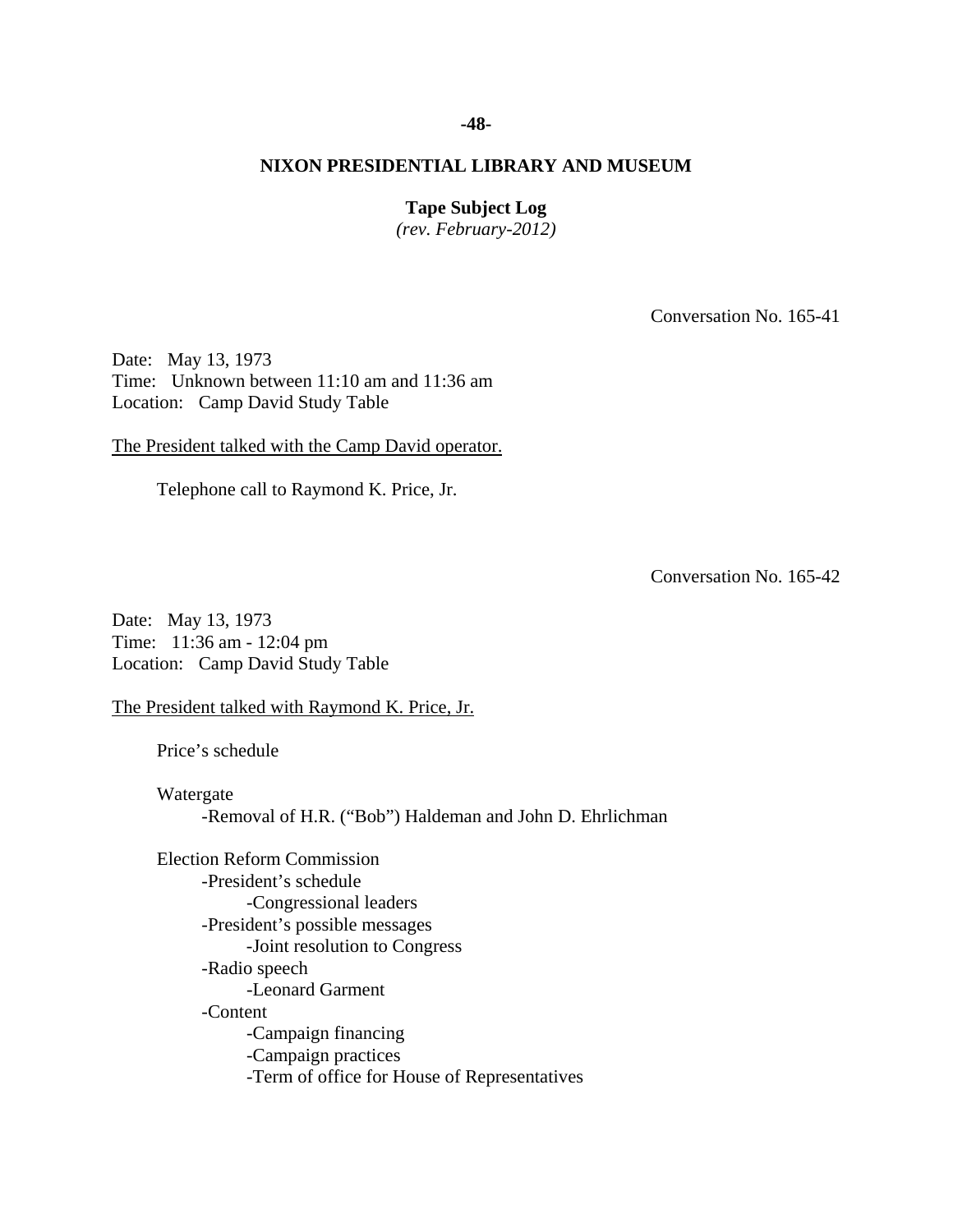#### **-48-**

# **NIXON PRESIDENTIAL LIBRARY AND MUSEUM**

# **Tape Subject Log**

*(rev. February-2012)* 

Conversation No. 165-41

Date: May 13, 1973 Time: Unknown between 11:10 am and 11:36 am Location: Camp David Study Table

The President talked with the Camp David operator.

Telephone call to Raymond K. Price, Jr.

Conversation No. 165-42

Date: May 13, 1973 Time: 11:36 am - 12:04 pm Location: Camp David Study Table

The President talked with Raymond K. Price, Jr.

Price's schedule

 Watergate -Removal of H.R. ("Bob") Haldeman and John D. Ehrlichman

Election Reform Commission -President's schedule -Congressional leaders -President's possible messages -Joint resolution to Congress -Radio speech -Leonard Garment -Content -Campaign financing -Campaign practices -Term of office for House of Representatives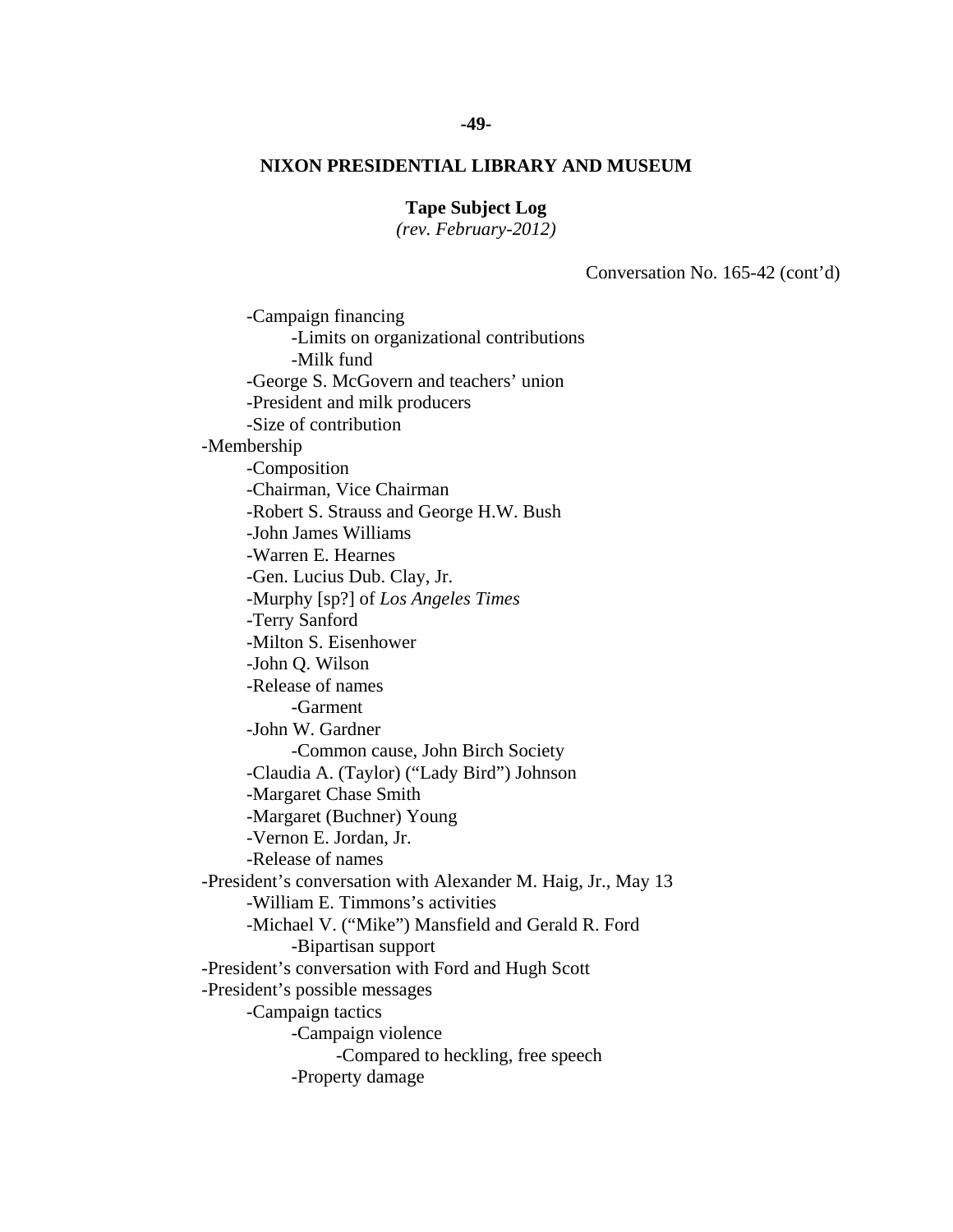# **Tape Subject Log**

*(rev. February-2012)* 

Conversation No. 165-42 (cont'd)

 -Campaign financing -Limits on organizational contributions -Milk fund -George S. McGovern and teachers' union -President and milk producers -Size of contribution -Membership -Composition -Chairman, Vice Chairman -Robert S. Strauss and George H.W. Bush -John James Williams -Warren E. Hearnes -Gen. Lucius Dub. Clay, Jr. -Murphy [sp?] of *Los Angeles Times* -Terry Sanford -Milton S. Eisenhower -John Q. Wilson -Release of names -Garment -John W. Gardner -Common cause, John Birch Society -Claudia A. (Taylor) ("Lady Bird") Johnson -Margaret Chase Smith -Margaret (Buchner) Young -Vernon E. Jordan, Jr. -Release of names -President's conversation with Alexander M. Haig, Jr., May 13 -William E. Timmons's activities -Michael V. ("Mike") Mansfield and Gerald R. Ford -Bipartisan support -President's conversation with Ford and Hugh Scott -President's possible messages -Campaign tactics -Campaign violence -Compared to heckling, free speech -Property damage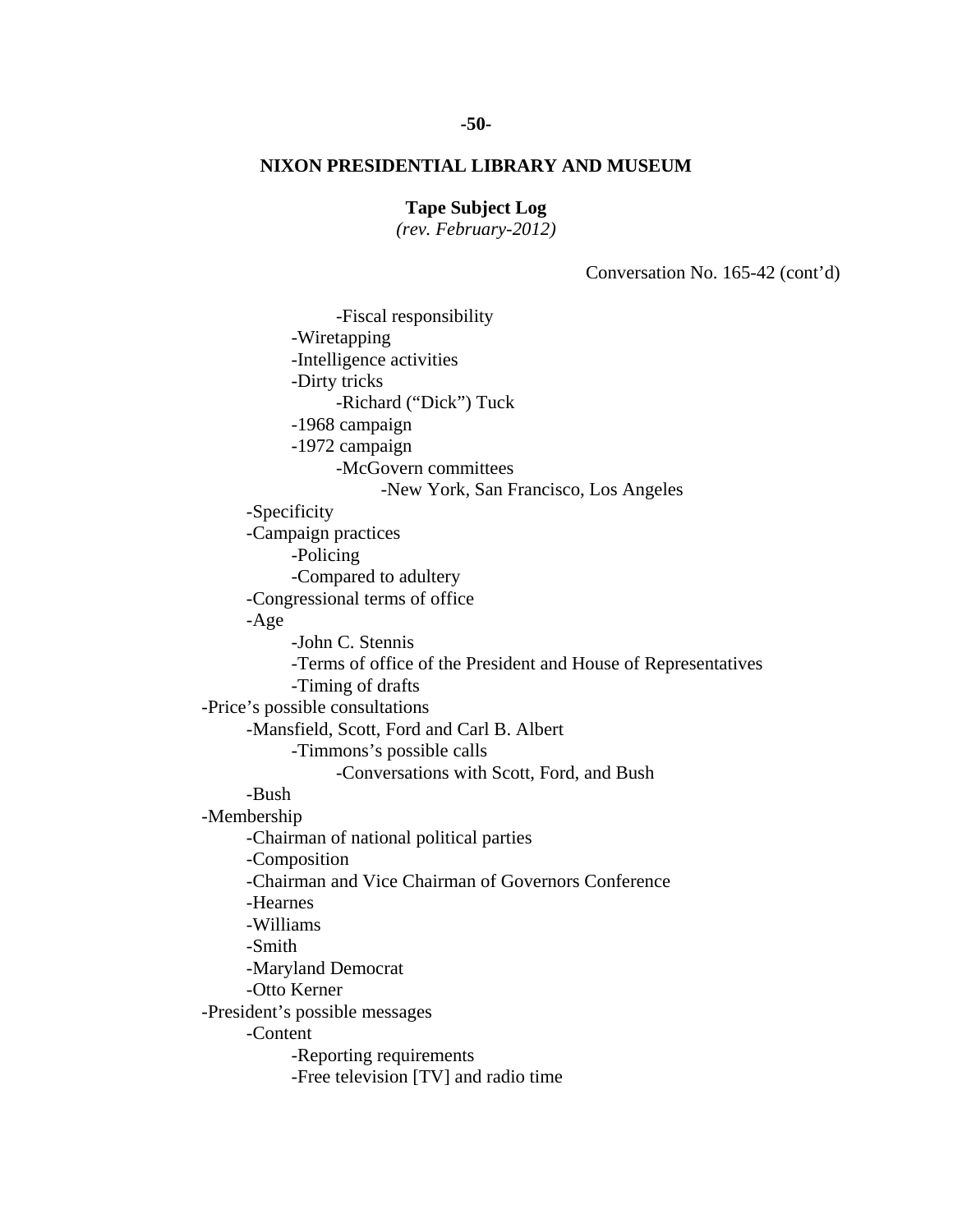# **Tape Subject Log**

*(rev. February-2012)* 

Conversation No. 165-42 (cont'd)

 -Fiscal responsibility -Wiretapping -Intelligence activities -Dirty tricks -Richard ("Dick") Tuck -1968 campaign -1972 campaign -McGovern committees -New York, San Francisco, Los Angeles -Specificity -Campaign practices -Policing -Compared to adultery -Congressional terms of office -Age -John C. Stennis -Terms of office of the President and House of Representatives -Timing of drafts -Price's possible consultations -Mansfield, Scott, Ford and Carl B. Albert -Timmons's possible calls -Conversations with Scott, Ford, and Bush -Bush -Membership -Chairman of national political parties -Composition -Chairman and Vice Chairman of Governors Conference -Hearnes -Williams -Smith -Maryland Democrat -Otto Kerner -President's possible messages -Content -Reporting requirements -Free television [TV] and radio time